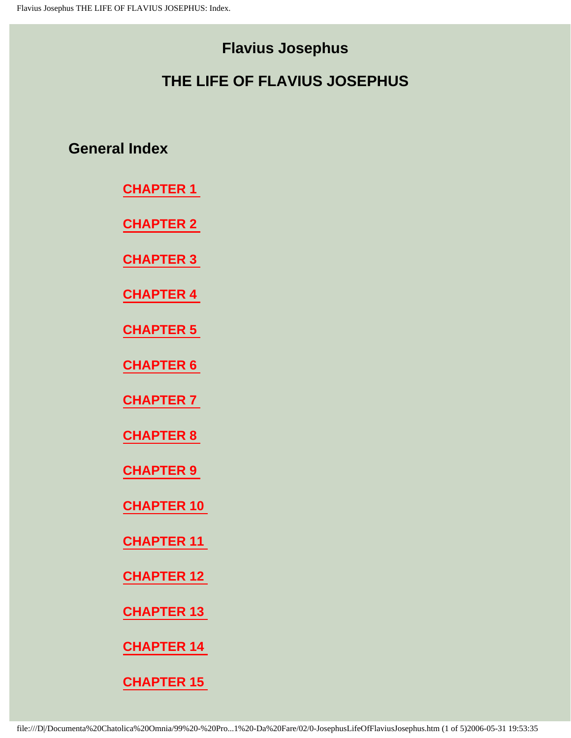# **Flavius Josephus**

# **THE LIFE OF FLAVIUS JOSEPHUS**

**General Index** 

**[CHAPTER 1](#page-5-0)** 

**[CHAPTER 2](#page-7-0)** 

**[CHAPTER 3](#page-8-0)** 

**[CHAPTER 4](#page-9-0)** 

**[CHAPTER 5](#page-10-0)** 

**[CHAPTER 6](#page-11-0)** 

**[CHAPTER 7](#page-12-0)** 

**[CHAPTER 8](#page-13-0)** 

**[CHAPTER 9](#page-14-0)** 

**[CHAPTER 10](#page-16-0)** 

**[CHAPTER 11](#page-17-0)** 

**[CHAPTER 12](#page-20-0)** 

**[CHAPTER 13](#page-21-0)** 

**[CHAPTER 14](#page-23-0)**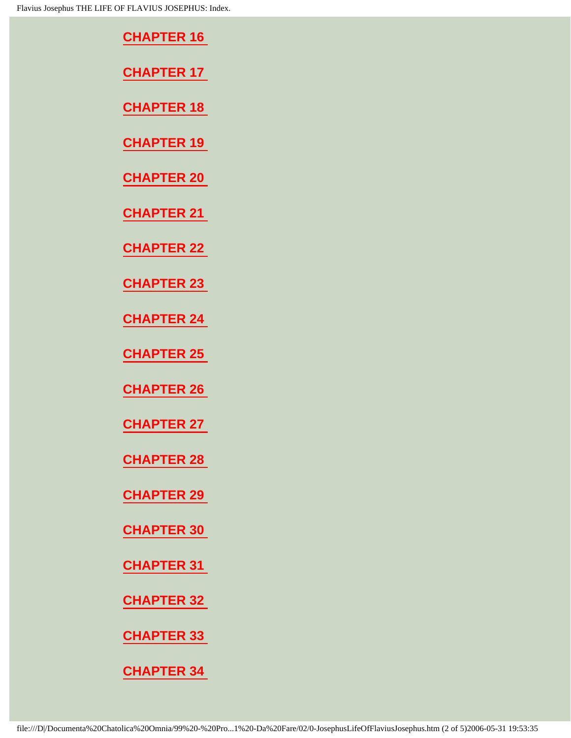| <b>CHAPTER 16</b> |
|-------------------|
| <b>CHAPTER 17</b> |
| <b>CHAPTER 18</b> |

**[CHAPTER 20](#page-29-0)** 

**[CHAPTER 21](#page-30-0)** 

**[CHAPTER 22](#page-31-0)** 

**[CHAPTER 23](#page-33-0)** 

**[CHAPTER 24](#page-34-0)** 

**[CHAPTER 25](#page-36-0)** 

**[CHAPTER 26](#page-37-0)** 

**[CHAPTER 27](#page-38-0)** 

**[CHAPTER 28](#page-39-0)** 

**[CHAPTER 29](#page-40-0)** 

**[CHAPTER 30](#page-41-0)** 

**[CHAPTER 31](#page-42-0)** 

**[CHAPTER 32](#page-43-0)** 

**[CHAPTER 33](#page-45-0)**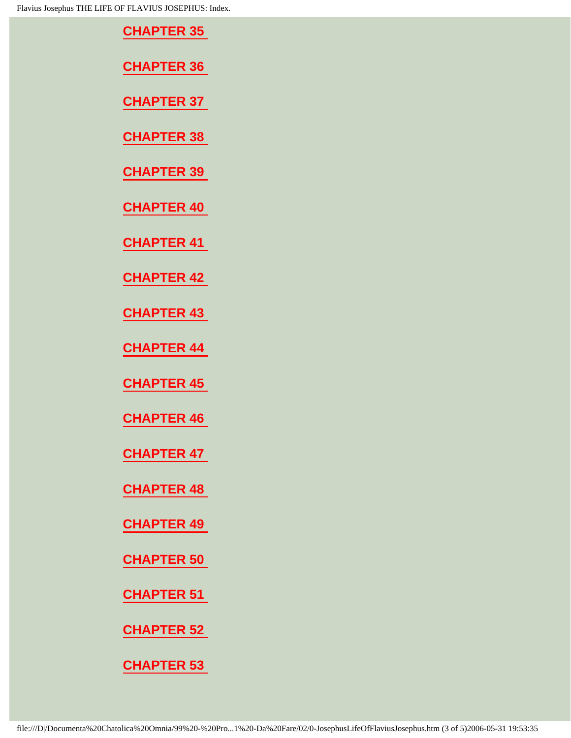| <b>LIFE OF FLAVIUS JOSEPHUS: Index.</b> |
|-----------------------------------------|
| <b>CHAPTER 35</b>                       |
| <b>CHAPTER 36</b>                       |
| <b>CHAPTER 37</b>                       |
| <b>CHAPTER 38</b>                       |
| <b>CHAPTER 39</b>                       |
| <b>CHAPTER 40</b>                       |
| <b>CHAPTER 41</b>                       |
| <b>CHAPTER 42</b>                       |
| <b>CHAPTER 43</b>                       |
| <b>CHAPTER 44</b>                       |
| <b>CHAPTER 45</b>                       |
| <b>CHAPTER 46</b>                       |
| <b>CHAPTER 47</b>                       |
| <b>CHAPTER 48</b>                       |
| <b>CHAPTER 49</b>                       |
| <b>CHAPTER 50</b>                       |
| <b>CHAPTER 51</b>                       |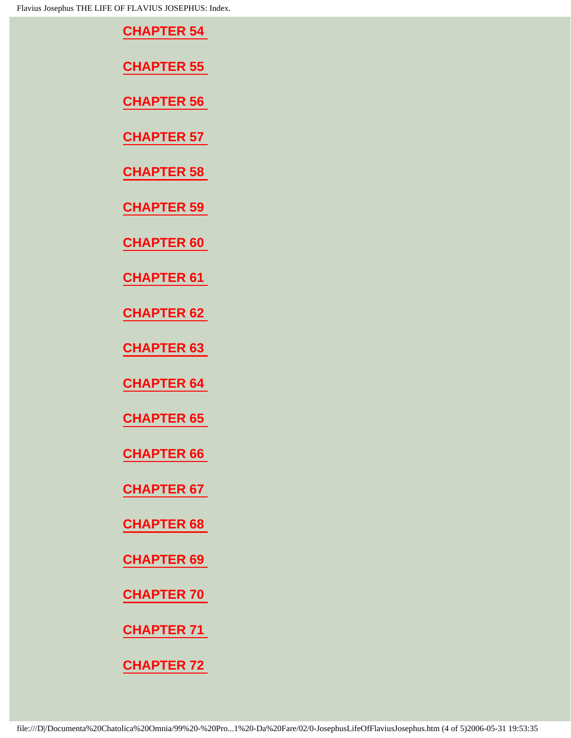| LIFE OF FLAVIUS JOSEPHUS: Index. |
|----------------------------------|
| <b>CHAPTER 54</b>                |
| <b>CHAPTER 55</b>                |
| <b>CHAPTER 56</b>                |
| <b>CHAPTER 57</b>                |
| <b>CHAPTER 58</b>                |
| <b>CHAPTER 59</b>                |
| <b>CHAPTER 60</b>                |
| <b>CHAPTER 61</b>                |
| <b>CHAPTER 62</b>                |
| <b>CHAPTER 63</b>                |
| <b>CHAPTER 64</b>                |
| <b>CHAPTER 65</b>                |
| <b>CHAPTER 66</b>                |

**[CHAPTER 68](#page-85-0)** 

**[CHAPTER 69](#page-86-0)** 

**[CHAPTER 70](#page-87-0)** 

**[CHAPTER 71](#page-88-0)**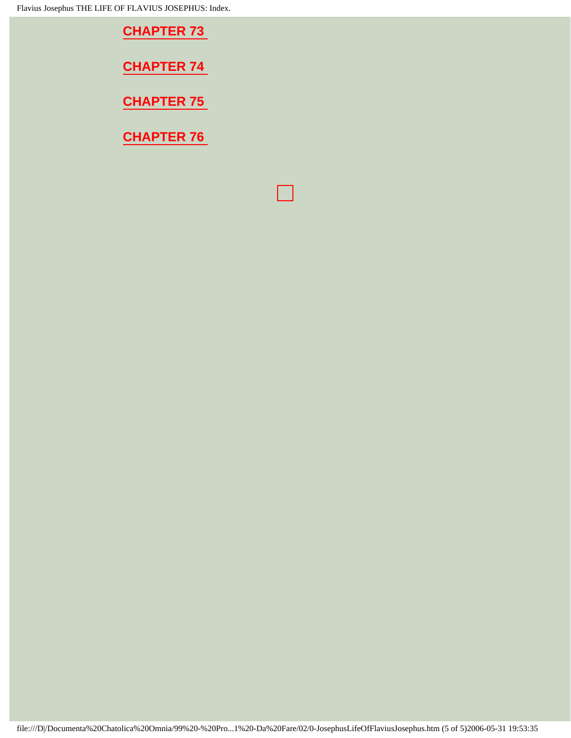Flavius Josephus THE LIFE OF FLAVIUS JOSEPHUS: Index.

| <b>CHAPTER 73</b> |
|-------------------|
| <b>CHAPTER 74</b> |
| <b>CHAPTER 75</b> |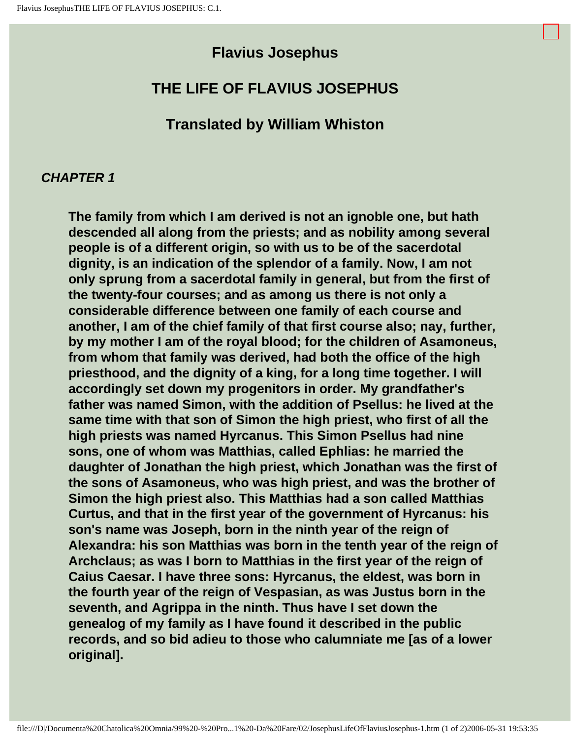# **Flavius Josephus**

# <span id="page-5-0"></span>**THE LIFE OF FLAVIUS JOSEPHUS**

# **Translated by William Whiston**

#### **CHAPTER 1**

**The family from which I am derived is not an ignoble one, but hath descended all along from the priests; and as nobility among several people is of a different origin, so with us to be of the sacerdotal dignity, is an indication of the splendor of a family. Now, I am not only sprung from a sacerdotal family in general, but from the first of the twenty-four courses; and as among us there is not only a considerable difference between one family of each course and another, I am of the chief family of that first course also; nay, further, by my mother I am of the royal blood; for the children of Asamoneus, from whom that family was derived, had both the office of the high priesthood, and the dignity of a king, for a long time together. I will accordingly set down my progenitors in order. My grandfather's father was named Simon, with the addition of Psellus: he lived at the same time with that son of Simon the high priest, who first of all the high priests was named Hyrcanus. This Simon Psellus had nine sons, one of whom was Matthias, called Ephlias: he married the daughter of Jonathan the high priest, which Jonathan was the first of the sons of Asamoneus, who was high priest, and was the brother of Simon the high priest also. This Matthias had a son called Matthias Curtus, and that in the first year of the government of Hyrcanus: his son's name was Joseph, born in the ninth year of the reign of Alexandra: his son Matthias was born in the tenth year of the reign of Archclaus; as was I born to Matthias in the first year of the reign of Caius Caesar. I have three sons: Hyrcanus, the eldest, was born in the fourth year of the reign of Vespasian, as was Justus born in the seventh, and Agrippa in the ninth. Thus have I set down the genealog of my family as I have found it described in the public records, and so bid adieu to those who calumniate me [as of a lower original].**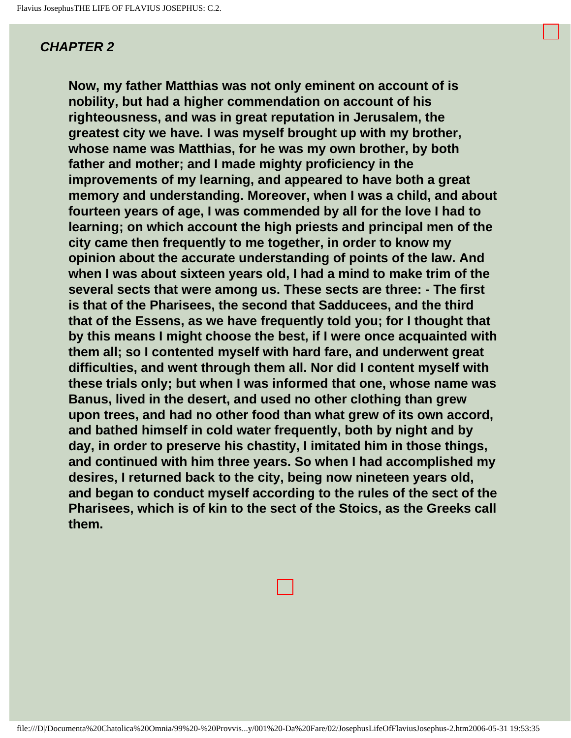<span id="page-7-0"></span>**Now, my father Matthias was not only eminent on account of is nobility, but had a higher commendation on account of his righteousness, and was in great reputation in Jerusalem, the greatest city we have. I was myself brought up with my brother, whose name was Matthias, for he was my own brother, by both father and mother; and I made mighty proficiency in the improvements of my learning, and appeared to have both a great memory and understanding. Moreover, when I was a child, and about fourteen years of age, I was commended by all for the love I had to learning; on which account the high priests and principal men of the city came then frequently to me together, in order to know my opinion about the accurate understanding of points of the law. And when I was about sixteen years old, I had a mind to make trim of the several sects that were among us. These sects are three: - The first is that of the Pharisees, the second that Sadducees, and the third that of the Essens, as we have frequently told you; for I thought that by this means I might choose the best, if I were once acquainted with them all; so I contented myself with hard fare, and underwent great difficulties, and went through them all. Nor did I content myself with these trials only; but when I was informed that one, whose name was Banus, lived in the desert, and used no other clothing than grew upon trees, and had no other food than what grew of its own accord, and bathed himself in cold water frequently, both by night and by day, in order to preserve his chastity, I imitated him in those things, and continued with him three years. So when I had accomplished my desires, I returned back to the city, being now nineteen years old, and began to conduct myself according to the rules of the sect of the Pharisees, which is of kin to the sect of the Stoics, as the Greeks call them.**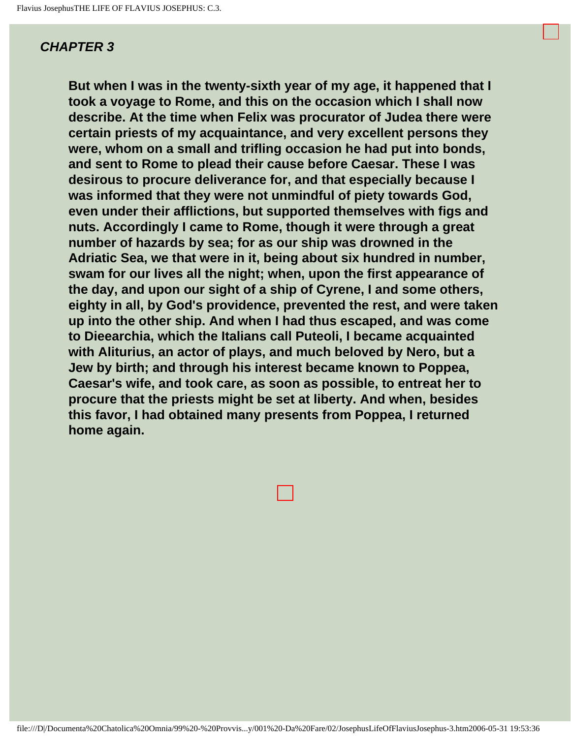<span id="page-8-0"></span>**But when I was in the twenty-sixth year of my age, it happened that I took a voyage to Rome, and this on the occasion which I shall now describe. At the time when Felix was procurator of Judea there were certain priests of my acquaintance, and very excellent persons they were, whom on a small and trifling occasion he had put into bonds, and sent to Rome to plead their cause before Caesar. These I was desirous to procure deliverance for, and that especially because I was informed that they were not unmindful of piety towards God, even under their afflictions, but supported themselves with figs and nuts. Accordingly I came to Rome, though it were through a great number of hazards by sea; for as our ship was drowned in the Adriatic Sea, we that were in it, being about six hundred in number, swam for our lives all the night; when, upon the first appearance of the day, and upon our sight of a ship of Cyrene, I and some others, eighty in all, by God's providence, prevented the rest, and were taken up into the other ship. And when I had thus escaped, and was come to Dieearchia, which the Italians call Puteoli, I became acquainted with Aliturius, an actor of plays, and much beloved by Nero, but a Jew by birth; and through his interest became known to Poppea, Caesar's wife, and took care, as soon as possible, to entreat her to procure that the priests might be set at liberty. And when, besides this favor, I had obtained many presents from Poppea, I returned home again.** 

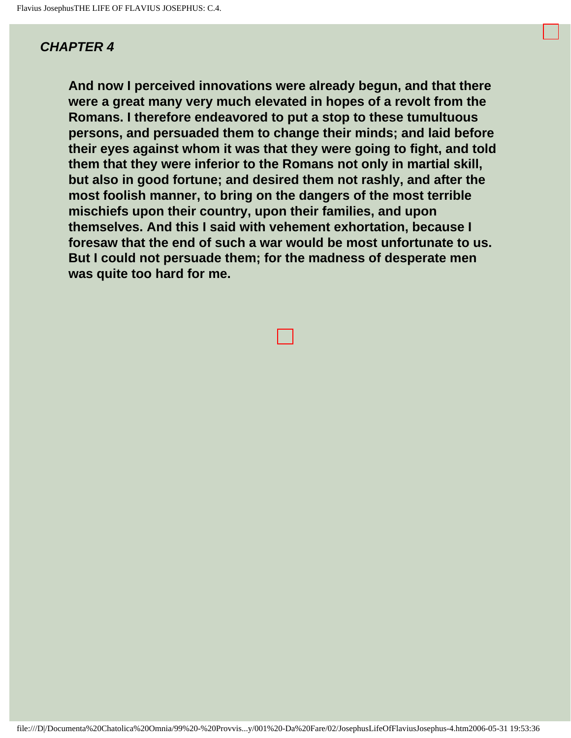<span id="page-9-0"></span>**And now I perceived innovations were already begun, and that there were a great many very much elevated in hopes of a revolt from the Romans. I therefore endeavored to put a stop to these tumultuous persons, and persuaded them to change their minds; and laid before their eyes against whom it was that they were going to fight, and told them that they were inferior to the Romans not only in martial skill, but also in good fortune; and desired them not rashly, and after the most foolish manner, to bring on the dangers of the most terrible mischiefs upon their country, upon their families, and upon themselves. And this I said with vehement exhortation, because I foresaw that the end of such a war would be most unfortunate to us. But I could not persuade them; for the madness of desperate men was quite too hard for me.**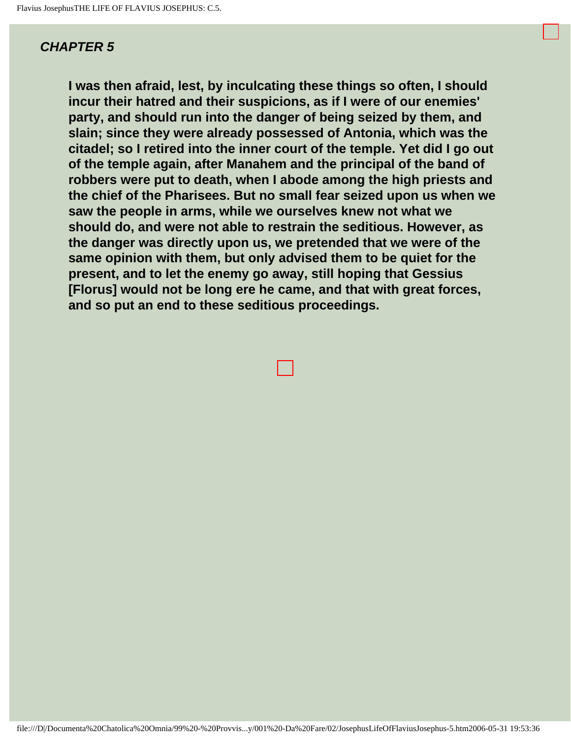<span id="page-10-0"></span>**I was then afraid, lest, by inculcating these things so often, I should incur their hatred and their suspicions, as if I were of our enemies' party, and should run into the danger of being seized by them, and slain; since they were already possessed of Antonia, which was the citadel; so I retired into the inner court of the temple. Yet did I go out of the temple again, after Manahem and the principal of the band of robbers were put to death, when I abode among the high priests and the chief of the Pharisees. But no small fear seized upon us when we saw the people in arms, while we ourselves knew not what we should do, and were not able to restrain the seditious. However, as the danger was directly upon us, we pretended that we were of the same opinion with them, but only advised them to be quiet for the present, and to let the enemy go away, still hoping that Gessius [Florus] would not be long ere he came, and that with great forces, and so put an end to these seditious proceedings.**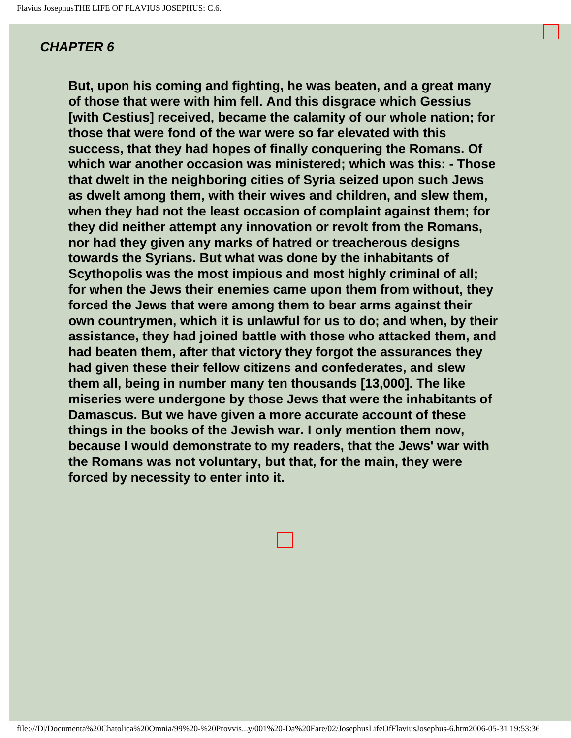<span id="page-11-0"></span>**But, upon his coming and fighting, he was beaten, and a great many of those that were with him fell. And this disgrace which Gessius [with Cestius] received, became the calamity of our whole nation; for those that were fond of the war were so far elevated with this success, that they had hopes of finally conquering the Romans. Of which war another occasion was ministered; which was this: - Those that dwelt in the neighboring cities of Syria seized upon such Jews as dwelt among them, with their wives and children, and slew them, when they had not the least occasion of complaint against them; for they did neither attempt any innovation or revolt from the Romans, nor had they given any marks of hatred or treacherous designs towards the Syrians. But what was done by the inhabitants of Scythopolis was the most impious and most highly criminal of all; for when the Jews their enemies came upon them from without, they forced the Jews that were among them to bear arms against their own countrymen, which it is unlawful for us to do; and when, by their assistance, they had joined battle with those who attacked them, and had beaten them, after that victory they forgot the assurances they had given these their fellow citizens and confederates, and slew them all, being in number many ten thousands [13,000]. The like miseries were undergone by those Jews that were the inhabitants of Damascus. But we have given a more accurate account of these things in the books of the Jewish war. I only mention them now, because I would demonstrate to my readers, that the Jews' war with the Romans was not voluntary, but that, for the main, they were forced by necessity to enter into it.**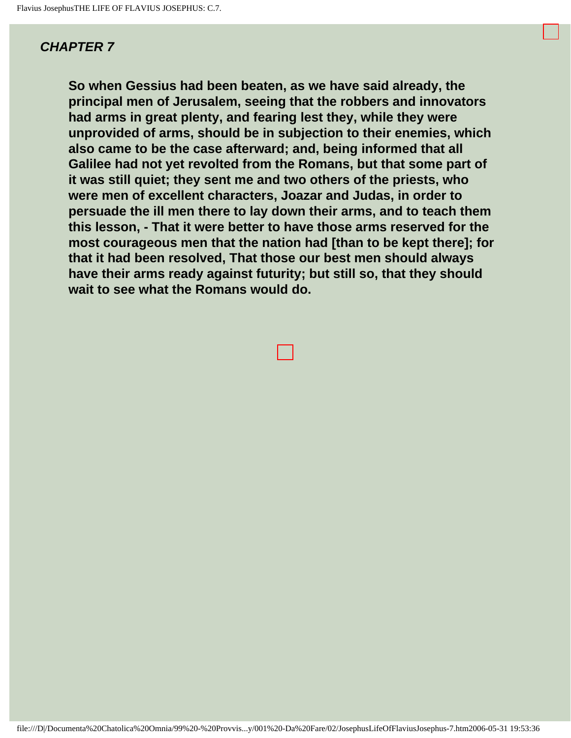<span id="page-12-0"></span>**So when Gessius had been beaten, as we have said already, the principal men of Jerusalem, seeing that the robbers and innovators had arms in great plenty, and fearing lest they, while they were unprovided of arms, should be in subjection to their enemies, which also came to be the case afterward; and, being informed that all Galilee had not yet revolted from the Romans, but that some part of it was still quiet; they sent me and two others of the priests, who were men of excellent characters, Joazar and Judas, in order to persuade the ill men there to lay down their arms, and to teach them this lesson, - That it were better to have those arms reserved for the most courageous men that the nation had [than to be kept there]; for that it had been resolved, That those our best men should always have their arms ready against futurity; but still so, that they should wait to see what the Romans would do.**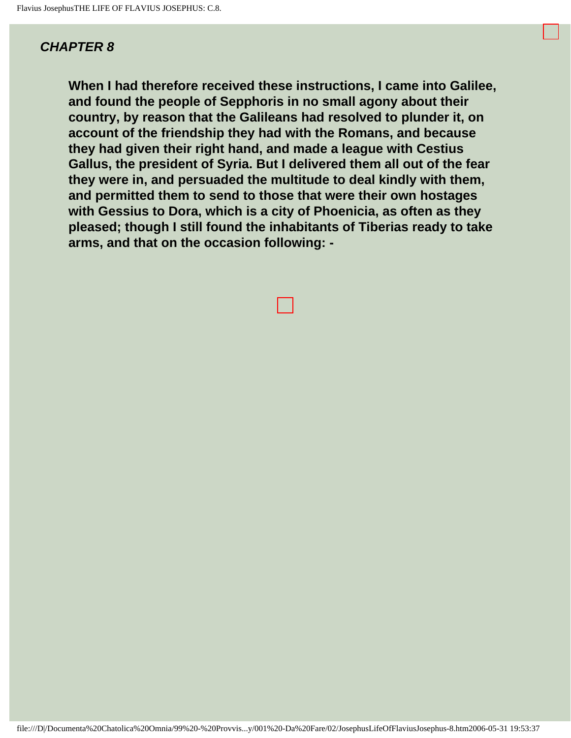<span id="page-13-0"></span>**When I had therefore received these instructions, I came into Galilee, and found the people of Sepphoris in no small agony about their country, by reason that the Galileans had resolved to plunder it, on account of the friendship they had with the Romans, and because they had given their right hand, and made a league with Cestius Gallus, the president of Syria. But I delivered them all out of the fear they were in, and persuaded the multitude to deal kindly with them, and permitted them to send to those that were their own hostages with Gessius to Dora, which is a city of Phoenicia, as often as they pleased; though I still found the inhabitants of Tiberias ready to take arms, and that on the occasion following: -**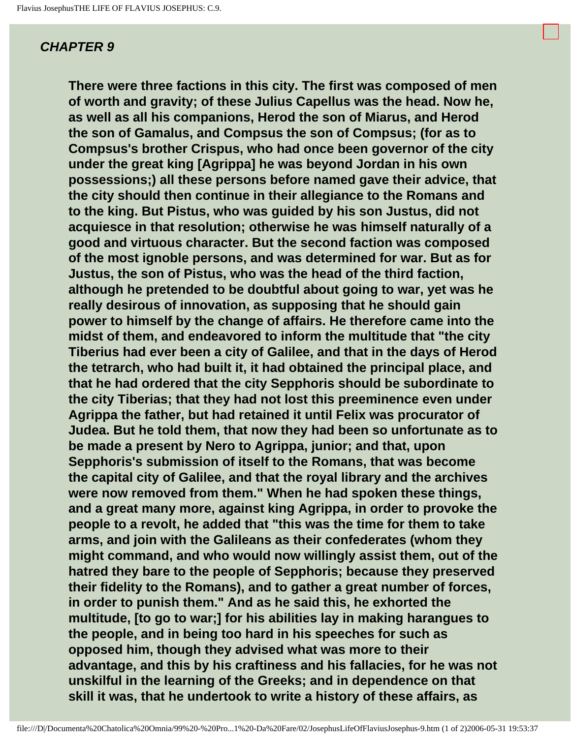<span id="page-14-0"></span>**There were three factions in this city. The first was composed of men of worth and gravity; of these Julius Capellus was the head. Now he, as well as all his companions, Herod the son of Miarus, and Herod the son of Gamalus, and Compsus the son of Compsus; (for as to Compsus's brother Crispus, who had once been governor of the city under the great king [Agrippa] he was beyond Jordan in his own possessions;) all these persons before named gave their advice, that the city should then continue in their allegiance to the Romans and to the king. But Pistus, who was guided by his son Justus, did not acquiesce in that resolution; otherwise he was himself naturally of a good and virtuous character. But the second faction was composed of the most ignoble persons, and was determined for war. But as for Justus, the son of Pistus, who was the head of the third faction, although he pretended to be doubtful about going to war, yet was he really desirous of innovation, as supposing that he should gain power to himself by the change of affairs. He therefore came into the midst of them, and endeavored to inform the multitude that "the city Tiberius had ever been a city of Galilee, and that in the days of Herod the tetrarch, who had built it, it had obtained the principal place, and that he had ordered that the city Sepphoris should be subordinate to the city Tiberias; that they had not lost this preeminence even under Agrippa the father, but had retained it until Felix was procurator of Judea. But he told them, that now they had been so unfortunate as to be made a present by Nero to Agrippa, junior; and that, upon Sepphoris's submission of itself to the Romans, that was become the capital city of Galilee, and that the royal library and the archives were now removed from them." When he had spoken these things, and a great many more, against king Agrippa, in order to provoke the people to a revolt, he added that "this was the time for them to take arms, and join with the Galileans as their confederates (whom they might command, and who would now willingly assist them, out of the hatred they bare to the people of Sepphoris; because they preserved their fidelity to the Romans), and to gather a great number of forces, in order to punish them." And as he said this, he exhorted the multitude, [to go to war;] for his abilities lay in making harangues to the people, and in being too hard in his speeches for such as opposed him, though they advised what was more to their advantage, and this by his craftiness and his fallacies, for he was not unskilful in the learning of the Greeks; and in dependence on that skill it was, that he undertook to write a history of these affairs, as**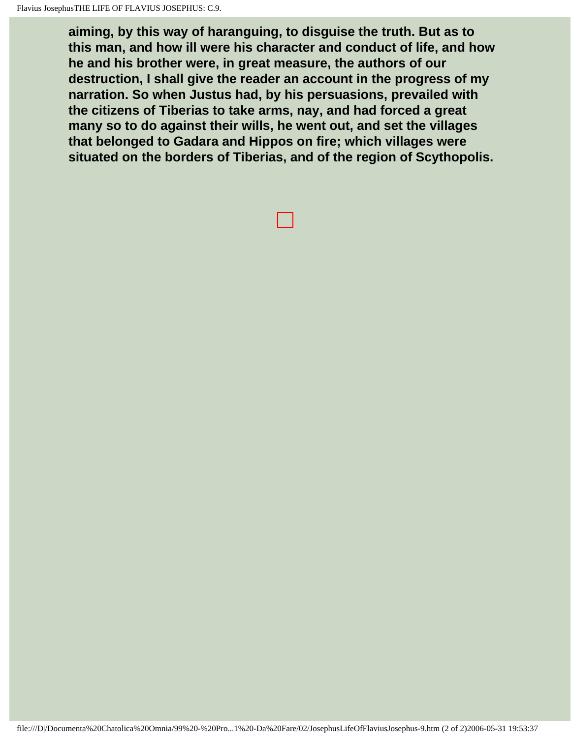**aiming, by this way of haranguing, to disguise the truth. But as to this man, and how ill were his character and conduct of life, and how he and his brother were, in great measure, the authors of our destruction, I shall give the reader an account in the progress of my narration. So when Justus had, by his persuasions, prevailed with the citizens of Tiberias to take arms, nay, and had forced a great many so to do against their wills, he went out, and set the villages that belonged to Gadara and Hippos on fire; which villages were situated on the borders of Tiberias, and of the region of Scythopolis.**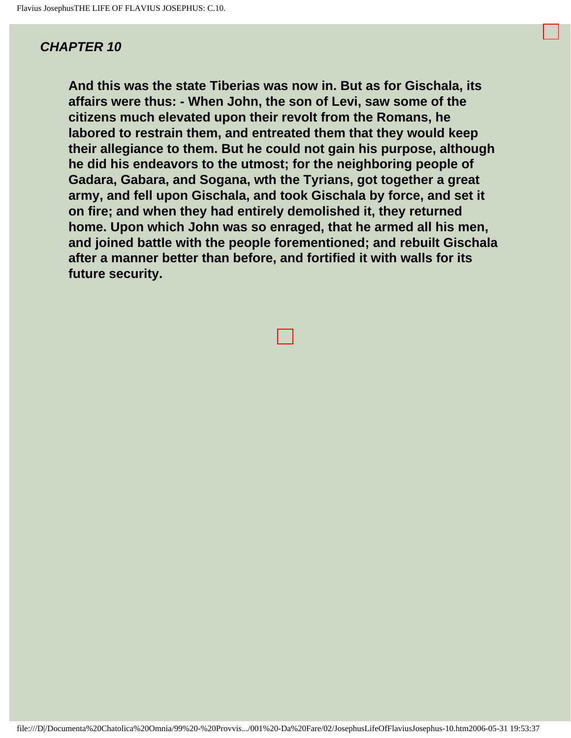<span id="page-16-0"></span>**And this was the state Tiberias was now in. But as for Gischala, its affairs were thus: - When John, the son of Levi, saw some of the citizens much elevated upon their revolt from the Romans, he labored to restrain them, and entreated them that they would keep their allegiance to them. But he could not gain his purpose, although he did his endeavors to the utmost; for the neighboring people of Gadara, Gabara, and Sogana, wth the Tyrians, got together a great army, and fell upon Gischala, and took Gischala by force, and set it on fire; and when they had entirely demolished it, they returned home. Upon which John was so enraged, that he armed all his men, and joined battle with the people forementioned; and rebuilt Gischala after a manner better than before, and fortified it with walls for its future security.**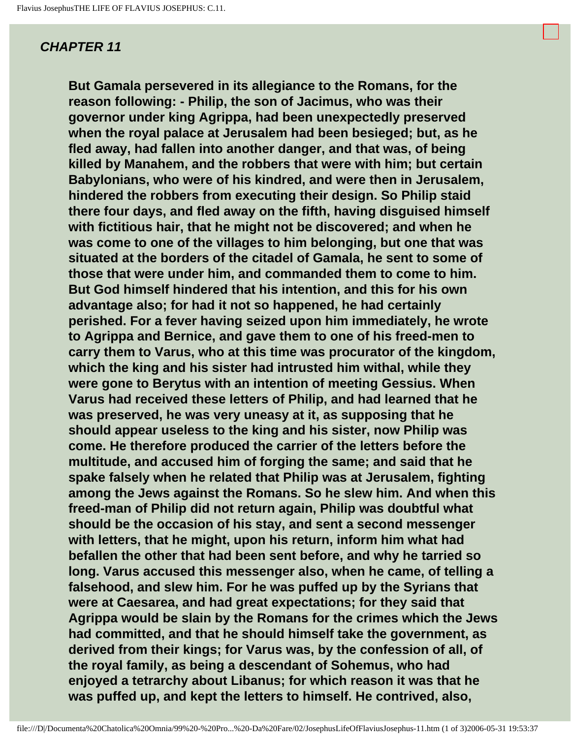<span id="page-17-0"></span>**But Gamala persevered in its allegiance to the Romans, for the reason following: - Philip, the son of Jacimus, who was their governor under king Agrippa, had been unexpectedly preserved when the royal palace at Jerusalem had been besieged; but, as he fled away, had fallen into another danger, and that was, of being killed by Manahem, and the robbers that were with him; but certain Babylonians, who were of his kindred, and were then in Jerusalem, hindered the robbers from executing their design. So Philip staid there four days, and fled away on the fifth, having disguised himself with fictitious hair, that he might not be discovered; and when he was come to one of the villages to him belonging, but one that was situated at the borders of the citadel of Gamala, he sent to some of those that were under him, and commanded them to come to him. But God himself hindered that his intention, and this for his own advantage also; for had it not so happened, he had certainly perished. For a fever having seized upon him immediately, he wrote to Agrippa and Bernice, and gave them to one of his freed-men to carry them to Varus, who at this time was procurator of the kingdom, which the king and his sister had intrusted him withal, while they were gone to Berytus with an intention of meeting Gessius. When Varus had received these letters of Philip, and had learned that he was preserved, he was very uneasy at it, as supposing that he should appear useless to the king and his sister, now Philip was come. He therefore produced the carrier of the letters before the multitude, and accused him of forging the same; and said that he spake falsely when he related that Philip was at Jerusalem, fighting among the Jews against the Romans. So he slew him. And when this freed-man of Philip did not return again, Philip was doubtful what should be the occasion of his stay, and sent a second messenger with letters, that he might, upon his return, inform him what had befallen the other that had been sent before, and why he tarried so long. Varus accused this messenger also, when he came, of telling a falsehood, and slew him. For he was puffed up by the Syrians that were at Caesarea, and had great expectations; for they said that Agrippa would be slain by the Romans for the crimes which the Jews had committed, and that he should himself take the government, as derived from their kings; for Varus was, by the confession of all, of the royal family, as being a descendant of Sohemus, who had enjoyed a tetrarchy about Libanus; for which reason it was that he was puffed up, and kept the letters to himself. He contrived, also,**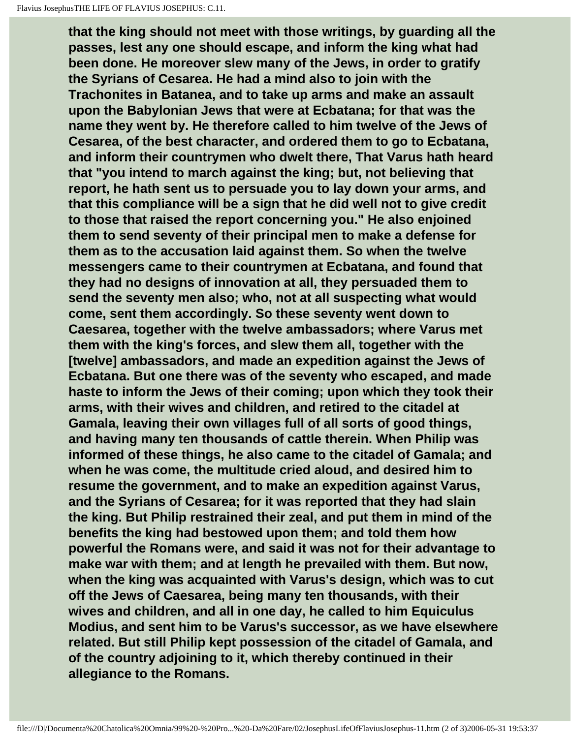**that the king should not meet with those writings, by guarding all the passes, lest any one should escape, and inform the king what had been done. He moreover slew many of the Jews, in order to gratify the Syrians of Cesarea. He had a mind also to join with the Trachonites in Batanea, and to take up arms and make an assault upon the Babylonian Jews that were at Ecbatana; for that was the name they went by. He therefore called to him twelve of the Jews of Cesarea, of the best character, and ordered them to go to Ecbatana, and inform their countrymen who dwelt there, That Varus hath heard that "you intend to march against the king; but, not believing that report, he hath sent us to persuade you to lay down your arms, and that this compliance will be a sign that he did well not to give credit to those that raised the report concerning you." He also enjoined them to send seventy of their principal men to make a defense for them as to the accusation laid against them. So when the twelve messengers came to their countrymen at Ecbatana, and found that they had no designs of innovation at all, they persuaded them to send the seventy men also; who, not at all suspecting what would come, sent them accordingly. So these seventy went down to Caesarea, together with the twelve ambassadors; where Varus met them with the king's forces, and slew them all, together with the [twelve] ambassadors, and made an expedition against the Jews of Ecbatana. But one there was of the seventy who escaped, and made haste to inform the Jews of their coming; upon which they took their arms, with their wives and children, and retired to the citadel at Gamala, leaving their own villages full of all sorts of good things, and having many ten thousands of cattle therein. When Philip was informed of these things, he also came to the citadel of Gamala; and when he was come, the multitude cried aloud, and desired him to resume the government, and to make an expedition against Varus, and the Syrians of Cesarea; for it was reported that they had slain the king. But Philip restrained their zeal, and put them in mind of the benefits the king had bestowed upon them; and told them how powerful the Romans were, and said it was not for their advantage to make war with them; and at length he prevailed with them. But now, when the king was acquainted with Varus's design, which was to cut off the Jews of Caesarea, being many ten thousands, with their wives and children, and all in one day, he called to him Equiculus Modius, and sent him to be Varus's successor, as we have elsewhere related. But still Philip kept possession of the citadel of Gamala, and of the country adjoining to it, which thereby continued in their allegiance to the Romans.**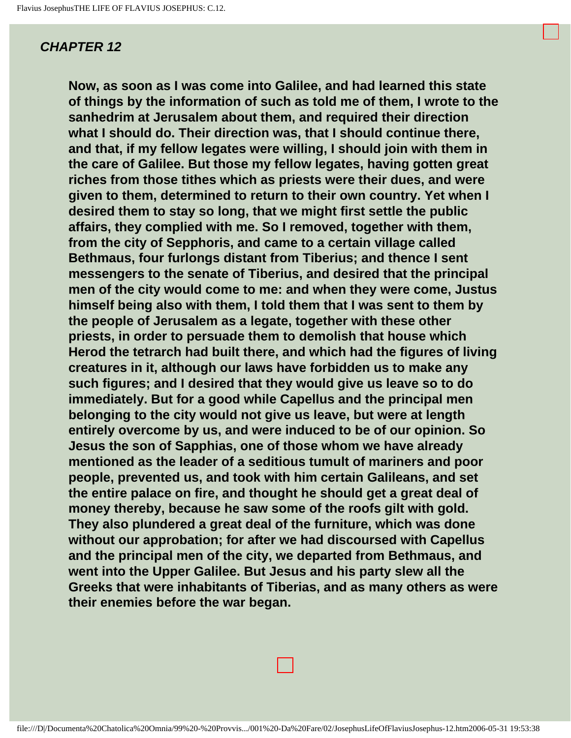<span id="page-20-0"></span>**Now, as soon as I was come into Galilee, and had learned this state of things by the information of such as told me of them, I wrote to the sanhedrim at Jerusalem about them, and required their direction what I should do. Their direction was, that I should continue there, and that, if my fellow legates were willing, I should join with them in the care of Galilee. But those my fellow legates, having gotten great riches from those tithes which as priests were their dues, and were given to them, determined to return to their own country. Yet when I desired them to stay so long, that we might first settle the public affairs, they complied with me. So I removed, together with them, from the city of Sepphoris, and came to a certain village called Bethmaus, four furlongs distant from Tiberius; and thence I sent messengers to the senate of Tiberius, and desired that the principal men of the city would come to me: and when they were come, Justus himself being also with them, I told them that I was sent to them by the people of Jerusalem as a legate, together with these other priests, in order to persuade them to demolish that house which Herod the tetrarch had built there, and which had the figures of living creatures in it, although our laws have forbidden us to make any such figures; and I desired that they would give us leave so to do immediately. But for a good while Capellus and the principal men belonging to the city would not give us leave, but were at length entirely overcome by us, and were induced to be of our opinion. So Jesus the son of Sapphias, one of those whom we have already mentioned as the leader of a seditious tumult of mariners and poor people, prevented us, and took with him certain Galileans, and set the entire palace on fire, and thought he should get a great deal of money thereby, because he saw some of the roofs gilt with gold. They also plundered a great deal of the furniture, which was done without our approbation; for after we had discoursed with Capellus and the principal men of the city, we departed from Bethmaus, and went into the Upper Galilee. But Jesus and his party slew all the Greeks that were inhabitants of Tiberias, and as many others as were their enemies before the war began.**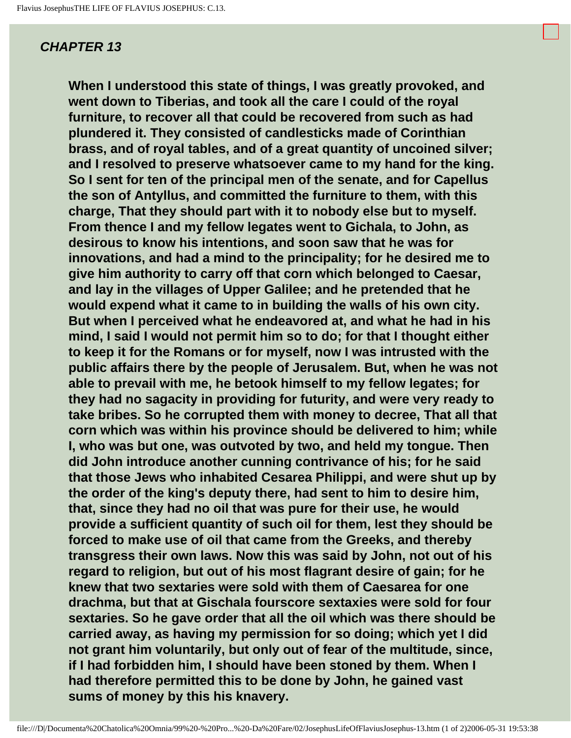<span id="page-21-0"></span>**When I understood this state of things, I was greatly provoked, and went down to Tiberias, and took all the care I could of the royal furniture, to recover all that could be recovered from such as had plundered it. They consisted of candlesticks made of Corinthian brass, and of royal tables, and of a great quantity of uncoined silver; and I resolved to preserve whatsoever came to my hand for the king. So I sent for ten of the principal men of the senate, and for Capellus the son of Antyllus, and committed the furniture to them, with this charge, That they should part with it to nobody else but to myself. From thence I and my fellow legates went to Gichala, to John, as desirous to know his intentions, and soon saw that he was for innovations, and had a mind to the principality; for he desired me to give him authority to carry off that corn which belonged to Caesar, and lay in the villages of Upper Galilee; and he pretended that he would expend what it came to in building the walls of his own city. But when I perceived what he endeavored at, and what he had in his mind, I said I would not permit him so to do; for that I thought either to keep it for the Romans or for myself, now I was intrusted with the public affairs there by the people of Jerusalem. But, when he was not able to prevail with me, he betook himself to my fellow legates; for they had no sagacity in providing for futurity, and were very ready to take bribes. So he corrupted them with money to decree, That all that corn which was within his province should be delivered to him; while I, who was but one, was outvoted by two, and held my tongue. Then did John introduce another cunning contrivance of his; for he said that those Jews who inhabited Cesarea Philippi, and were shut up by the order of the king's deputy there, had sent to him to desire him, that, since they had no oil that was pure for their use, he would provide a sufficient quantity of such oil for them, lest they should be forced to make use of oil that came from the Greeks, and thereby transgress their own laws. Now this was said by John, not out of his regard to religion, but out of his most flagrant desire of gain; for he knew that two sextaries were sold with them of Caesarea for one drachma, but that at Gischala fourscore sextaxies were sold for four sextaries. So he gave order that all the oil which was there should be carried away, as having my permission for so doing; which yet I did not grant him voluntarily, but only out of fear of the multitude, since, if I had forbidden him, I should have been stoned by them. When I had therefore permitted this to be done by John, he gained vast sums of money by this his knavery.**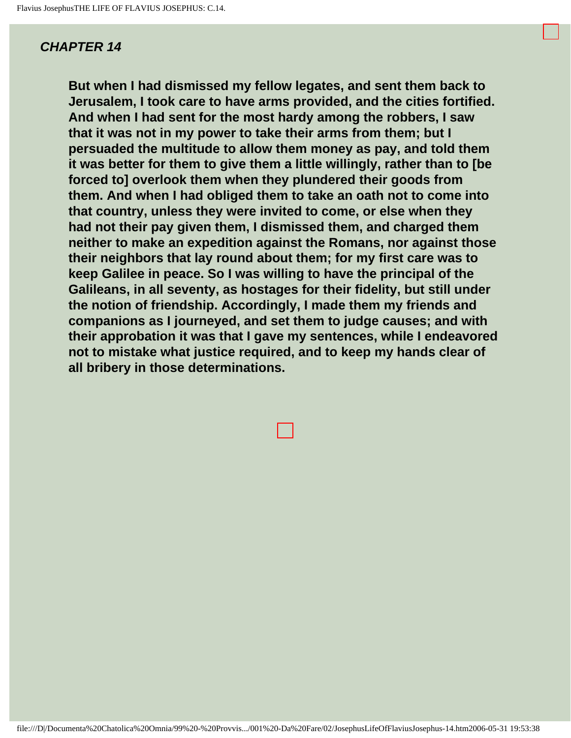<span id="page-23-0"></span>**But when I had dismissed my fellow legates, and sent them back to Jerusalem, I took care to have arms provided, and the cities fortified. And when I had sent for the most hardy among the robbers, I saw that it was not in my power to take their arms from them; but I persuaded the multitude to allow them money as pay, and told them it was better for them to give them a little willingly, rather than to [be forced to] overlook them when they plundered their goods from them. And when I had obliged them to take an oath not to come into that country, unless they were invited to come, or else when they had not their pay given them, I dismissed them, and charged them neither to make an expedition against the Romans, nor against those their neighbors that lay round about them; for my first care was to keep Galilee in peace. So I was willing to have the principal of the Galileans, in all seventy, as hostages for their fidelity, but still under the notion of friendship. Accordingly, I made them my friends and companions as I journeyed, and set them to judge causes; and with their approbation it was that I gave my sentences, while I endeavored not to mistake what justice required, and to keep my hands clear of all bribery in those determinations.**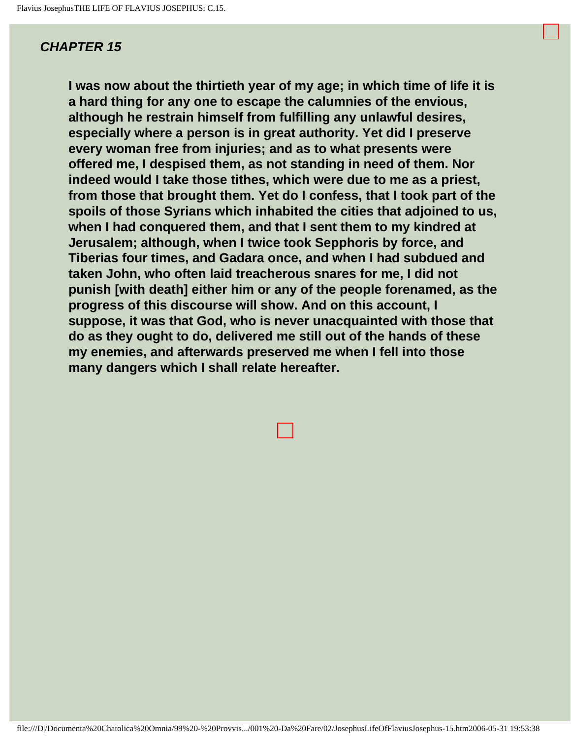<span id="page-24-0"></span>**I was now about the thirtieth year of my age; in which time of life it is a hard thing for any one to escape the calumnies of the envious, although he restrain himself from fulfilling any unlawful desires, especially where a person is in great authority. Yet did I preserve every woman free from injuries; and as to what presents were offered me, I despised them, as not standing in need of them. Nor indeed would I take those tithes, which were due to me as a priest, from those that brought them. Yet do I confess, that I took part of the spoils of those Syrians which inhabited the cities that adjoined to us, when I had conquered them, and that I sent them to my kindred at Jerusalem; although, when I twice took Sepphoris by force, and Tiberias four times, and Gadara once, and when I had subdued and taken John, who often laid treacherous snares for me, I did not punish [with death] either him or any of the people forenamed, as the progress of this discourse will show. And on this account, I suppose, it was that God, who is never unacquainted with those that do as they ought to do, delivered me still out of the hands of these my enemies, and afterwards preserved me when I fell into those many dangers which I shall relate hereafter.**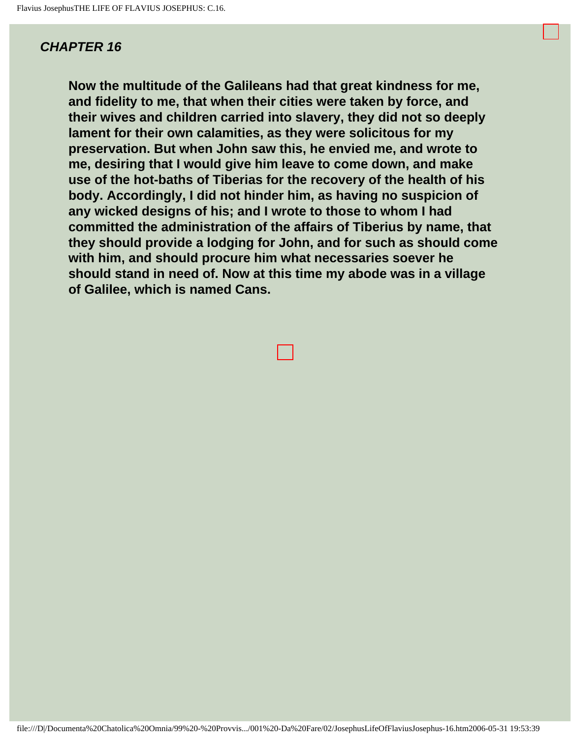<span id="page-25-0"></span>**Now the multitude of the Galileans had that great kindness for me, and fidelity to me, that when their cities were taken by force, and their wives and children carried into slavery, they did not so deeply lament for their own calamities, as they were solicitous for my preservation. But when John saw this, he envied me, and wrote to me, desiring that I would give him leave to come down, and make use of the hot-baths of Tiberias for the recovery of the health of his body. Accordingly, I did not hinder him, as having no suspicion of any wicked designs of his; and I wrote to those to whom I had committed the administration of the affairs of Tiberius by name, that they should provide a lodging for John, and for such as should come with him, and should procure him what necessaries soever he should stand in need of. Now at this time my abode was in a village of Galilee, which is named Cans.**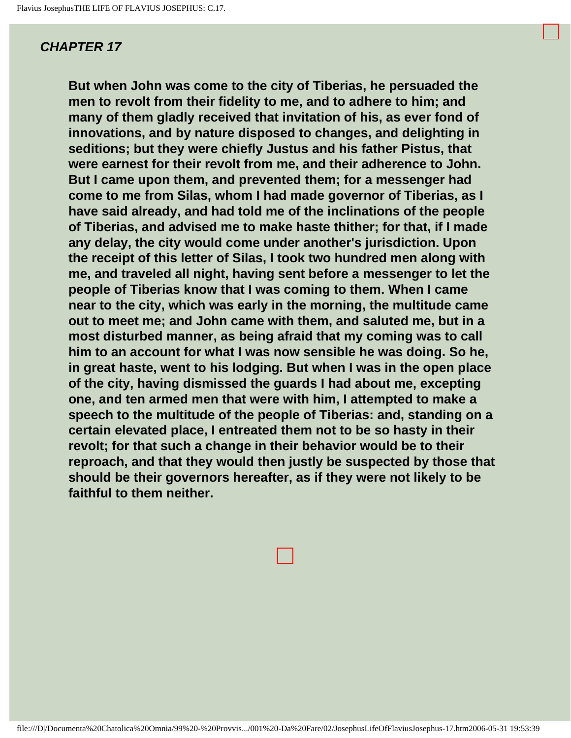<span id="page-26-0"></span>**But when John was come to the city of Tiberias, he persuaded the men to revolt from their fidelity to me, and to adhere to him; and many of them gladly received that invitation of his, as ever fond of innovations, and by nature disposed to changes, and delighting in seditions; but they were chiefly Justus and his father Pistus, that were earnest for their revolt from me, and their adherence to John. But I came upon them, and prevented them; for a messenger had come to me from Silas, whom I had made governor of Tiberias, as I have said already, and had told me of the inclinations of the people of Tiberias, and advised me to make haste thither; for that, if I made any delay, the city would come under another's jurisdiction. Upon the receipt of this letter of Silas, I took two hundred men along with me, and traveled all night, having sent before a messenger to let the people of Tiberias know that I was coming to them. When I came near to the city, which was early in the morning, the multitude came out to meet me; and John came with them, and saluted me, but in a most disturbed manner, as being afraid that my coming was to call him to an account for what I was now sensible he was doing. So he, in great haste, went to his lodging. But when I was in the open place of the city, having dismissed the guards I had about me, excepting one, and ten armed men that were with him, I attempted to make a speech to the multitude of the people of Tiberias: and, standing on a certain elevated place, I entreated them not to be so hasty in their revolt; for that such a change in their behavior would be to their reproach, and that they would then justly be suspected by those that should be their governors hereafter, as if they were not likely to be faithful to them neither.**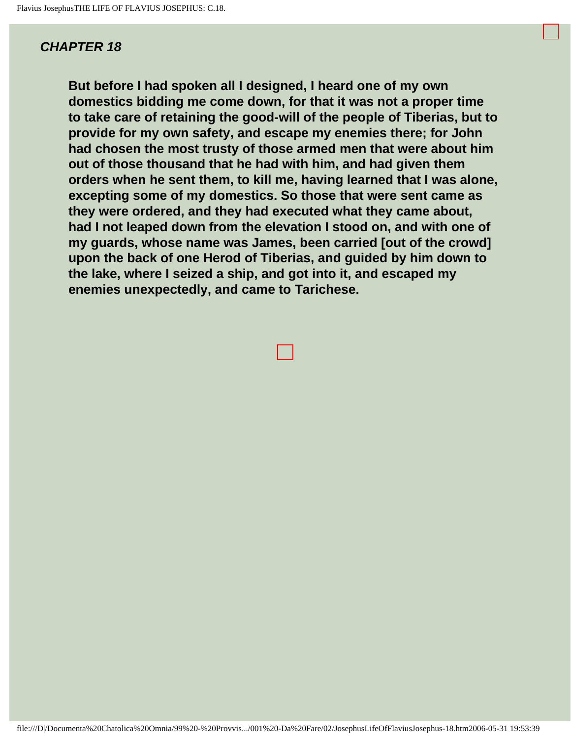<span id="page-27-0"></span>**But before I had spoken all I designed, I heard one of my own domestics bidding me come down, for that it was not a proper time to take care of retaining the good-will of the people of Tiberias, but to provide for my own safety, and escape my enemies there; for John had chosen the most trusty of those armed men that were about him out of those thousand that he had with him, and had given them orders when he sent them, to kill me, having learned that I was alone, excepting some of my domestics. So those that were sent came as they were ordered, and they had executed what they came about, had I not leaped down from the elevation I stood on, and with one of my guards, whose name was James, been carried [out of the crowd] upon the back of one Herod of Tiberias, and guided by him down to the lake, where I seized a ship, and got into it, and escaped my enemies unexpectedly, and came to Tarichese.**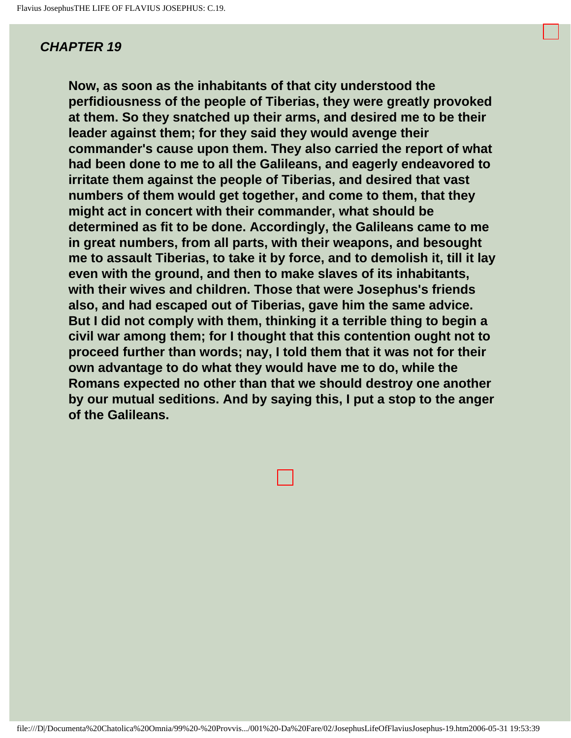<span id="page-28-0"></span>**Now, as soon as the inhabitants of that city understood the perfidiousness of the people of Tiberias, they were greatly provoked at them. So they snatched up their arms, and desired me to be their leader against them; for they said they would avenge their commander's cause upon them. They also carried the report of what had been done to me to all the Galileans, and eagerly endeavored to irritate them against the people of Tiberias, and desired that vast numbers of them would get together, and come to them, that they might act in concert with their commander, what should be determined as fit to be done. Accordingly, the Galileans came to me in great numbers, from all parts, with their weapons, and besought me to assault Tiberias, to take it by force, and to demolish it, till it lay even with the ground, and then to make slaves of its inhabitants, with their wives and children. Those that were Josephus's friends also, and had escaped out of Tiberias, gave him the same advice. But I did not comply with them, thinking it a terrible thing to begin a civil war among them; for I thought that this contention ought not to proceed further than words; nay, I told them that it was not for their own advantage to do what they would have me to do, while the Romans expected no other than that we should destroy one another by our mutual seditions. And by saying this, I put a stop to the anger of the Galileans.** 

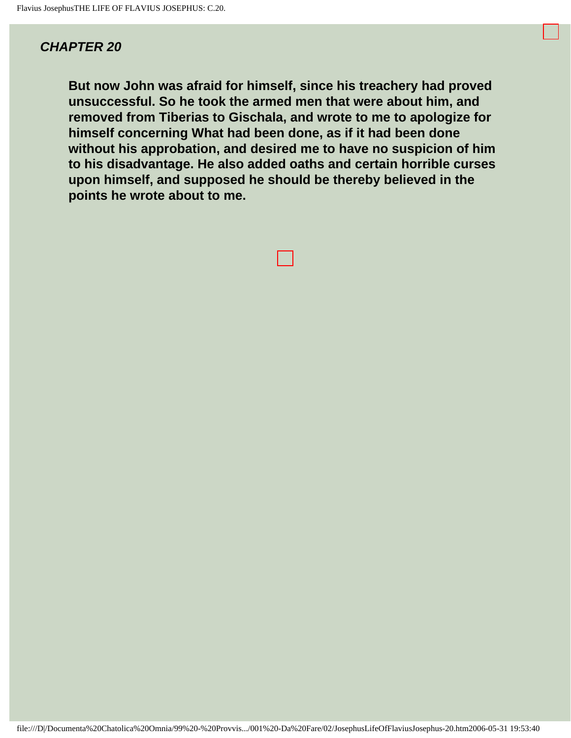<span id="page-29-0"></span>**But now John was afraid for himself, since his treachery had proved unsuccessful. So he took the armed men that were about him, and removed from Tiberias to Gischala, and wrote to me to apologize for himself concerning What had been done, as if it had been done without his approbation, and desired me to have no suspicion of him to his disadvantage. He also added oaths and certain horrible curses upon himself, and supposed he should be thereby believed in the points he wrote about to me.**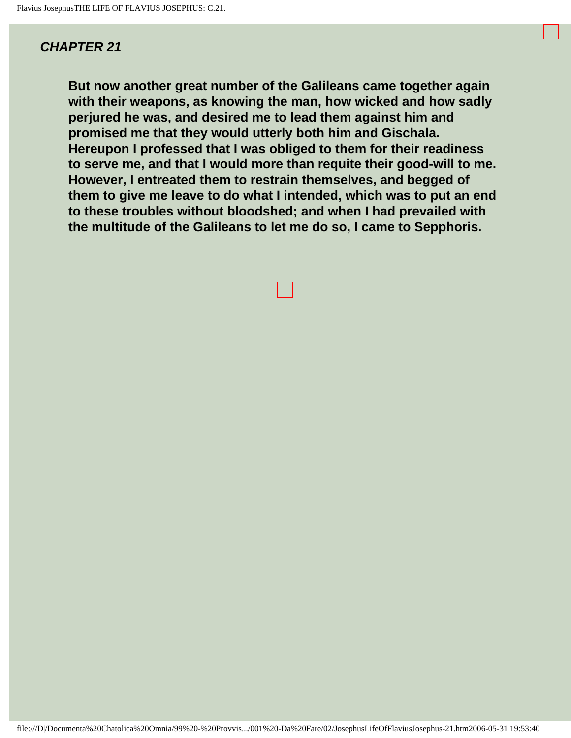<span id="page-30-0"></span>**But now another great number of the Galileans came together again with their weapons, as knowing the man, how wicked and how sadly perjured he was, and desired me to lead them against him and promised me that they would utterly both him and Gischala. Hereupon I professed that I was obliged to them for their readiness to serve me, and that I would more than requite their good-will to me. However, I entreated them to restrain themselves, and begged of them to give me leave to do what I intended, which was to put an end to these troubles without bloodshed; and when I had prevailed with the multitude of the Galileans to let me do so, I came to Sepphoris.**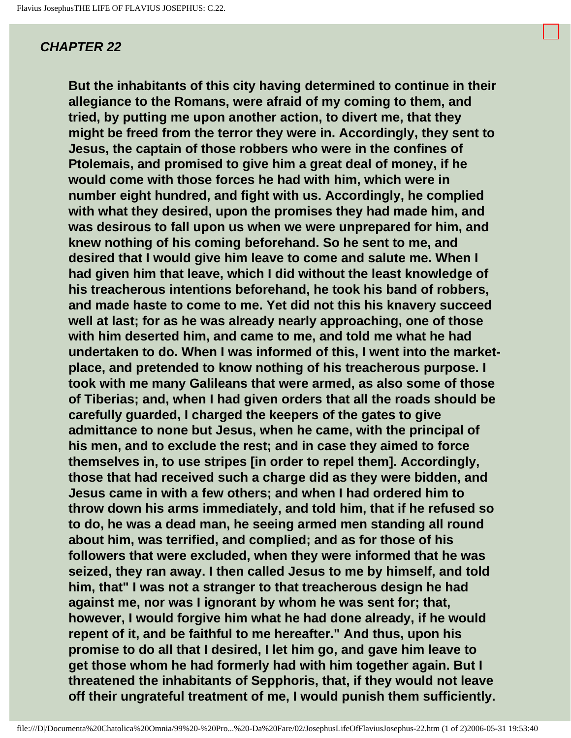<span id="page-31-0"></span>**But the inhabitants of this city having determined to continue in their allegiance to the Romans, were afraid of my coming to them, and tried, by putting me upon another action, to divert me, that they might be freed from the terror they were in. Accordingly, they sent to Jesus, the captain of those robbers who were in the confines of Ptolemais, and promised to give him a great deal of money, if he would come with those forces he had with him, which were in number eight hundred, and fight with us. Accordingly, he complied with what they desired, upon the promises they had made him, and was desirous to fall upon us when we were unprepared for him, and knew nothing of his coming beforehand. So he sent to me, and desired that I would give him leave to come and salute me. When I had given him that leave, which I did without the least knowledge of his treacherous intentions beforehand, he took his band of robbers, and made haste to come to me. Yet did not this his knavery succeed well at last; for as he was already nearly approaching, one of those with him deserted him, and came to me, and told me what he had undertaken to do. When I was informed of this, I went into the marketplace, and pretended to know nothing of his treacherous purpose. I took with me many Galileans that were armed, as also some of those of Tiberias; and, when I had given orders that all the roads should be carefully guarded, I charged the keepers of the gates to give admittance to none but Jesus, when he came, with the principal of his men, and to exclude the rest; and in case they aimed to force themselves in, to use stripes [in order to repel them]. Accordingly, those that had received such a charge did as they were bidden, and Jesus came in with a few others; and when I had ordered him to throw down his arms immediately, and told him, that if he refused so to do, he was a dead man, he seeing armed men standing all round about him, was terrified, and complied; and as for those of his followers that were excluded, when they were informed that he was seized, they ran away. I then called Jesus to me by himself, and told him, that" I was not a stranger to that treacherous design he had against me, nor was I ignorant by whom he was sent for; that, however, I would forgive him what he had done already, if he would repent of it, and be faithful to me hereafter." And thus, upon his promise to do all that I desired, I let him go, and gave him leave to get those whom he had formerly had with him together again. But I threatened the inhabitants of Sepphoris, that, if they would not leave off their ungrateful treatment of me, I would punish them sufficiently.**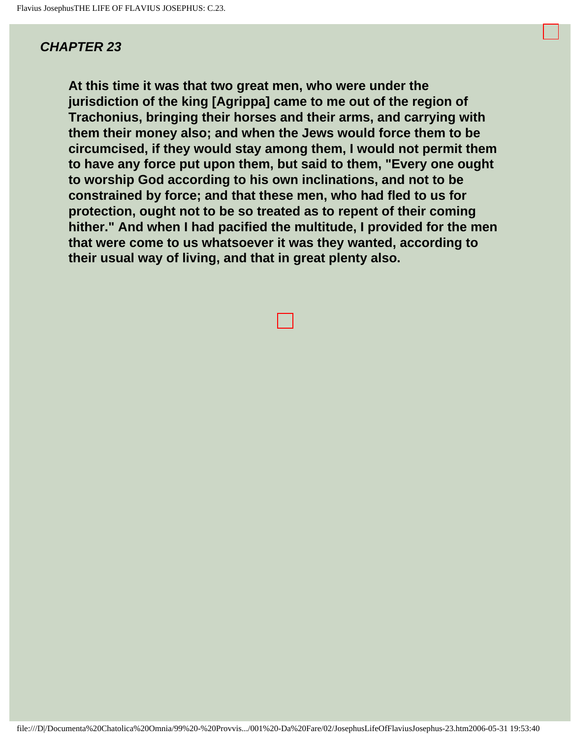<span id="page-33-0"></span>**At this time it was that two great men, who were under the jurisdiction of the king [Agrippa] came to me out of the region of Trachonius, bringing their horses and their arms, and carrying with them their money also; and when the Jews would force them to be circumcised, if they would stay among them, I would not permit them to have any force put upon them, but said to them, "Every one ought to worship God according to his own inclinations, and not to be constrained by force; and that these men, who had fled to us for protection, ought not to be so treated as to repent of their coming hither." And when I had pacified the multitude, I provided for the men that were come to us whatsoever it was they wanted, according to their usual way of living, and that in great plenty also.**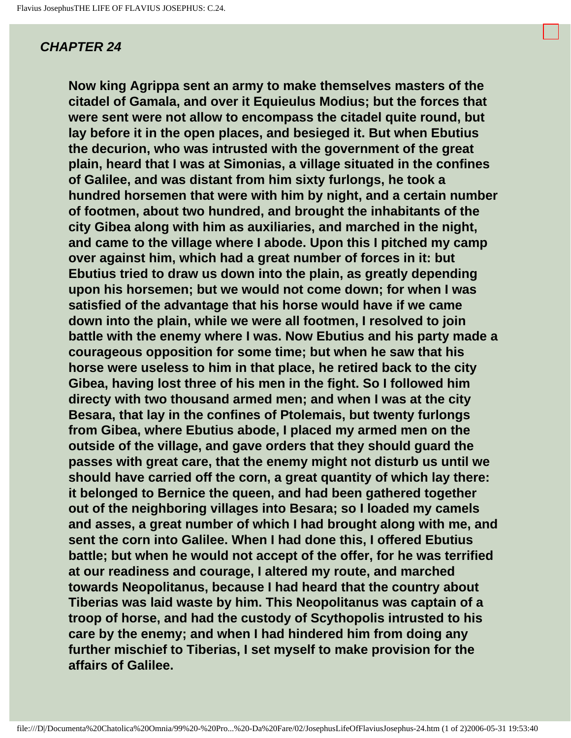<span id="page-34-0"></span>**Now king Agrippa sent an army to make themselves masters of the citadel of Gamala, and over it Equieulus Modius; but the forces that were sent were not allow to encompass the citadel quite round, but lay before it in the open places, and besieged it. But when Ebutius the decurion, who was intrusted with the government of the great plain, heard that I was at Simonias, a village situated in the confines of Galilee, and was distant from him sixty furlongs, he took a hundred horsemen that were with him by night, and a certain number of footmen, about two hundred, and brought the inhabitants of the city Gibea along with him as auxiliaries, and marched in the night, and came to the village where I abode. Upon this I pitched my camp over against him, which had a great number of forces in it: but Ebutius tried to draw us down into the plain, as greatly depending upon his horsemen; but we would not come down; for when I was satisfied of the advantage that his horse would have if we came down into the plain, while we were all footmen, I resolved to join battle with the enemy where I was. Now Ebutius and his party made a courageous opposition for some time; but when he saw that his horse were useless to him in that place, he retired back to the city Gibea, having lost three of his men in the fight. So I followed him directy with two thousand armed men; and when I was at the city Besara, that lay in the confines of Ptolemais, but twenty furlongs from Gibea, where Ebutius abode, I placed my armed men on the outside of the village, and gave orders that they should guard the passes with great care, that the enemy might not disturb us until we should have carried off the corn, a great quantity of which lay there: it belonged to Bernice the queen, and had been gathered together out of the neighboring villages into Besara; so I loaded my camels and asses, a great number of which I had brought along with me, and sent the corn into Galilee. When I had done this, I offered Ebutius battle; but when he would not accept of the offer, for he was terrified at our readiness and courage, I altered my route, and marched towards Neopolitanus, because I had heard that the country about Tiberias was laid waste by him. This Neopolitanus was captain of a troop of horse, and had the custody of Scythopolis intrusted to his care by the enemy; and when I had hindered him from doing any further mischief to Tiberias, I set myself to make provision for the affairs of Galilee.**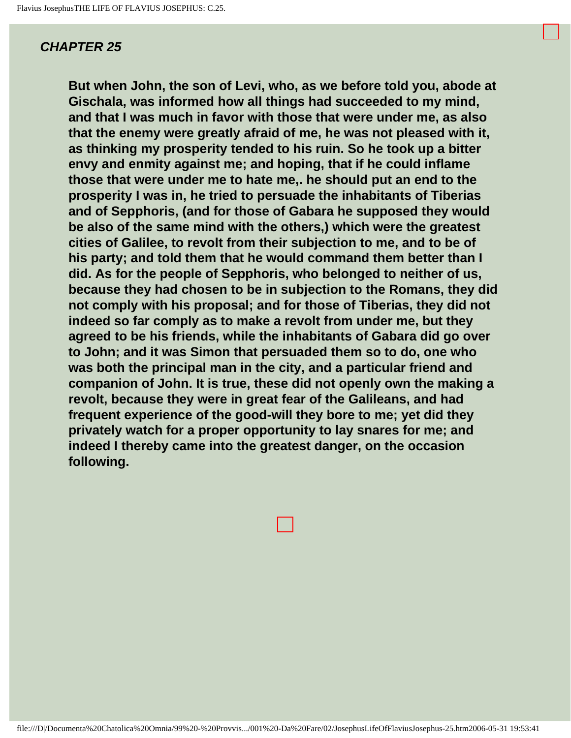**But when John, the son of Levi, who, as we before told you, abode at Gischala, was informed how all things had succeeded to my mind, and that I was much in favor with those that were under me, as also that the enemy were greatly afraid of me, he was not pleased with it, as thinking my prosperity tended to his ruin. So he took up a bitter envy and enmity against me; and hoping, that if he could inflame those that were under me to hate me,. he should put an end to the prosperity I was in, he tried to persuade the inhabitants of Tiberias and of Sepphoris, (and for those of Gabara he supposed they would be also of the same mind with the others,) which were the greatest cities of Galilee, to revolt from their subjection to me, and to be of his party; and told them that he would command them better than I did. As for the people of Sepphoris, who belonged to neither of us, because they had chosen to be in subjection to the Romans, they did not comply with his proposal; and for those of Tiberias, they did not indeed so far comply as to make a revolt from under me, but they agreed to be his friends, while the inhabitants of Gabara did go over to John; and it was Simon that persuaded them so to do, one who was both the principal man in the city, and a particular friend and companion of John. It is true, these did not openly own the making a revolt, because they were in great fear of the Galileans, and had frequent experience of the good-will they bore to me; yet did they privately watch for a proper opportunity to lay snares for me; and indeed I thereby came into the greatest danger, on the occasion following.**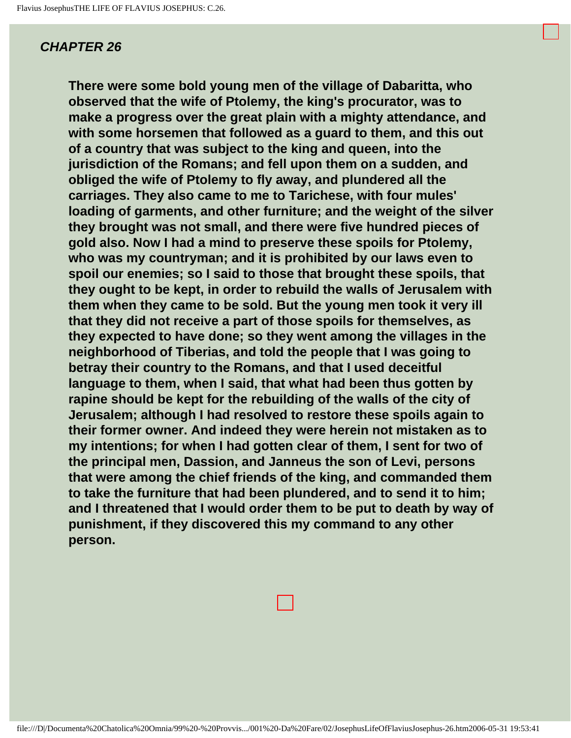**There were some bold young men of the village of Dabaritta, who observed that the wife of Ptolemy, the king's procurator, was to make a progress over the great plain with a mighty attendance, and with some horsemen that followed as a guard to them, and this out of a country that was subject to the king and queen, into the jurisdiction of the Romans; and fell upon them on a sudden, and obliged the wife of Ptolemy to fly away, and plundered all the carriages. They also came to me to Tarichese, with four mules' loading of garments, and other furniture; and the weight of the silver they brought was not small, and there were five hundred pieces of gold also. Now I had a mind to preserve these spoils for Ptolemy, who was my countryman; and it is prohibited by our laws even to spoil our enemies; so I said to those that brought these spoils, that they ought to be kept, in order to rebuild the walls of Jerusalem with them when they came to be sold. But the young men took it very ill that they did not receive a part of those spoils for themselves, as they expected to have done; so they went among the villages in the neighborhood of Tiberias, and told the people that I was going to betray their country to the Romans, and that I used deceitful language to them, when I said, that what had been thus gotten by rapine should be kept for the rebuilding of the walls of the city of Jerusalem; although I had resolved to restore these spoils again to their former owner. And indeed they were herein not mistaken as to my intentions; for when I had gotten clear of them, I sent for two of the principal men, Dassion, and Janneus the son of Levi, persons that were among the chief friends of the king, and commanded them to take the furniture that had been plundered, and to send it to him; and I threatened that I would order them to be put to death by way of punishment, if they discovered this my command to any other person.**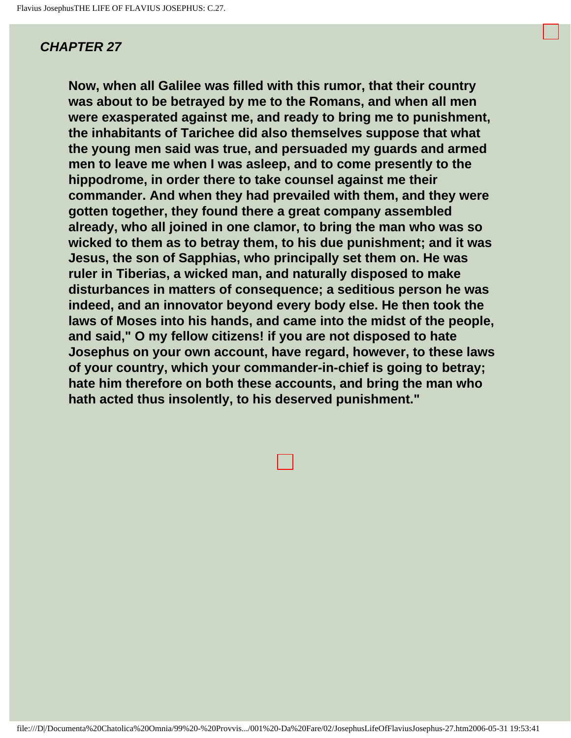**Now, when all Galilee was filled with this rumor, that their country was about to be betrayed by me to the Romans, and when all men were exasperated against me, and ready to bring me to punishment, the inhabitants of Tarichee did also themselves suppose that what the young men said was true, and persuaded my guards and armed men to leave me when I was asleep, and to come presently to the hippodrome, in order there to take counsel against me their commander. And when they had prevailed with them, and they were gotten together, they found there a great company assembled already, who all joined in one clamor, to bring the man who was so wicked to them as to betray them, to his due punishment; and it was Jesus, the son of Sapphias, who principally set them on. He was ruler in Tiberias, a wicked man, and naturally disposed to make disturbances in matters of consequence; a seditious person he was indeed, and an innovator beyond every body else. He then took the laws of Moses into his hands, and came into the midst of the people, and said," O my fellow citizens! if you are not disposed to hate Josephus on your own account, have regard, however, to these laws of your country, which your commander-in-chief is going to betray; hate him therefore on both these accounts, and bring the man who hath acted thus insolently, to his deserved punishment."**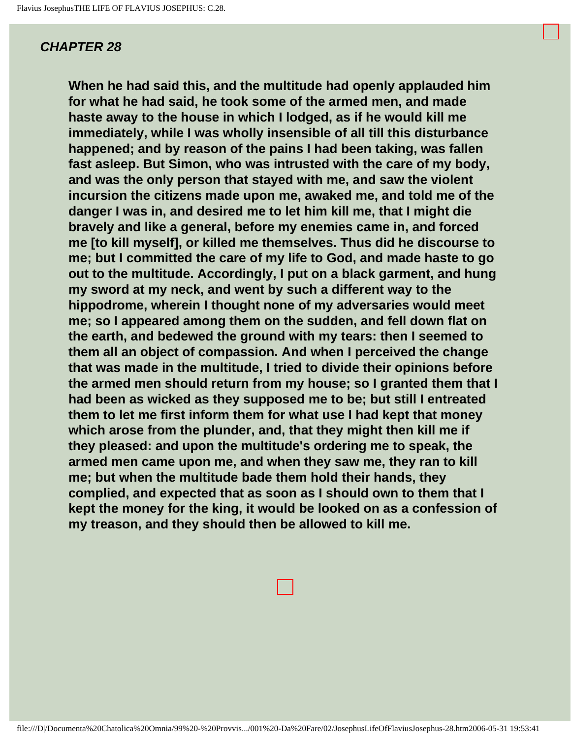**When he had said this, and the multitude had openly applauded him for what he had said, he took some of the armed men, and made haste away to the house in which I lodged, as if he would kill me immediately, while I was wholly insensible of all till this disturbance happened; and by reason of the pains I had been taking, was fallen fast asleep. But Simon, who was intrusted with the care of my body, and was the only person that stayed with me, and saw the violent incursion the citizens made upon me, awaked me, and told me of the danger I was in, and desired me to let him kill me, that I might die bravely and like a general, before my enemies came in, and forced me [to kill myself], or killed me themselves. Thus did he discourse to me; but I committed the care of my life to God, and made haste to go out to the multitude. Accordingly, I put on a black garment, and hung my sword at my neck, and went by such a different way to the hippodrome, wherein I thought none of my adversaries would meet me; so I appeared among them on the sudden, and fell down flat on the earth, and bedewed the ground with my tears: then I seemed to them all an object of compassion. And when I perceived the change that was made in the multitude, I tried to divide their opinions before the armed men should return from my house; so I granted them that I had been as wicked as they supposed me to be; but still I entreated them to let me first inform them for what use I had kept that money which arose from the plunder, and, that they might then kill me if they pleased: and upon the multitude's ordering me to speak, the armed men came upon me, and when they saw me, they ran to kill me; but when the multitude bade them hold their hands, they complied, and expected that as soon as I should own to them that I kept the money for the king, it would be looked on as a confession of my treason, and they should then be allowed to kill me.**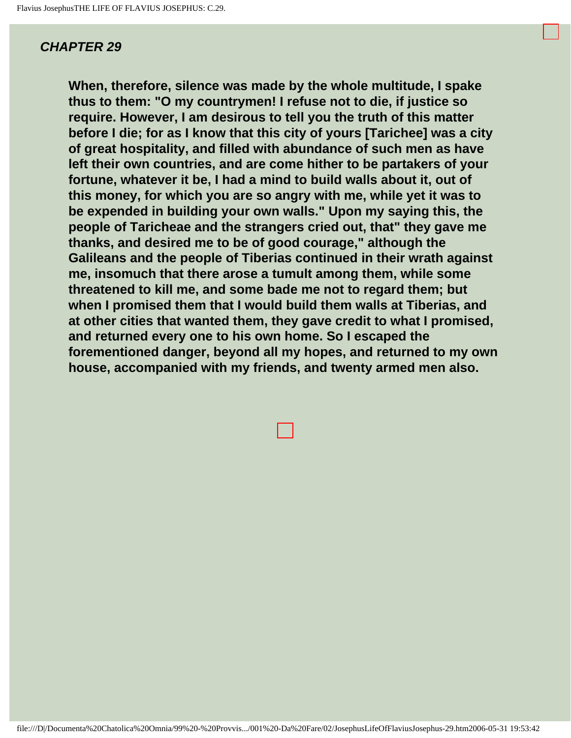**When, therefore, silence was made by the whole multitude, I spake thus to them: "O my countrymen! I refuse not to die, if justice so require. However, I am desirous to tell you the truth of this matter before I die; for as I know that this city of yours [Tarichee] was a city of great hospitality, and filled with abundance of such men as have left their own countries, and are come hither to be partakers of your fortune, whatever it be, I had a mind to build walls about it, out of this money, for which you are so angry with me, while yet it was to be expended in building your own walls." Upon my saying this, the people of Taricheae and the strangers cried out, that" they gave me thanks, and desired me to be of good courage," although the Galileans and the people of Tiberias continued in their wrath against me, insomuch that there arose a tumult among them, while some threatened to kill me, and some bade me not to regard them; but when I promised them that I would build them walls at Tiberias, and at other cities that wanted them, they gave credit to what I promised, and returned every one to his own home. So I escaped the forementioned danger, beyond all my hopes, and returned to my own house, accompanied with my friends, and twenty armed men also.**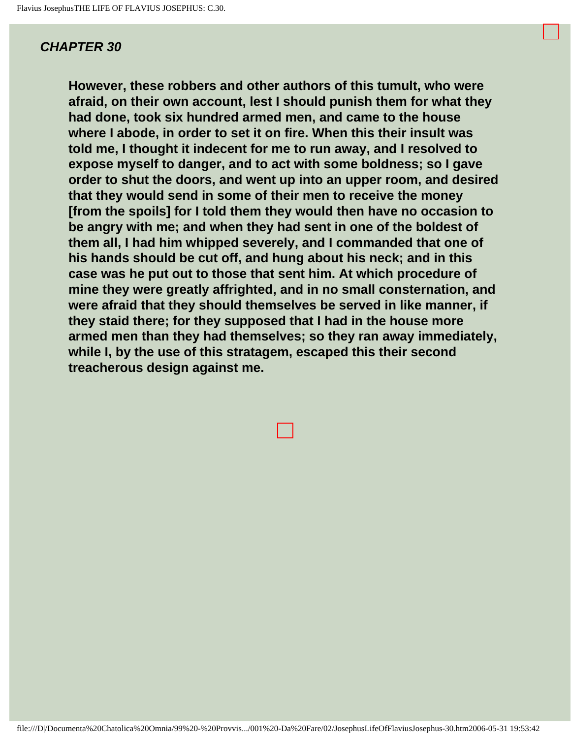**However, these robbers and other authors of this tumult, who were afraid, on their own account, lest I should punish them for what they had done, took six hundred armed men, and came to the house where I abode, in order to set it on fire. When this their insult was told me, I thought it indecent for me to run away, and I resolved to expose myself to danger, and to act with some boldness; so I gave order to shut the doors, and went up into an upper room, and desired that they would send in some of their men to receive the money [from the spoils] for I told them they would then have no occasion to be angry with me; and when they had sent in one of the boldest of them all, I had him whipped severely, and I commanded that one of his hands should be cut off, and hung about his neck; and in this case was he put out to those that sent him. At which procedure of mine they were greatly affrighted, and in no small consternation, and were afraid that they should themselves be served in like manner, if they staid there; for they supposed that I had in the house more armed men than they had themselves; so they ran away immediately, while I, by the use of this stratagem, escaped this their second treacherous design against me.**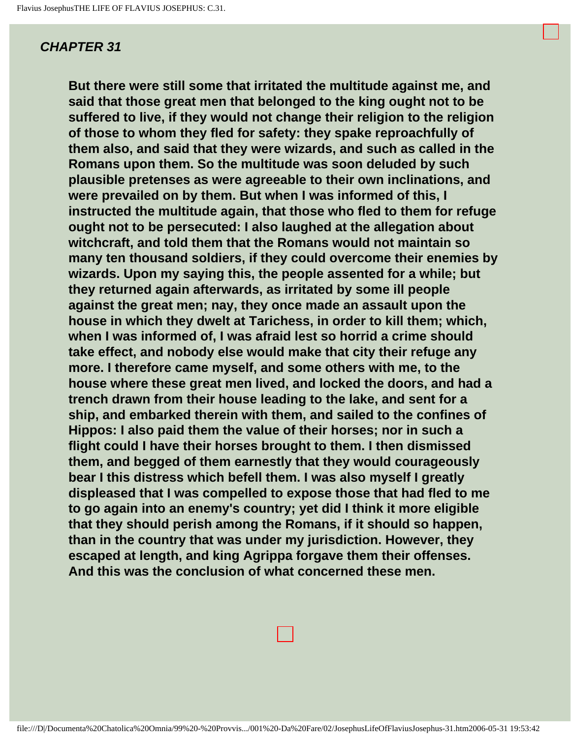**But there were still some that irritated the multitude against me, and said that those great men that belonged to the king ought not to be suffered to live, if they would not change their religion to the religion of those to whom they fled for safety: they spake reproachfully of them also, and said that they were wizards, and such as called in the Romans upon them. So the multitude was soon deluded by such plausible pretenses as were agreeable to their own inclinations, and were prevailed on by them. But when I was informed of this, I instructed the multitude again, that those who fled to them for refuge ought not to be persecuted: I also laughed at the allegation about witchcraft, and told them that the Romans would not maintain so many ten thousand soldiers, if they could overcome their enemies by wizards. Upon my saying this, the people assented for a while; but they returned again afterwards, as irritated by some ill people against the great men; nay, they once made an assault upon the house in which they dwelt at Tarichess, in order to kill them; which, when I was informed of, I was afraid lest so horrid a crime should take effect, and nobody else would make that city their refuge any more. I therefore came myself, and some others with me, to the house where these great men lived, and locked the doors, and had a trench drawn from their house leading to the lake, and sent for a ship, and embarked therein with them, and sailed to the confines of Hippos: I also paid them the value of their horses; nor in such a flight could I have their horses brought to them. I then dismissed them, and begged of them earnestly that they would courageously bear I this distress which befell them. I was also myself I greatly displeased that I was compelled to expose those that had fled to me to go again into an enemy's country; yet did I think it more eligible that they should perish among the Romans, if it should so happen, than in the country that was under my jurisdiction. However, they escaped at length, and king Agrippa forgave them their offenses. And this was the conclusion of what concerned these men.**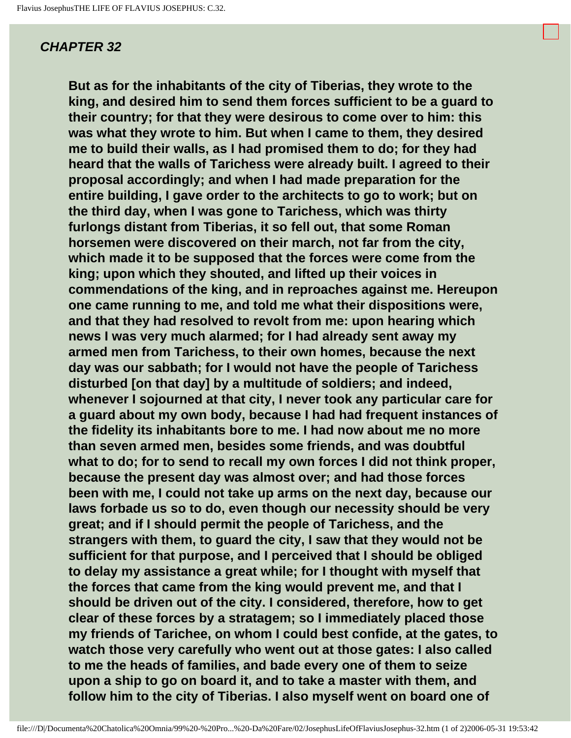**But as for the inhabitants of the city of Tiberias, they wrote to the king, and desired him to send them forces sufficient to be a guard to their country; for that they were desirous to come over to him: this was what they wrote to him. But when I came to them, they desired me to build their walls, as I had promised them to do; for they had heard that the walls of Tarichess were already built. I agreed to their proposal accordingly; and when I had made preparation for the entire building, I gave order to the architects to go to work; but on the third day, when I was gone to Tarichess, which was thirty furlongs distant from Tiberias, it so fell out, that some Roman horsemen were discovered on their march, not far from the city, which made it to be supposed that the forces were come from the king; upon which they shouted, and lifted up their voices in commendations of the king, and in reproaches against me. Hereupon one came running to me, and told me what their dispositions were, and that they had resolved to revolt from me: upon hearing which news I was very much alarmed; for I had already sent away my armed men from Tarichess, to their own homes, because the next day was our sabbath; for I would not have the people of Tarichess disturbed [on that day] by a multitude of soldiers; and indeed, whenever I sojourned at that city, I never took any particular care for a guard about my own body, because I had had frequent instances of the fidelity its inhabitants bore to me. I had now about me no more than seven armed men, besides some friends, and was doubtful what to do; for to send to recall my own forces I did not think proper, because the present day was almost over; and had those forces been with me, I could not take up arms on the next day, because our laws forbade us so to do, even though our necessity should be very great; and if I should permit the people of Tarichess, and the strangers with them, to guard the city, I saw that they would not be sufficient for that purpose, and I perceived that I should be obliged to delay my assistance a great while; for I thought with myself that the forces that came from the king would prevent me, and that I should be driven out of the city. I considered, therefore, how to get clear of these forces by a stratagem; so I immediately placed those my friends of Tarichee, on whom I could best confide, at the gates, to watch those very carefully who went out at those gates: I also called to me the heads of families, and bade every one of them to seize upon a ship to go on board it, and to take a master with them, and follow him to the city of Tiberias. I also myself went on board one of**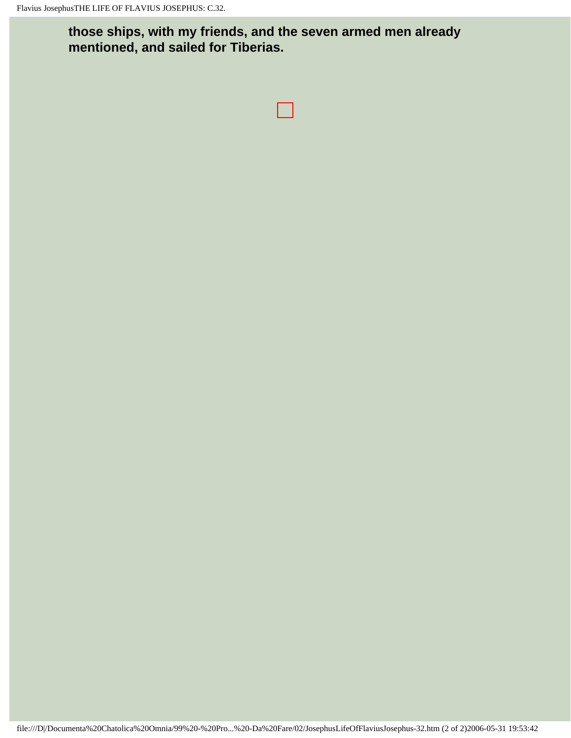**those ships, with my friends, and the seven armed men already mentioned, and sailed for Tiberias.**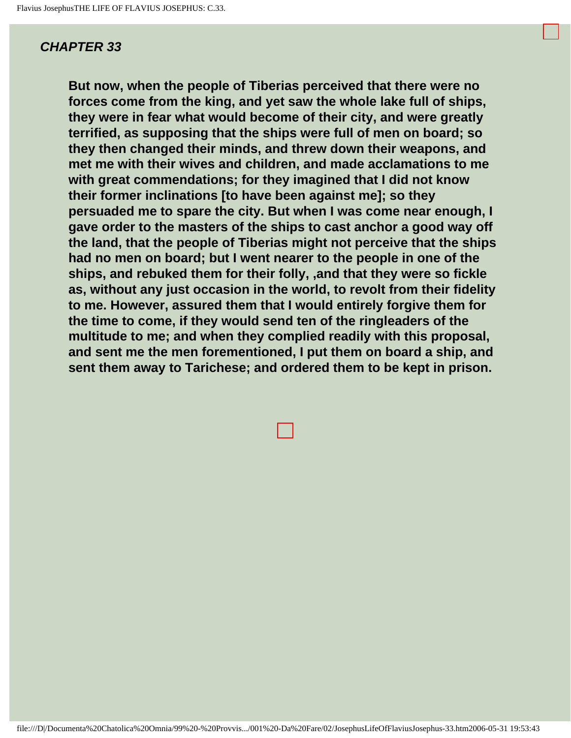**But now, when the people of Tiberias perceived that there were no forces come from the king, and yet saw the whole lake full of ships, they were in fear what would become of their city, and were greatly terrified, as supposing that the ships were full of men on board; so they then changed their minds, and threw down their weapons, and met me with their wives and children, and made acclamations to me with great commendations; for they imagined that I did not know their former inclinations [to have been against me]; so they persuaded me to spare the city. But when I was come near enough, I gave order to the masters of the ships to cast anchor a good way off the land, that the people of Tiberias might not perceive that the ships had no men on board; but I went nearer to the people in one of the ships, and rebuked them for their folly, ,and that they were so fickle as, without any just occasion in the world, to revolt from their fidelity to me. However, assured them that I would entirely forgive them for the time to come, if they would send ten of the ringleaders of the multitude to me; and when they complied readily with this proposal, and sent me the men forementioned, I put them on board a ship, and sent them away to Tarichese; and ordered them to be kept in prison.**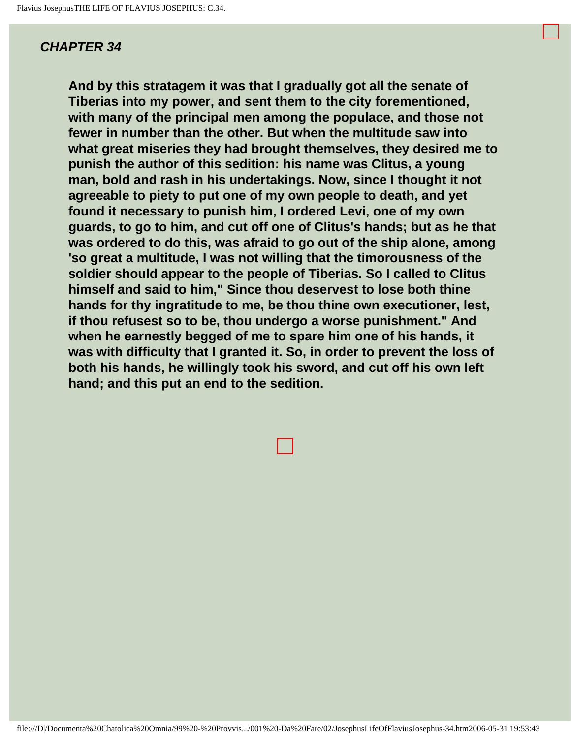**And by this stratagem it was that I gradually got all the senate of Tiberias into my power, and sent them to the city forementioned, with many of the principal men among the populace, and those not fewer in number than the other. But when the multitude saw into what great miseries they had brought themselves, they desired me to punish the author of this sedition: his name was Clitus, a young man, bold and rash in his undertakings. Now, since I thought it not agreeable to piety to put one of my own people to death, and yet found it necessary to punish him, I ordered Levi, one of my own guards, to go to him, and cut off one of Clitus's hands; but as he that was ordered to do this, was afraid to go out of the ship alone, among 'so great a multitude, I was not willing that the timorousness of the soldier should appear to the people of Tiberias. So I called to Clitus himself and said to him," Since thou deservest to lose both thine hands for thy ingratitude to me, be thou thine own executioner, lest, if thou refusest so to be, thou undergo a worse punishment." And when he earnestly begged of me to spare him one of his hands, it was with difficulty that I granted it. So, in order to prevent the loss of both his hands, he willingly took his sword, and cut off his own left hand; and this put an end to the sedition.**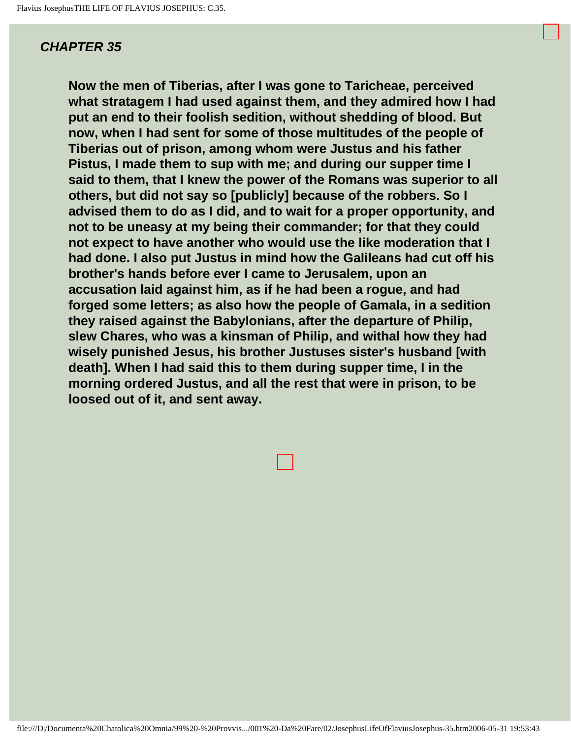**Now the men of Tiberias, after I was gone to Taricheae, perceived what stratagem I had used against them, and they admired how I had put an end to their foolish sedition, without shedding of blood. But now, when I had sent for some of those multitudes of the people of Tiberias out of prison, among whom were Justus and his father Pistus, I made them to sup with me; and during our supper time I said to them, that I knew the power of the Romans was superior to all others, but did not say so [publicly] because of the robbers. So I advised them to do as I did, and to wait for a proper opportunity, and not to be uneasy at my being their commander; for that they could not expect to have another who would use the like moderation that I had done. I also put Justus in mind how the Galileans had cut off his brother's hands before ever I came to Jerusalem, upon an accusation laid against him, as if he had been a rogue, and had forged some letters; as also how the people of Gamala, in a sedition they raised against the Babylonians, after the departure of Philip, slew Chares, who was a kinsman of Philip, and withal how they had wisely punished Jesus, his brother Justuses sister's husband [with death]. When I had said this to them during supper time, I in the morning ordered Justus, and all the rest that were in prison, to be loosed out of it, and sent away.** 

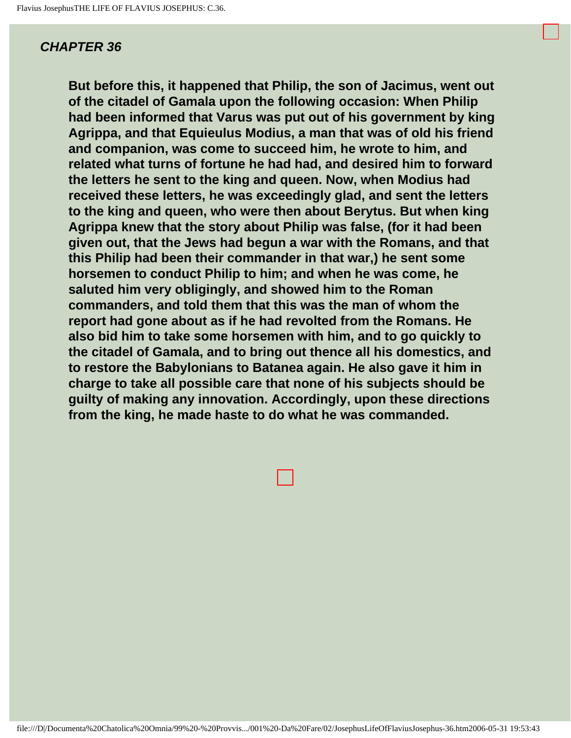**But before this, it happened that Philip, the son of Jacimus, went out of the citadel of Gamala upon the following occasion: When Philip had been informed that Varus was put out of his government by king Agrippa, and that Equieulus Modius, a man that was of old his friend and companion, was come to succeed him, he wrote to him, and related what turns of fortune he had had, and desired him to forward the letters he sent to the king and queen. Now, when Modius had received these letters, he was exceedingly glad, and sent the letters to the king and queen, who were then about Berytus. But when king Agrippa knew that the story about Philip was false, (for it had been given out, that the Jews had begun a war with the Romans, and that this Philip had been their commander in that war,) he sent some horsemen to conduct Philip to him; and when he was come, he saluted him very obligingly, and showed him to the Roman commanders, and told them that this was the man of whom the report had gone about as if he had revolted from the Romans. He also bid him to take some horsemen with him, and to go quickly to the citadel of Gamala, and to bring out thence all his domestics, and to restore the Babylonians to Batanea again. He also gave it him in charge to take all possible care that none of his subjects should be guilty of making any innovation. Accordingly, upon these directions from the king, he made haste to do what he was commanded.**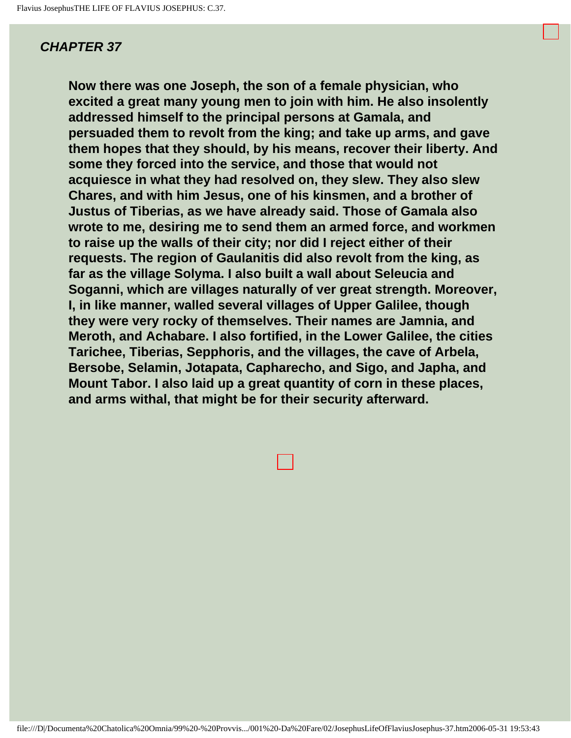**Now there was one Joseph, the son of a female physician, who excited a great many young men to join with him. He also insolently addressed himself to the principal persons at Gamala, and persuaded them to revolt from the king; and take up arms, and gave them hopes that they should, by his means, recover their liberty. And some they forced into the service, and those that would not acquiesce in what they had resolved on, they slew. They also slew Chares, and with him Jesus, one of his kinsmen, and a brother of Justus of Tiberias, as we have already said. Those of Gamala also wrote to me, desiring me to send them an armed force, and workmen to raise up the walls of their city; nor did I reject either of their requests. The region of Gaulanitis did also revolt from the king, as far as the village Solyma. I also built a wall about Seleucia and Soganni, which are villages naturally of ver great strength. Moreover, I, in like manner, walled several villages of Upper Galilee, though they were very rocky of themselves. Their names are Jamnia, and Meroth, and Achabare. I also fortified, in the Lower Galilee, the cities Tarichee, Tiberias, Sepphoris, and the villages, the cave of Arbela, Bersobe, Selamin, Jotapata, Capharecho, and Sigo, and Japha, and Mount Tabor. I also laid up a great quantity of corn in these places, and arms withal, that might be for their security afterward.**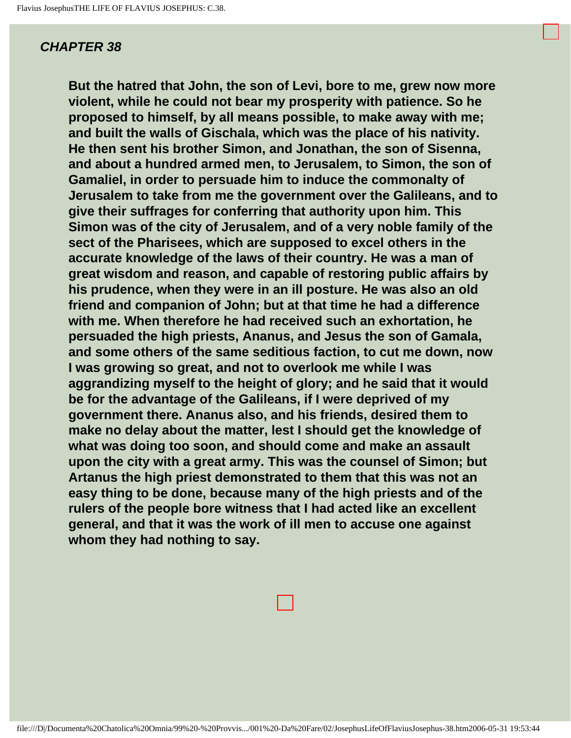**But the hatred that John, the son of Levi, bore to me, grew now more violent, while he could not bear my prosperity with patience. So he proposed to himself, by all means possible, to make away with me; and built the walls of Gischala, which was the place of his nativity. He then sent his brother Simon, and Jonathan, the son of Sisenna, and about a hundred armed men, to Jerusalem, to Simon, the son of Gamaliel, in order to persuade him to induce the commonalty of Jerusalem to take from me the government over the Galileans, and to give their suffrages for conferring that authority upon him. This Simon was of the city of Jerusalem, and of a very noble family of the sect of the Pharisees, which are supposed to excel others in the accurate knowledge of the laws of their country. He was a man of great wisdom and reason, and capable of restoring public affairs by his prudence, when they were in an ill posture. He was also an old friend and companion of John; but at that time he had a difference with me. When therefore he had received such an exhortation, he persuaded the high priests, Ananus, and Jesus the son of Gamala, and some others of the same seditious faction, to cut me down, now I was growing so great, and not to overlook me while I was aggrandizing myself to the height of glory; and he said that it would be for the advantage of the Galileans, if I were deprived of my government there. Ananus also, and his friends, desired them to make no delay about the matter, lest I should get the knowledge of what was doing too soon, and should come and make an assault upon the city with a great army. This was the counsel of Simon; but Artanus the high priest demonstrated to them that this was not an easy thing to be done, because many of the high priests and of the rulers of the people bore witness that I had acted like an excellent general, and that it was the work of ill men to accuse one against whom they had nothing to say.**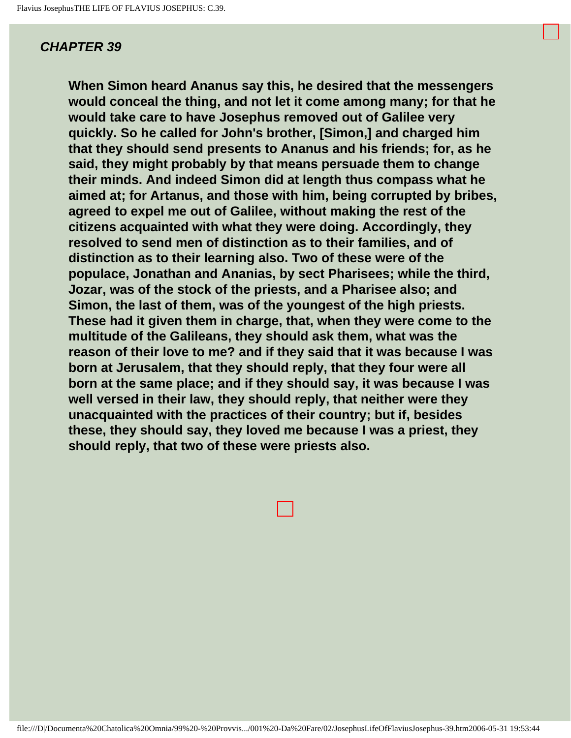**When Simon heard Ananus say this, he desired that the messengers would conceal the thing, and not let it come among many; for that he would take care to have Josephus removed out of Galilee very quickly. So he called for John's brother, [Simon,] and charged him that they should send presents to Ananus and his friends; for, as he said, they might probably by that means persuade them to change their minds. And indeed Simon did at length thus compass what he aimed at; for Artanus, and those with him, being corrupted by bribes, agreed to expel me out of Galilee, without making the rest of the citizens acquainted with what they were doing. Accordingly, they resolved to send men of distinction as to their families, and of distinction as to their learning also. Two of these were of the populace, Jonathan and Ananias, by sect Pharisees; while the third, Jozar, was of the stock of the priests, and a Pharisee also; and Simon, the last of them, was of the youngest of the high priests. These had it given them in charge, that, when they were come to the multitude of the Galileans, they should ask them, what was the reason of their love to me? and if they said that it was because I was born at Jerusalem, that they should reply, that they four were all born at the same place; and if they should say, it was because I was well versed in their law, they should reply, that neither were they unacquainted with the practices of their country; but if, besides these, they should say, they loved me because I was a priest, they should reply, that two of these were priests also.**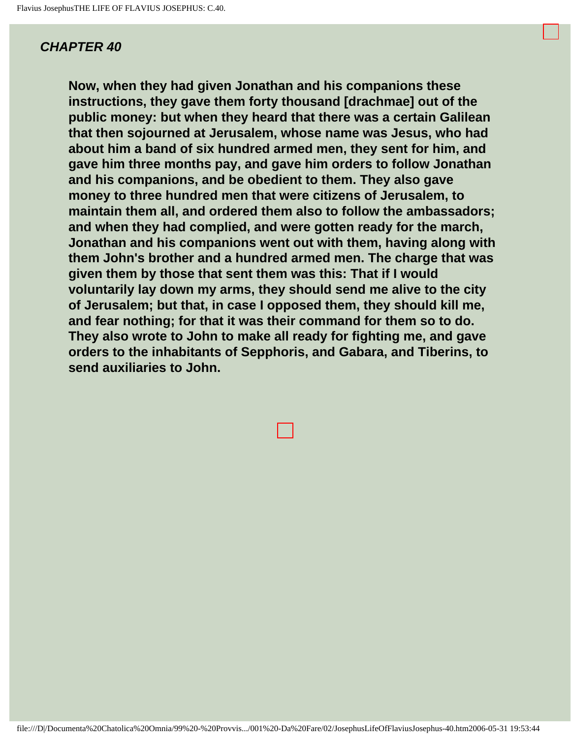**Now, when they had given Jonathan and his companions these instructions, they gave them forty thousand [drachmae] out of the public money: but when they heard that there was a certain Galilean that then sojourned at Jerusalem, whose name was Jesus, who had about him a band of six hundred armed men, they sent for him, and gave him three months pay, and gave him orders to follow Jonathan and his companions, and be obedient to them. They also gave money to three hundred men that were citizens of Jerusalem, to maintain them all, and ordered them also to follow the ambassadors; and when they had complied, and were gotten ready for the march, Jonathan and his companions went out with them, having along with them John's brother and a hundred armed men. The charge that was given them by those that sent them was this: That if I would voluntarily lay down my arms, they should send me alive to the city of Jerusalem; but that, in case I opposed them, they should kill me, and fear nothing; for that it was their command for them so to do. They also wrote to John to make all ready for fighting me, and gave orders to the inhabitants of Sepphoris, and Gabara, and Tiberins, to send auxiliaries to John.**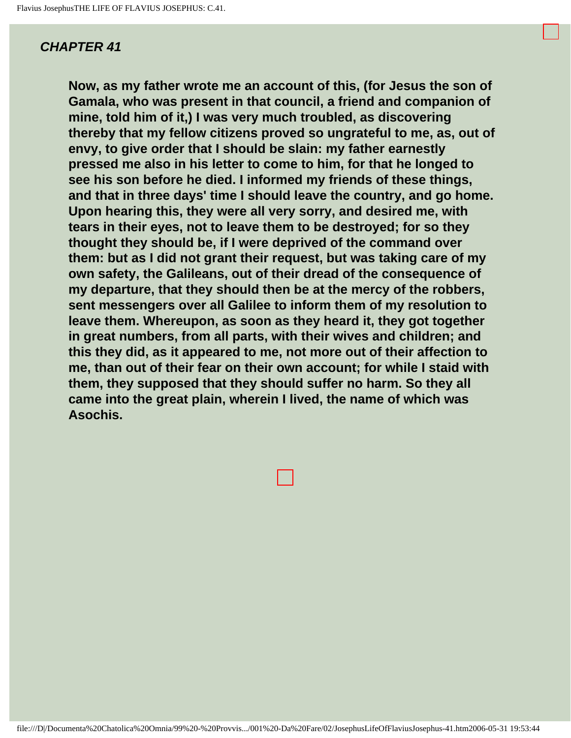**Now, as my father wrote me an account of this, (for Jesus the son of Gamala, who was present in that council, a friend and companion of mine, told him of it,) I was very much troubled, as discovering thereby that my fellow citizens proved so ungrateful to me, as, out of envy, to give order that I should be slain: my father earnestly pressed me also in his letter to come to him, for that he longed to see his son before he died. I informed my friends of these things, and that in three days' time I should leave the country, and go home. Upon hearing this, they were all very sorry, and desired me, with tears in their eyes, not to leave them to be destroyed; for so they thought they should be, if I were deprived of the command over them: but as I did not grant their request, but was taking care of my own safety, the Galileans, out of their dread of the consequence of my departure, that they should then be at the mercy of the robbers, sent messengers over all Galilee to inform them of my resolution to leave them. Whereupon, as soon as they heard it, they got together in great numbers, from all parts, with their wives and children; and this they did, as it appeared to me, not more out of their affection to me, than out of their fear on their own account; for while I staid with them, they supposed that they should suffer no harm. So they all came into the great plain, wherein I lived, the name of which was Asochis.**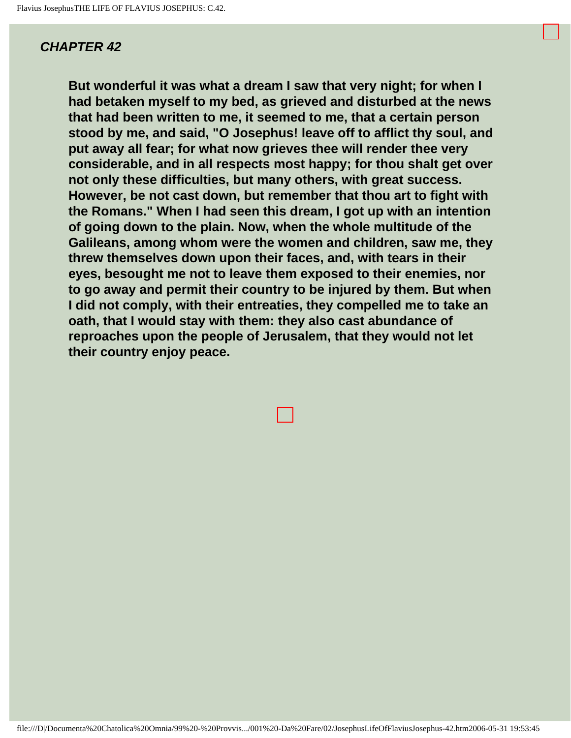**But wonderful it was what a dream I saw that very night; for when I had betaken myself to my bed, as grieved and disturbed at the news that had been written to me, it seemed to me, that a certain person stood by me, and said, "O Josephus! leave off to afflict thy soul, and put away all fear; for what now grieves thee will render thee very considerable, and in all respects most happy; for thou shalt get over not only these difficulties, but many others, with great success. However, be not cast down, but remember that thou art to fight with the Romans." When I had seen this dream, I got up with an intention of going down to the plain. Now, when the whole multitude of the Galileans, among whom were the women and children, saw me, they threw themselves down upon their faces, and, with tears in their eyes, besought me not to leave them exposed to their enemies, nor to go away and permit their country to be injured by them. But when I did not comply, with their entreaties, they compelled me to take an oath, that I would stay with them: they also cast abundance of reproaches upon the people of Jerusalem, that they would not let their country enjoy peace.**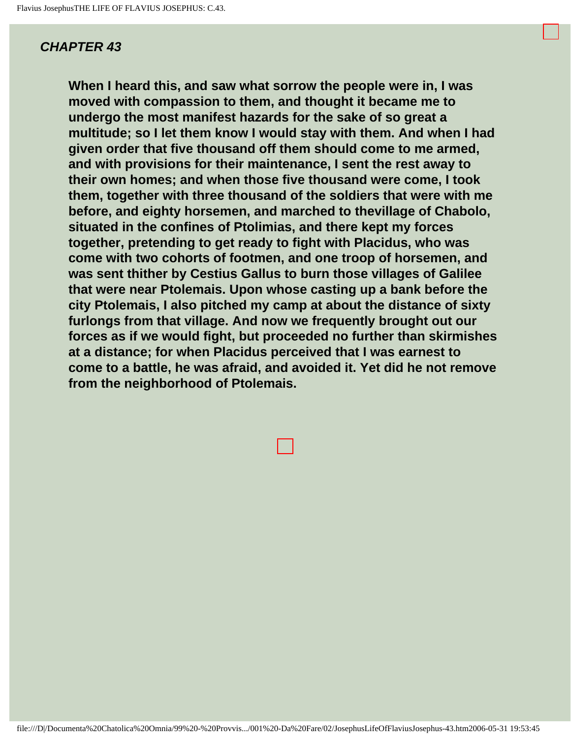**When I heard this, and saw what sorrow the people were in, I was moved with compassion to them, and thought it became me to undergo the most manifest hazards for the sake of so great a multitude; so I let them know I would stay with them. And when I had given order that five thousand off them should come to me armed, and with provisions for their maintenance, I sent the rest away to their own homes; and when those five thousand were come, I took them, together with three thousand of the soldiers that were with me before, and eighty horsemen, and marched to thevillage of Chabolo, situated in the confines of Ptolimias, and there kept my forces together, pretending to get ready to fight with Placidus, who was come with two cohorts of footmen, and one troop of horsemen, and was sent thither by Cestius Gallus to burn those villages of Galilee that were near Ptolemais. Upon whose casting up a bank before the city Ptolemais, I also pitched my camp at about the distance of sixty furlongs from that village. And now we frequently brought out our forces as if we would fight, but proceeded no further than skirmishes at a distance; for when Placidus perceived that I was earnest to come to a battle, he was afraid, and avoided it. Yet did he not remove from the neighborhood of Ptolemais.**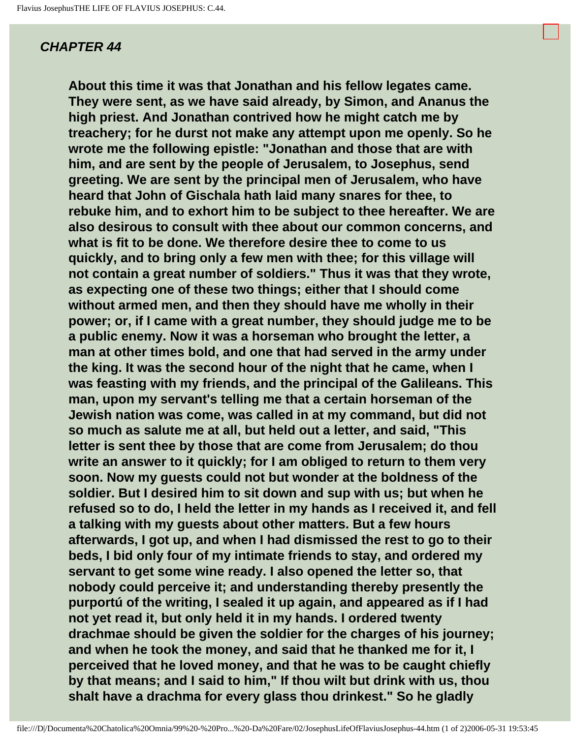**About this time it was that Jonathan and his fellow legates came. They were sent, as we have said already, by Simon, and Ananus the high priest. And Jonathan contrived how he might catch me by treachery; for he durst not make any attempt upon me openly. So he wrote me the following epistle: "Jonathan and those that are with him, and are sent by the people of Jerusalem, to Josephus, send greeting. We are sent by the principal men of Jerusalem, who have heard that John of Gischala hath laid many snares for thee, to rebuke him, and to exhort him to be subject to thee hereafter. We are also desirous to consult with thee about our common concerns, and what is fit to be done. We therefore desire thee to come to us quickly, and to bring only a few men with thee; for this village will not contain a great number of soldiers." Thus it was that they wrote, as expecting one of these two things; either that I should come without armed men, and then they should have me wholly in their power; or, if I came with a great number, they should judge me to be a public enemy. Now it was a horseman who brought the letter, a man at other times bold, and one that had served in the army under the king. It was the second hour of the night that he came, when I was feasting with my friends, and the principal of the Galileans. This man, upon my servant's telling me that a certain horseman of the Jewish nation was come, was called in at my command, but did not so much as salute me at all, but held out a letter, and said, "This letter is sent thee by those that are come from Jerusalem; do thou write an answer to it quickly; for I am obliged to return to them very soon. Now my guests could not but wonder at the boldness of the soldier. But I desired him to sit down and sup with us; but when he refused so to do, I held the letter in my hands as I received it, and fell a talking with my guests about other matters. But a few hours afterwards, I got up, and when I had dismissed the rest to go to their beds, I bid only four of my intimate friends to stay, and ordered my servant to get some wine ready. I also opened the letter so, that nobody could perceive it; and understanding thereby presently the purportú of the writing, I sealed it up again, and appeared as if I had not yet read it, but only held it in my hands. I ordered twenty drachmae should be given the soldier for the charges of his journey; and when he took the money, and said that he thanked me for it, I perceived that he loved money, and that he was to be caught chiefly by that means; and I said to him," If thou wilt but drink with us, thou shalt have a drachma for every glass thou drinkest." So he gladly**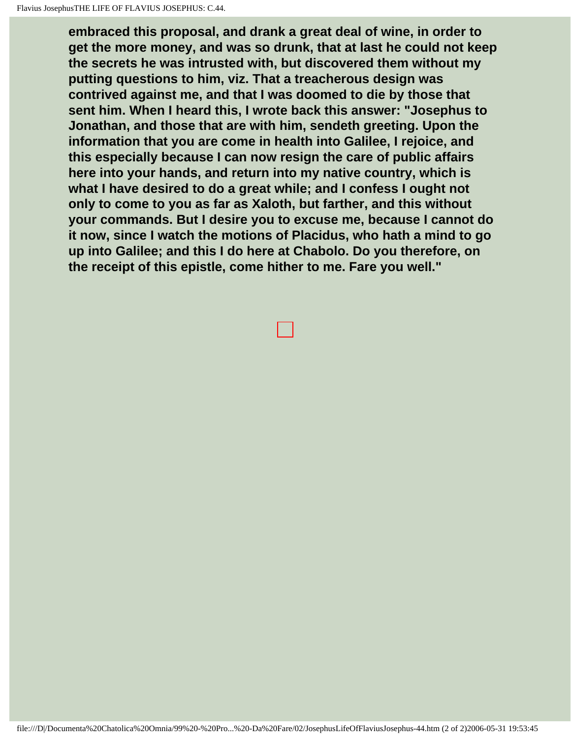**embraced this proposal, and drank a great deal of wine, in order to get the more money, and was so drunk, that at last he could not keep the secrets he was intrusted with, but discovered them without my putting questions to him, viz. That a treacherous design was contrived against me, and that I was doomed to die by those that sent him. When I heard this, I wrote back this answer: "Josephus to Jonathan, and those that are with him, sendeth greeting. Upon the information that you are come in health into Galilee, I rejoice, and this especially because I can now resign the care of public affairs here into your hands, and return into my native country, which is what I have desired to do a great while; and I confess I ought not only to come to you as far as Xaloth, but farther, and this without your commands. But I desire you to excuse me, because I cannot do it now, since I watch the motions of Placidus, who hath a mind to go up into Galilee; and this I do here at Chabolo. Do you therefore, on the receipt of this epistle, come hither to me. Fare you well."**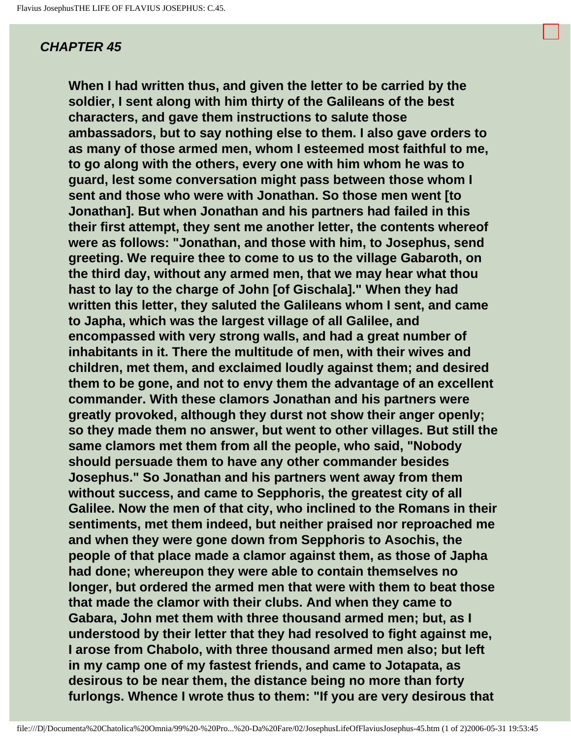**When I had written thus, and given the letter to be carried by the soldier, I sent along with him thirty of the Galileans of the best characters, and gave them instructions to salute those ambassadors, but to say nothing else to them. I also gave orders to as many of those armed men, whom I esteemed most faithful to me, to go along with the others, every one with him whom he was to guard, lest some conversation might pass between those whom I sent and those who were with Jonathan. So those men went [to Jonathan]. But when Jonathan and his partners had failed in this their first attempt, they sent me another letter, the contents whereof were as follows: "Jonathan, and those with him, to Josephus, send greeting. We require thee to come to us to the village Gabaroth, on the third day, without any armed men, that we may hear what thou hast to lay to the charge of John [of Gischala]." When they had written this letter, they saluted the Galileans whom I sent, and came to Japha, which was the largest village of all Galilee, and encompassed with very strong walls, and had a great number of inhabitants in it. There the multitude of men, with their wives and children, met them, and exclaimed loudly against them; and desired them to be gone, and not to envy them the advantage of an excellent commander. With these clamors Jonathan and his partners were greatly provoked, although they durst not show their anger openly; so they made them no answer, but went to other villages. But still the same clamors met them from all the people, who said, "Nobody should persuade them to have any other commander besides Josephus." So Jonathan and his partners went away from them without success, and came to Sepphoris, the greatest city of all Galilee. Now the men of that city, who inclined to the Romans in their sentiments, met them indeed, but neither praised nor reproached me and when they were gone down from Sepphoris to Asochis, the people of that place made a clamor against them, as those of Japha had done; whereupon they were able to contain themselves no longer, but ordered the armed men that were with them to beat those that made the clamor with their clubs. And when they came to Gabara, John met them with three thousand armed men; but, as I understood by their letter that they had resolved to fight against me, I arose from Chabolo, with three thousand armed men also; but left in my camp one of my fastest friends, and came to Jotapata, as desirous to be near them, the distance being no more than forty furlongs. Whence I wrote thus to them: "If you are very desirous that**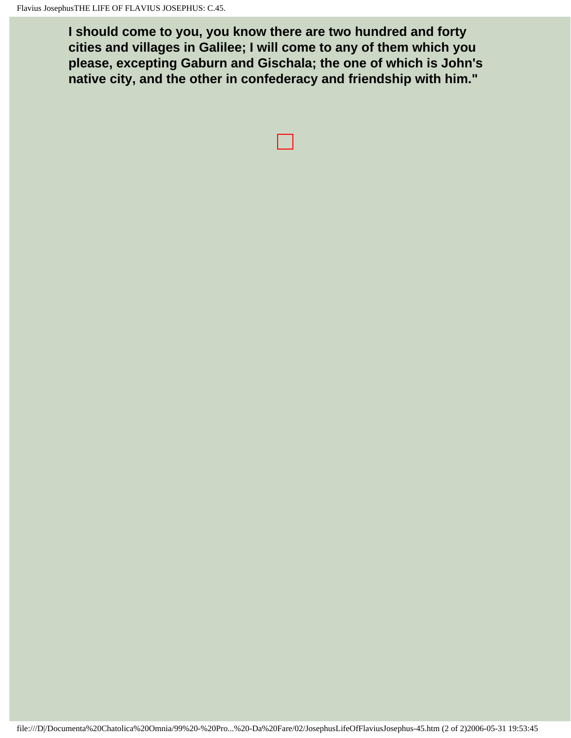**I should come to you, you know there are two hundred and forty cities and villages in Galilee; I will come to any of them which you please, excepting Gaburn and Gischala; the one of which is John's native city, and the other in confederacy and friendship with him."**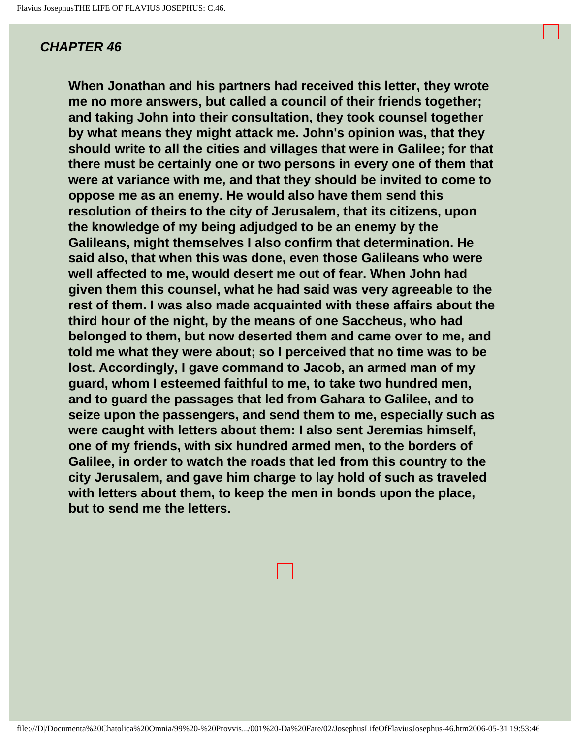**When Jonathan and his partners had received this letter, they wrote me no more answers, but called a council of their friends together; and taking John into their consultation, they took counsel together by what means they might attack me. John's opinion was, that they should write to all the cities and villages that were in Galilee; for that there must be certainly one or two persons in every one of them that were at variance with me, and that they should be invited to come to oppose me as an enemy. He would also have them send this resolution of theirs to the city of Jerusalem, that its citizens, upon the knowledge of my being adjudged to be an enemy by the Galileans, might themselves I also confirm that determination. He said also, that when this was done, even those Galileans who were well affected to me, would desert me out of fear. When John had given them this counsel, what he had said was very agreeable to the rest of them. I was also made acquainted with these affairs about the third hour of the night, by the means of one Saccheus, who had belonged to them, but now deserted them and came over to me, and told me what they were about; so I perceived that no time was to be lost. Accordingly, I gave command to Jacob, an armed man of my guard, whom I esteemed faithful to me, to take two hundred men, and to guard the passages that led from Gahara to Galilee, and to seize upon the passengers, and send them to me, especially such as were caught with letters about them: I also sent Jeremias himself, one of my friends, with six hundred armed men, to the borders of Galilee, in order to watch the roads that led from this country to the city Jerusalem, and gave him charge to lay hold of such as traveled with letters about them, to keep the men in bonds upon the place, but to send me the letters.**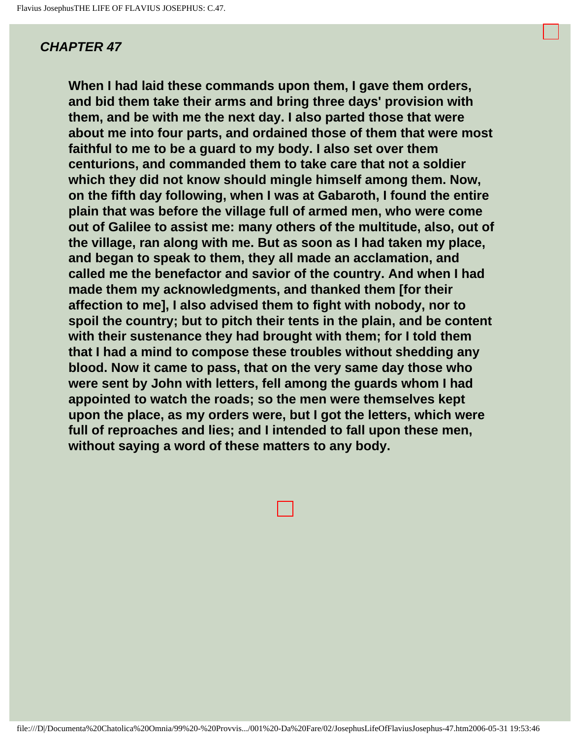**When I had laid these commands upon them, I gave them orders, and bid them take their arms and bring three days' provision with them, and be with me the next day. I also parted those that were about me into four parts, and ordained those of them that were most faithful to me to be a guard to my body. I also set over them centurions, and commanded them to take care that not a soldier which they did not know should mingle himself among them. Now, on the fifth day following, when I was at Gabaroth, I found the entire plain that was before the village full of armed men, who were come out of Galilee to assist me: many others of the multitude, also, out of the village, ran along with me. But as soon as I had taken my place, and began to speak to them, they all made an acclamation, and called me the benefactor and savior of the country. And when I had made them my acknowledgments, and thanked them [for their affection to me], I also advised them to fight with nobody, nor to spoil the country; but to pitch their tents in the plain, and be content with their sustenance they had brought with them; for I told them that I had a mind to compose these troubles without shedding any blood. Now it came to pass, that on the very same day those who were sent by John with letters, fell among the guards whom I had appointed to watch the roads; so the men were themselves kept upon the place, as my orders were, but I got the letters, which were full of reproaches and lies; and I intended to fall upon these men, without saying a word of these matters to any body.**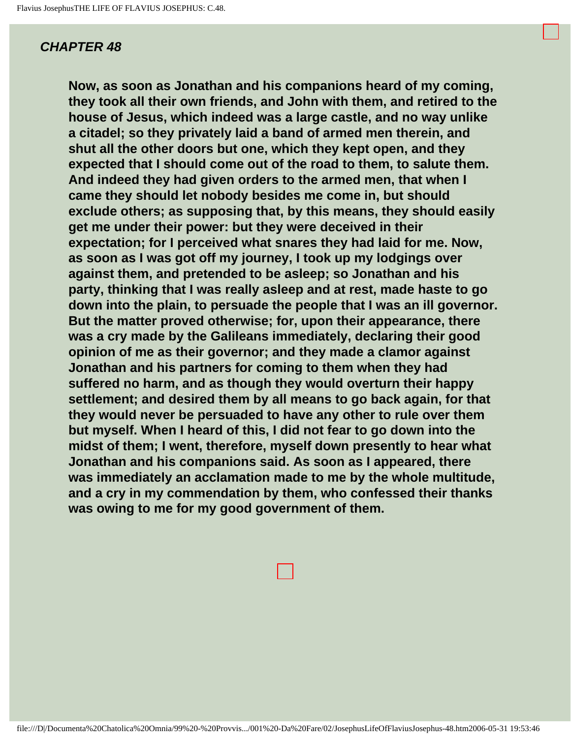**Now, as soon as Jonathan and his companions heard of my coming, they took all their own friends, and John with them, and retired to the house of Jesus, which indeed was a large castle, and no way unlike a citadel; so they privately laid a band of armed men therein, and shut all the other doors but one, which they kept open, and they expected that I should come out of the road to them, to salute them. And indeed they had given orders to the armed men, that when I came they should let nobody besides me come in, but should exclude others; as supposing that, by this means, they should easily get me under their power: but they were deceived in their expectation; for I perceived what snares they had laid for me. Now, as soon as I was got off my journey, I took up my lodgings over against them, and pretended to be asleep; so Jonathan and his party, thinking that I was really asleep and at rest, made haste to go down into the plain, to persuade the people that I was an ill governor. But the matter proved otherwise; for, upon their appearance, there was a cry made by the Galileans immediately, declaring their good opinion of me as their governor; and they made a clamor against Jonathan and his partners for coming to them when they had suffered no harm, and as though they would overturn their happy settlement; and desired them by all means to go back again, for that they would never be persuaded to have any other to rule over them but myself. When I heard of this, I did not fear to go down into the midst of them; I went, therefore, myself down presently to hear what Jonathan and his companions said. As soon as I appeared, there was immediately an acclamation made to me by the whole multitude, and a cry in my commendation by them, who confessed their thanks was owing to me for my good government of them.**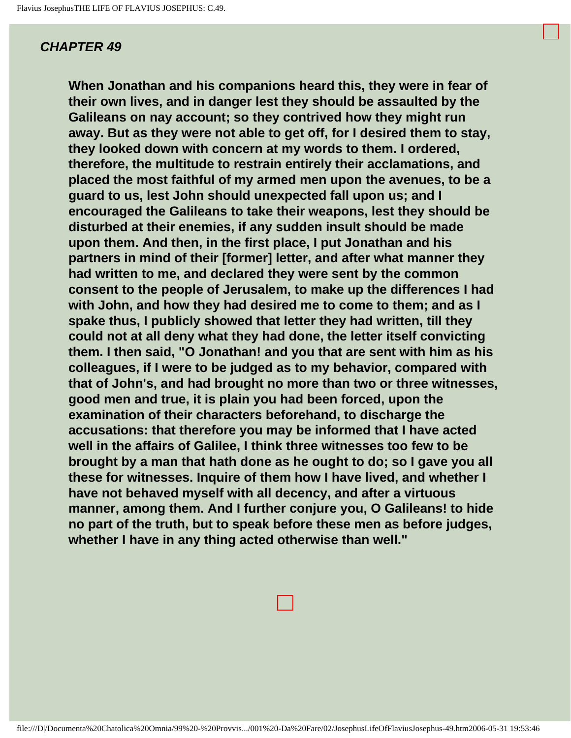**When Jonathan and his companions heard this, they were in fear of their own lives, and in danger lest they should be assaulted by the Galileans on nay account; so they contrived how they might run away. But as they were not able to get off, for I desired them to stay, they looked down with concern at my words to them. I ordered, therefore, the multitude to restrain entirely their acclamations, and placed the most faithful of my armed men upon the avenues, to be a guard to us, lest John should unexpected fall upon us; and I encouraged the Galileans to take their weapons, lest they should be disturbed at their enemies, if any sudden insult should be made upon them. And then, in the first place, I put Jonathan and his partners in mind of their [former] letter, and after what manner they had written to me, and declared they were sent by the common consent to the people of Jerusalem, to make up the differences I had with John, and how they had desired me to come to them; and as I spake thus, I publicly showed that letter they had written, till they could not at all deny what they had done, the letter itself convicting them. I then said, "O Jonathan! and you that are sent with him as his colleagues, if I were to be judged as to my behavior, compared with that of John's, and had brought no more than two or three witnesses, good men and true, it is plain you had been forced, upon the examination of their characters beforehand, to discharge the accusations: that therefore you may be informed that I have acted well in the affairs of Galilee, I think three witnesses too few to be brought by a man that hath done as he ought to do; so I gave you all these for witnesses. Inquire of them how I have lived, and whether I have not behaved myself with all decency, and after a virtuous manner, among them. And I further conjure you, O Galileans! to hide no part of the truth, but to speak before these men as before judges, whether I have in any thing acted otherwise than well."**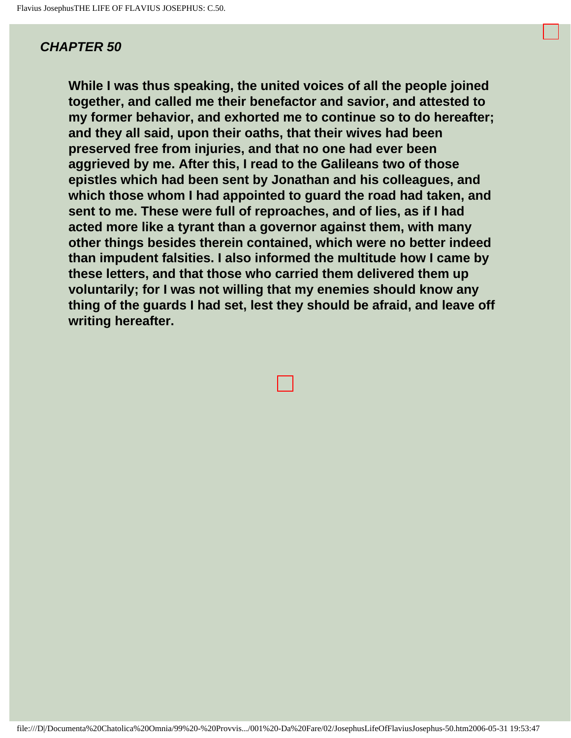**While I was thus speaking, the united voices of all the people joined together, and called me their benefactor and savior, and attested to my former behavior, and exhorted me to continue so to do hereafter; and they all said, upon their oaths, that their wives had been preserved free from injuries, and that no one had ever been aggrieved by me. After this, I read to the Galileans two of those epistles which had been sent by Jonathan and his colleagues, and which those whom I had appointed to guard the road had taken, and sent to me. These were full of reproaches, and of lies, as if I had acted more like a tyrant than a governor against them, with many other things besides therein contained, which were no better indeed than impudent falsities. I also informed the multitude how I came by these letters, and that those who carried them delivered them up voluntarily; for I was not willing that my enemies should know any thing of the guards I had set, lest they should be afraid, and leave off writing hereafter.**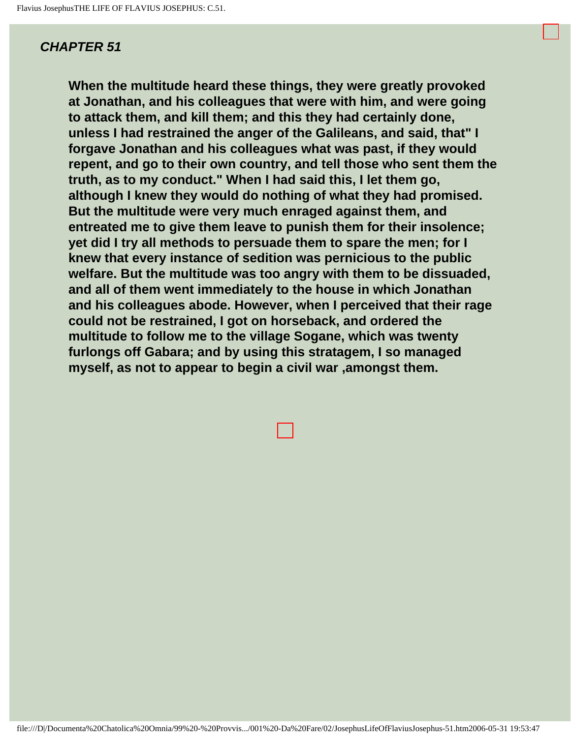**When the multitude heard these things, they were greatly provoked at Jonathan, and his colleagues that were with him, and were going to attack them, and kill them; and this they had certainly done, unless I had restrained the anger of the Galileans, and said, that" I forgave Jonathan and his colleagues what was past, if they would repent, and go to their own country, and tell those who sent them the truth, as to my conduct." When I had said this, I let them go, although I knew they would do nothing of what they had promised. But the multitude were very much enraged against them, and entreated me to give them leave to punish them for their insolence; yet did I try all methods to persuade them to spare the men; for I knew that every instance of sedition was pernicious to the public welfare. But the multitude was too angry with them to be dissuaded, and all of them went immediately to the house in which Jonathan and his colleagues abode. However, when I perceived that their rage could not be restrained, I got on horseback, and ordered the multitude to follow me to the village Sogane, which was twenty furlongs off Gabara; and by using this stratagem, I so managed myself, as not to appear to begin a civil war ,amongst them.**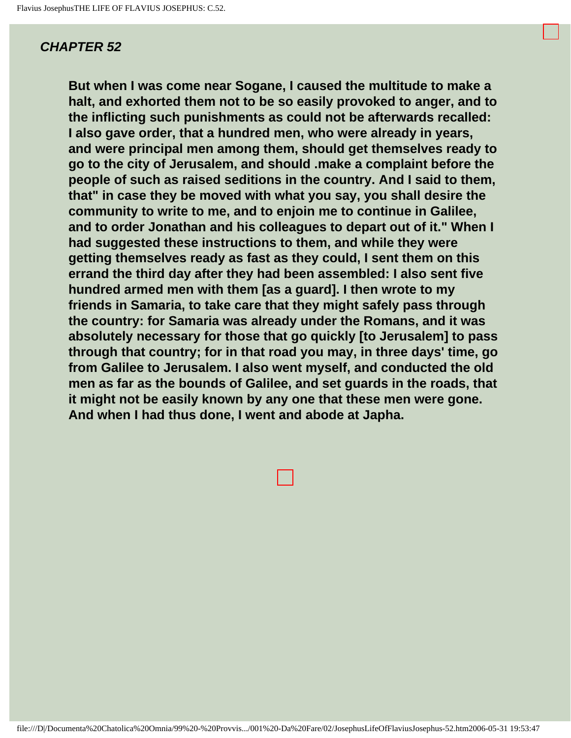**But when I was come near Sogane, I caused the multitude to make a halt, and exhorted them not to be so easily provoked to anger, and to the inflicting such punishments as could not be afterwards recalled: I also gave order, that a hundred men, who were already in years, and were principal men among them, should get themselves ready to go to the city of Jerusalem, and should .make a complaint before the people of such as raised seditions in the country. And I said to them, that" in case they be moved with what you say, you shall desire the community to write to me, and to enjoin me to continue in Galilee, and to order Jonathan and his colleagues to depart out of it." When I had suggested these instructions to them, and while they were getting themselves ready as fast as they could, I sent them on this errand the third day after they had been assembled: I also sent five hundred armed men with them [as a guard]. I then wrote to my friends in Samaria, to take care that they might safely pass through the country: for Samaria was already under the Romans, and it was absolutely necessary for those that go quickly [to Jerusalem] to pass through that country; for in that road you may, in three days' time, go from Galilee to Jerusalem. I also went myself, and conducted the old men as far as the bounds of Galilee, and set guards in the roads, that it might not be easily known by any one that these men were gone. And when I had thus done, I went and abode at Japha.**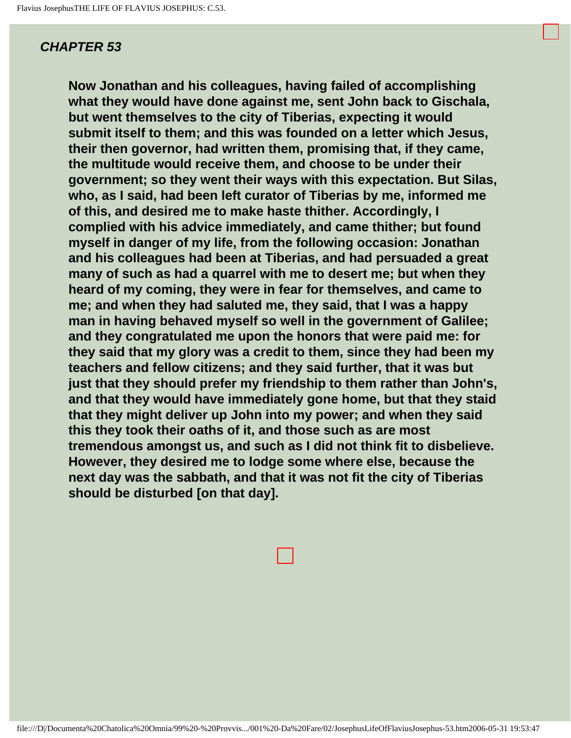**Now Jonathan and his colleagues, having failed of accomplishing what they would have done against me, sent John back to Gischala, but went themselves to the city of Tiberias, expecting it would submit itself to them; and this was founded on a letter which Jesus, their then governor, had written them, promising that, if they came, the multitude would receive them, and choose to be under their government; so they went their ways with this expectation. But Silas, who, as I said, had been left curator of Tiberias by me, informed me of this, and desired me to make haste thither. Accordingly, I complied with his advice immediately, and came thither; but found myself in danger of my life, from the following occasion: Jonathan and his colleagues had been at Tiberias, and had persuaded a great many of such as had a quarrel with me to desert me; but when they heard of my coming, they were in fear for themselves, and came to me; and when they had saluted me, they said, that I was a happy man in having behaved myself so well in the government of Galilee; and they congratulated me upon the honors that were paid me: for they said that my glory was a credit to them, since they had been my teachers and fellow citizens; and they said further, that it was but just that they should prefer my friendship to them rather than John's, and that they would have immediately gone home, but that they staid that they might deliver up John into my power; and when they said this they took their oaths of it, and those such as are most tremendous amongst us, and such as I did not think fit to disbelieve. However, they desired me to lodge some where else, because the next day was the sabbath, and that it was not fit the city of Tiberias should be disturbed [on that day].**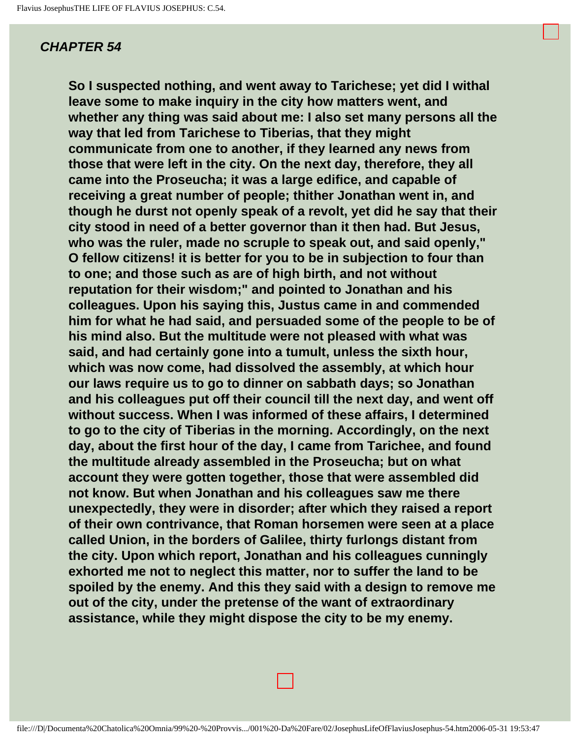**So I suspected nothing, and went away to Tarichese; yet did I withal leave some to make inquiry in the city how matters went, and whether any thing was said about me: I also set many persons all the way that led from Tarichese to Tiberias, that they might communicate from one to another, if they learned any news from those that were left in the city. On the next day, therefore, they all came into the Proseucha; it was a large edifice, and capable of receiving a great number of people; thither Jonathan went in, and though he durst not openly speak of a revolt, yet did he say that their city stood in need of a better governor than it then had. But Jesus, who was the ruler, made no scruple to speak out, and said openly," O fellow citizens! it is better for you to be in subjection to four than to one; and those such as are of high birth, and not without reputation for their wisdom;" and pointed to Jonathan and his colleagues. Upon his saying this, Justus came in and commended him for what he had said, and persuaded some of the people to be of his mind also. But the multitude were not pleased with what was said, and had certainly gone into a tumult, unless the sixth hour, which was now come, had dissolved the assembly, at which hour our laws require us to go to dinner on sabbath days; so Jonathan and his colleagues put off their council till the next day, and went off without success. When I was informed of these affairs, I determined to go to the city of Tiberias in the morning. Accordingly, on the next day, about the first hour of the day, I came from Tarichee, and found the multitude already assembled in the Proseucha; but on what account they were gotten together, those that were assembled did not know. But when Jonathan and his colleagues saw me there unexpectedly, they were in disorder; after which they raised a report of their own contrivance, that Roman horsemen were seen at a place called Union, in the borders of Galilee, thirty furlongs distant from the city. Upon which report, Jonathan and his colleagues cunningly exhorted me not to neglect this matter, nor to suffer the land to be spoiled by the enemy. And this they said with a design to remove me out of the city, under the pretense of the want of extraordinary assistance, while they might dispose the city to be my enemy.**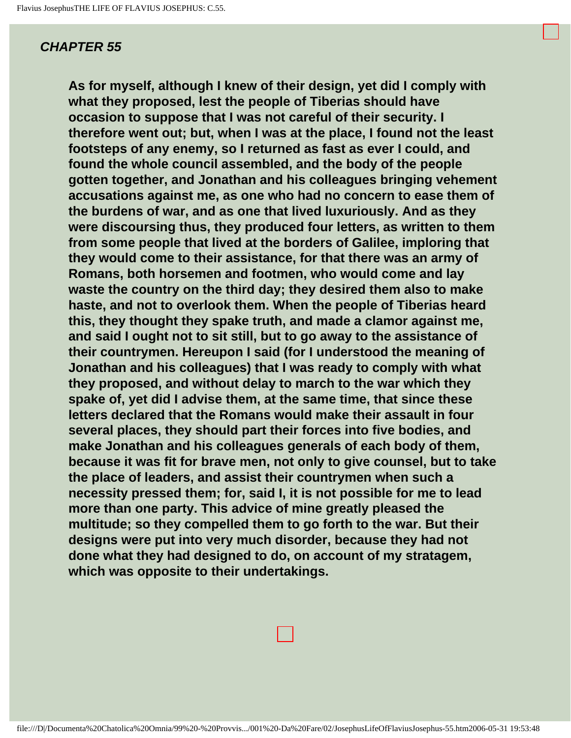**As for myself, although I knew of their design, yet did I comply with what they proposed, lest the people of Tiberias should have occasion to suppose that I was not careful of their security. I therefore went out; but, when I was at the place, I found not the least footsteps of any enemy, so I returned as fast as ever I could, and found the whole council assembled, and the body of the people gotten together, and Jonathan and his colleagues bringing vehement accusations against me, as one who had no concern to ease them of the burdens of war, and as one that lived luxuriously. And as they were discoursing thus, they produced four letters, as written to them from some people that lived at the borders of Galilee, imploring that they would come to their assistance, for that there was an army of Romans, both horsemen and footmen, who would come and lay waste the country on the third day; they desired them also to make haste, and not to overlook them. When the people of Tiberias heard this, they thought they spake truth, and made a clamor against me, and said I ought not to sit still, but to go away to the assistance of their countrymen. Hereupon I said (for I understood the meaning of Jonathan and his colleagues) that I was ready to comply with what they proposed, and without delay to march to the war which they spake of, yet did I advise them, at the same time, that since these letters declared that the Romans would make their assault in four several places, they should part their forces into five bodies, and make Jonathan and his colleagues generals of each body of them, because it was fit for brave men, not only to give counsel, but to take the place of leaders, and assist their countrymen when such a necessity pressed them; for, said I, it is not possible for me to lead more than one party. This advice of mine greatly pleased the multitude; so they compelled them to go forth to the war. But their designs were put into very much disorder, because they had not done what they had designed to do, on account of my stratagem, which was opposite to their undertakings.** 

file:///D|/Documenta%20Chatolica%20Omnia/99%20-%20Provvis.../001%20-Da%20Fare/02/JosephusLifeOfFlaviusJosephus-55.htm2006-05-31 19:53:48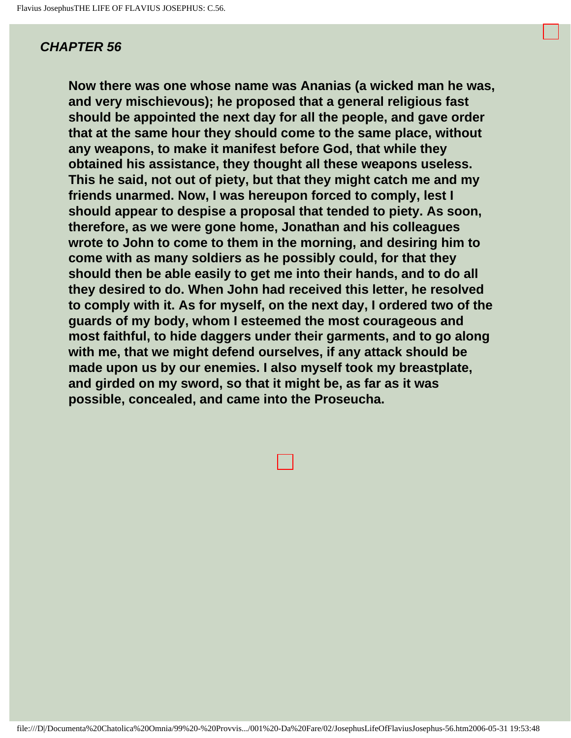**Now there was one whose name was Ananias (a wicked man he was, and very mischievous); he proposed that a general religious fast should be appointed the next day for all the people, and gave order that at the same hour they should come to the same place, without any weapons, to make it manifest before God, that while they obtained his assistance, they thought all these weapons useless. This he said, not out of piety, but that they might catch me and my friends unarmed. Now, I was hereupon forced to comply, lest I should appear to despise a proposal that tended to piety. As soon, therefore, as we were gone home, Jonathan and his colleagues wrote to John to come to them in the morning, and desiring him to come with as many soldiers as he possibly could, for that they should then be able easily to get me into their hands, and to do all they desired to do. When John had received this letter, he resolved to comply with it. As for myself, on the next day, I ordered two of the guards of my body, whom I esteemed the most courageous and most faithful, to hide daggers under their garments, and to go along with me, that we might defend ourselves, if any attack should be made upon us by our enemies. I also myself took my breastplate, and girded on my sword, so that it might be, as far as it was possible, concealed, and came into the Proseucha.**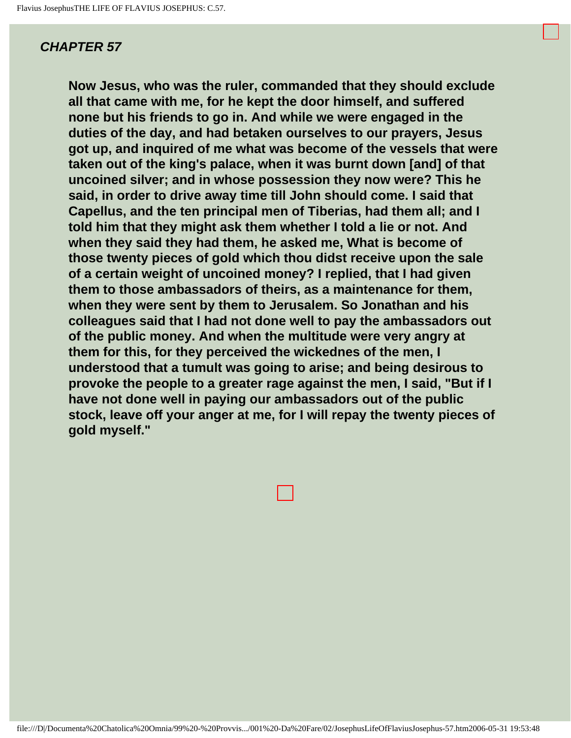**Now Jesus, who was the ruler, commanded that they should exclude all that came with me, for he kept the door himself, and suffered none but his friends to go in. And while we were engaged in the duties of the day, and had betaken ourselves to our prayers, Jesus got up, and inquired of me what was become of the vessels that were taken out of the king's palace, when it was burnt down [and] of that uncoined silver; and in whose possession they now were? This he said, in order to drive away time till John should come. I said that Capellus, and the ten principal men of Tiberias, had them all; and I told him that they might ask them whether I told a lie or not. And when they said they had them, he asked me, What is become of those twenty pieces of gold which thou didst receive upon the sale of a certain weight of uncoined money? I replied, that I had given them to those ambassadors of theirs, as a maintenance for them, when they were sent by them to Jerusalem. So Jonathan and his colleagues said that I had not done well to pay the ambassadors out of the public money. And when the multitude were very angry at them for this, for they perceived the wickednes of the men, I understood that a tumult was going to arise; and being desirous to provoke the people to a greater rage against the men, I said, "But if I have not done well in paying our ambassadors out of the public stock, leave off your anger at me, for I will repay the twenty pieces of gold myself."** 



file:///D|/Documenta%20Chatolica%20Omnia/99%20-%20Provvis.../001%20-Da%20Fare/02/JosephusLifeOfFlaviusJosephus-57.htm2006-05-31 19:53:48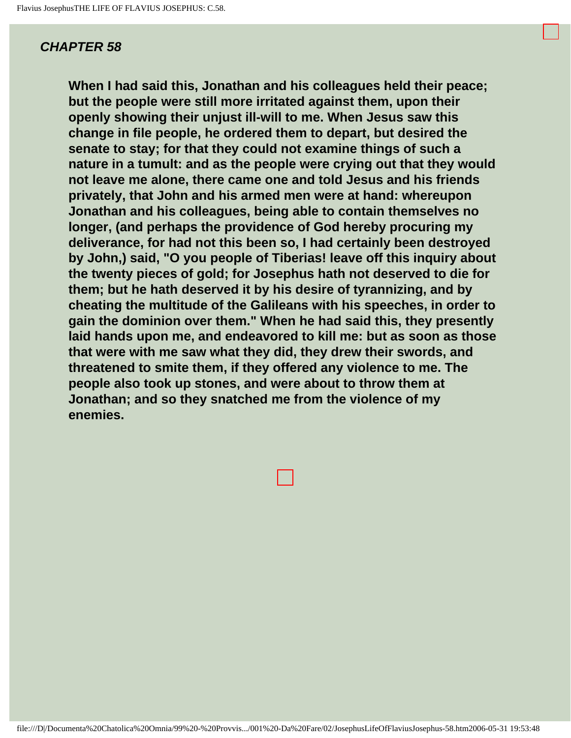**When I had said this, Jonathan and his colleagues held their peace; but the people were still more irritated against them, upon their openly showing their unjust ill-will to me. When Jesus saw this change in file people, he ordered them to depart, but desired the senate to stay; for that they could not examine things of such a nature in a tumult: and as the people were crying out that they would not leave me alone, there came one and told Jesus and his friends privately, that John and his armed men were at hand: whereupon Jonathan and his colleagues, being able to contain themselves no longer, (and perhaps the providence of God hereby procuring my deliverance, for had not this been so, I had certainly been destroyed by John,) said, "O you people of Tiberias! leave off this inquiry about the twenty pieces of gold; for Josephus hath not deserved to die for them; but he hath deserved it by his desire of tyrannizing, and by cheating the multitude of the Galileans with his speeches, in order to gain the dominion over them." When he had said this, they presently laid hands upon me, and endeavored to kill me: but as soon as those that were with me saw what they did, they drew their swords, and threatened to smite them, if they offered any violence to me. The people also took up stones, and were about to throw them at Jonathan; and so they snatched me from the violence of my enemies.** 

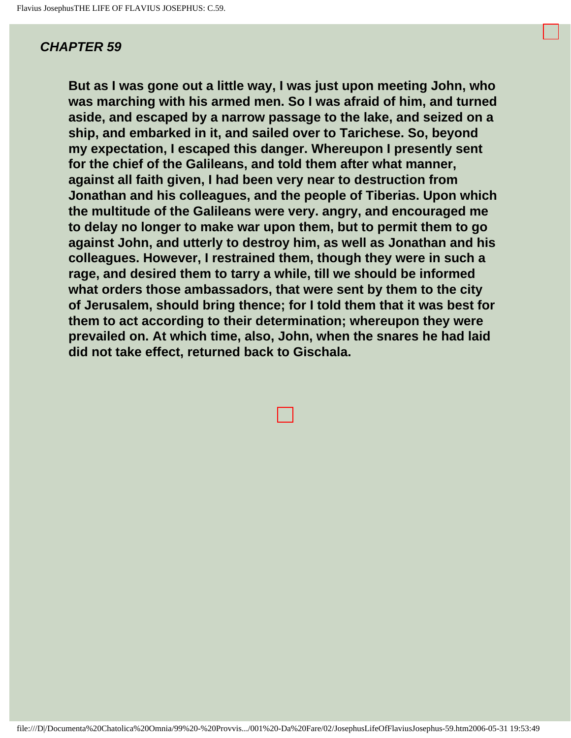**But as I was gone out a little way, I was just upon meeting John, who was marching with his armed men. So I was afraid of him, and turned aside, and escaped by a narrow passage to the lake, and seized on a ship, and embarked in it, and sailed over to Tarichese. So, beyond my expectation, I escaped this danger. Whereupon I presently sent for the chief of the Galileans, and told them after what manner, against all faith given, I had been very near to destruction from Jonathan and his colleagues, and the people of Tiberias. Upon which the multitude of the Galileans were very. angry, and encouraged me to delay no longer to make war upon them, but to permit them to go against John, and utterly to destroy him, as well as Jonathan and his colleagues. However, I restrained them, though they were in such a rage, and desired them to tarry a while, till we should be informed what orders those ambassadors, that were sent by them to the city of Jerusalem, should bring thence; for I told them that it was best for them to act according to their determination; whereupon they were prevailed on. At which time, also, John, when the snares he had laid did not take effect, returned back to Gischala.**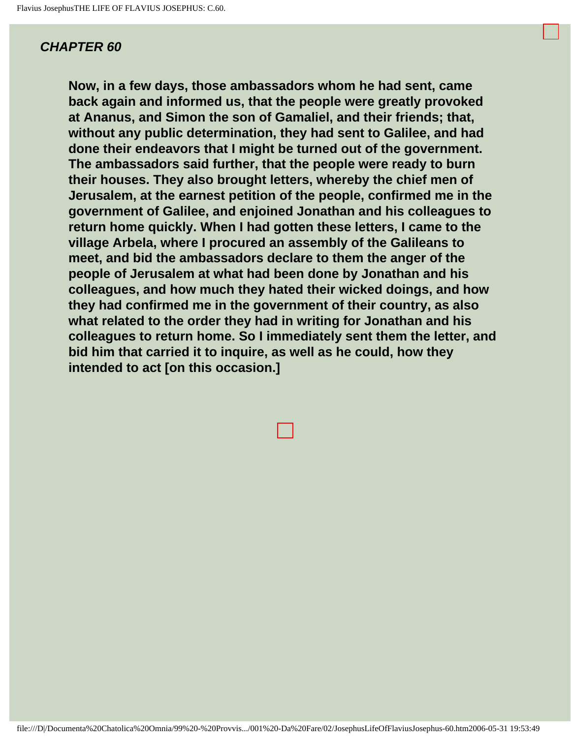**Now, in a few days, those ambassadors whom he had sent, came back again and informed us, that the people were greatly provoked at Ananus, and Simon the son of Gamaliel, and their friends; that, without any public determination, they had sent to Galilee, and had done their endeavors that I might be turned out of the government. The ambassadors said further, that the people were ready to burn their houses. They also brought letters, whereby the chief men of Jerusalem, at the earnest petition of the people, confirmed me in the government of Galilee, and enjoined Jonathan and his colleagues to return home quickly. When I had gotten these letters, I came to the village Arbela, where I procured an assembly of the Galileans to meet, and bid the ambassadors declare to them the anger of the people of Jerusalem at what had been done by Jonathan and his colleagues, and how much they hated their wicked doings, and how they had confirmed me in the government of their country, as also what related to the order they had in writing for Jonathan and his colleagues to return home. So I immediately sent them the letter, and bid him that carried it to inquire, as well as he could, how they intended to act [on this occasion.]**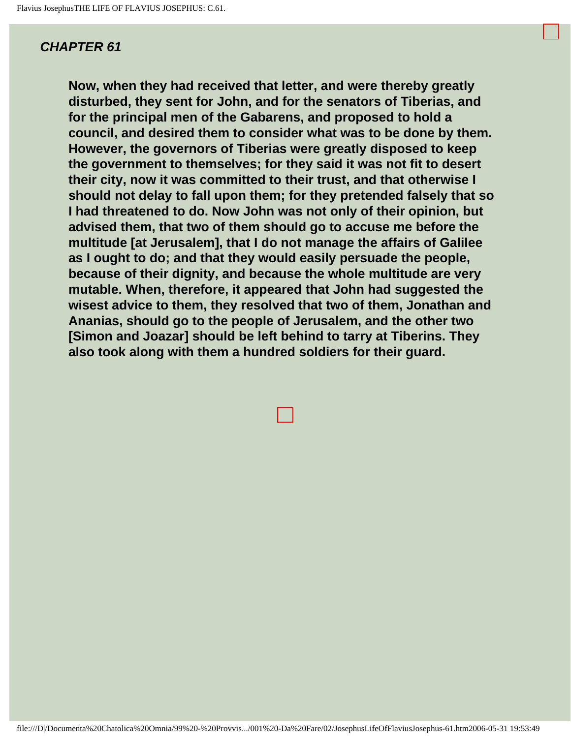**Now, when they had received that letter, and were thereby greatly disturbed, they sent for John, and for the senators of Tiberias, and for the principal men of the Gabarens, and proposed to hold a council, and desired them to consider what was to be done by them. However, the governors of Tiberias were greatly disposed to keep the government to themselves; for they said it was not fit to desert their city, now it was committed to their trust, and that otherwise I should not delay to fall upon them; for they pretended falsely that so I had threatened to do. Now John was not only of their opinion, but advised them, that two of them should go to accuse me before the multitude [at Jerusalem], that I do not manage the affairs of Galilee as I ought to do; and that they would easily persuade the people, because of their dignity, and because the whole multitude are very mutable. When, therefore, it appeared that John had suggested the wisest advice to them, they resolved that two of them, Jonathan and Ananias, should go to the people of Jerusalem, and the other two [Simon and Joazar] should be left behind to tarry at Tiberins. They also took along with them a hundred soldiers for their guard.**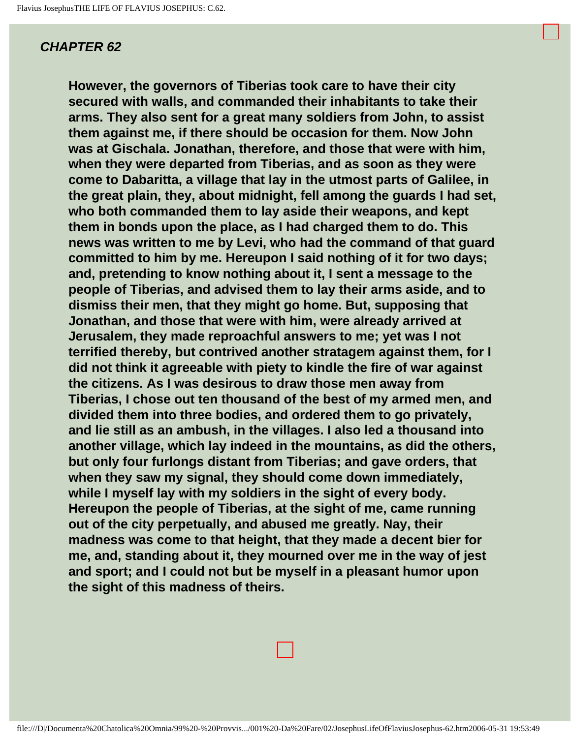**However, the governors of Tiberias took care to have their city secured with walls, and commanded their inhabitants to take their arms. They also sent for a great many soldiers from John, to assist them against me, if there should be occasion for them. Now John was at Gischala. Jonathan, therefore, and those that were with him, when they were departed from Tiberias, and as soon as they were come to Dabaritta, a village that lay in the utmost parts of Galilee, in the great plain, they, about midnight, fell among the guards I had set, who both commanded them to lay aside their weapons, and kept them in bonds upon the place, as I had charged them to do. This news was written to me by Levi, who had the command of that guard committed to him by me. Hereupon I said nothing of it for two days; and, pretending to know nothing about it, I sent a message to the people of Tiberias, and advised them to lay their arms aside, and to dismiss their men, that they might go home. But, supposing that Jonathan, and those that were with him, were already arrived at Jerusalem, they made reproachful answers to me; yet was I not terrified thereby, but contrived another stratagem against them, for I did not think it agreeable with piety to kindle the fire of war against the citizens. As I was desirous to draw those men away from Tiberias, I chose out ten thousand of the best of my armed men, and divided them into three bodies, and ordered them to go privately, and lie still as an ambush, in the villages. I also led a thousand into another village, which lay indeed in the mountains, as did the others, but only four furlongs distant from Tiberias; and gave orders, that when they saw my signal, they should come down immediately, while I myself lay with my soldiers in the sight of every body. Hereupon the people of Tiberias, at the sight of me, came running out of the city perpetually, and abused me greatly. Nay, their madness was come to that height, that they made a decent bier for me, and, standing about it, they mourned over me in the way of jest and sport; and I could not but be myself in a pleasant humor upon the sight of this madness of theirs.** 

file:///D|/Documenta%20Chatolica%20Omnia/99%20-%20Provvis.../001%20-Da%20Fare/02/JosephusLifeOfFlaviusJosephus-62.htm2006-05-31 19:53:49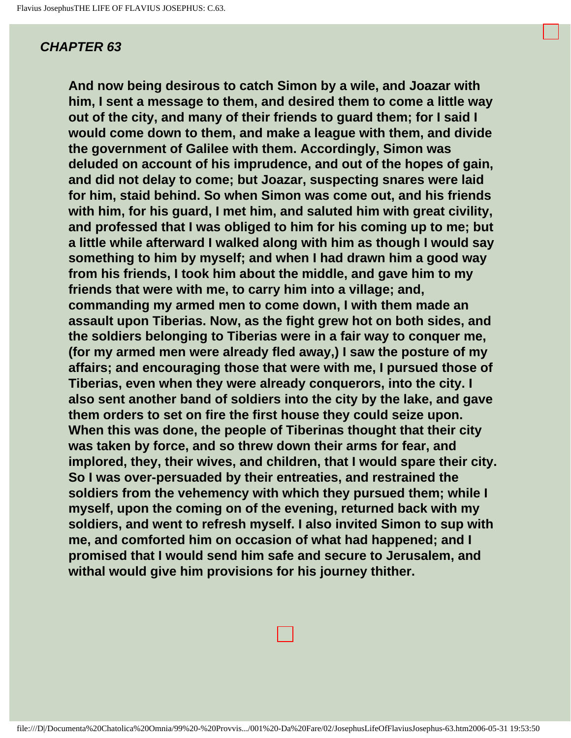**And now being desirous to catch Simon by a wile, and Joazar with him, I sent a message to them, and desired them to come a little way out of the city, and many of their friends to guard them; for I said I would come down to them, and make a league with them, and divide the government of Galilee with them. Accordingly, Simon was deluded on account of his imprudence, and out of the hopes of gain, and did not delay to come; but Joazar, suspecting snares were laid for him, staid behind. So when Simon was come out, and his friends with him, for his guard, I met him, and saluted him with great civility, and professed that I was obliged to him for his coming up to me; but a little while afterward I walked along with him as though I would say something to him by myself; and when I had drawn him a good way from his friends, I took him about the middle, and gave him to my friends that were with me, to carry him into a village; and, commanding my armed men to come down, I with them made an assault upon Tiberias. Now, as the fight grew hot on both sides, and the soldiers belonging to Tiberias were in a fair way to conquer me, (for my armed men were already fled away,) I saw the posture of my affairs; and encouraging those that were with me, I pursued those of Tiberias, even when they were already conquerors, into the city. I also sent another band of soldiers into the city by the lake, and gave them orders to set on fire the first house they could seize upon. When this was done, the people of Tiberinas thought that their city was taken by force, and so threw down their arms for fear, and implored, they, their wives, and children, that I would spare their city. So I was over-persuaded by their entreaties, and restrained the soldiers from the vehemency with which they pursued them; while I myself, upon the coming on of the evening, returned back with my soldiers, and went to refresh myself. I also invited Simon to sup with me, and comforted him on occasion of what had happened; and I promised that I would send him safe and secure to Jerusalem, and withal would give him provisions for his journey thither.**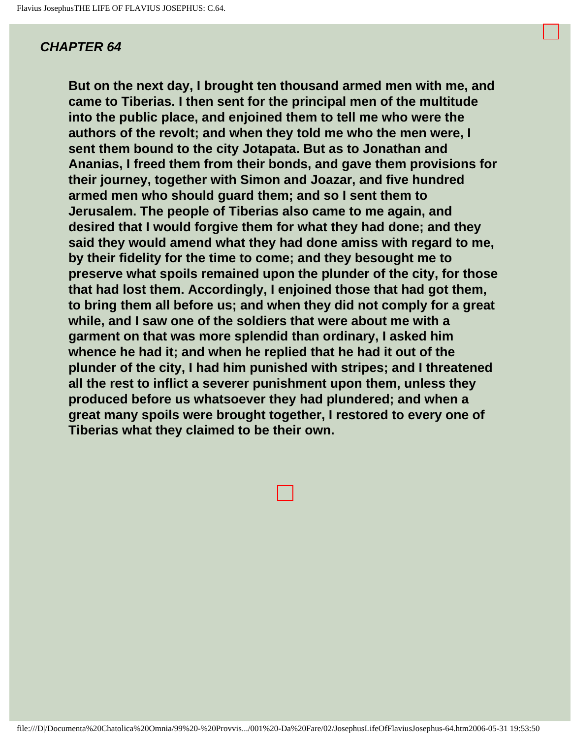**But on the next day, I brought ten thousand armed men with me, and came to Tiberias. I then sent for the principal men of the multitude into the public place, and enjoined them to tell me who were the authors of the revolt; and when they told me who the men were, I sent them bound to the city Jotapata. But as to Jonathan and Ananias, I freed them from their bonds, and gave them provisions for their journey, together with Simon and Joazar, and five hundred armed men who should guard them; and so I sent them to Jerusalem. The people of Tiberias also came to me again, and desired that I would forgive them for what they had done; and they said they would amend what they had done amiss with regard to me, by their fidelity for the time to come; and they besought me to preserve what spoils remained upon the plunder of the city, for those that had lost them. Accordingly, I enjoined those that had got them, to bring them all before us; and when they did not comply for a great while, and I saw one of the soldiers that were about me with a garment on that was more splendid than ordinary, I asked him whence he had it; and when he replied that he had it out of the plunder of the city, I had him punished with stripes; and I threatened all the rest to inflict a severer punishment upon them, unless they produced before us whatsoever they had plundered; and when a great many spoils were brought together, I restored to every one of Tiberias what they claimed to be their own.**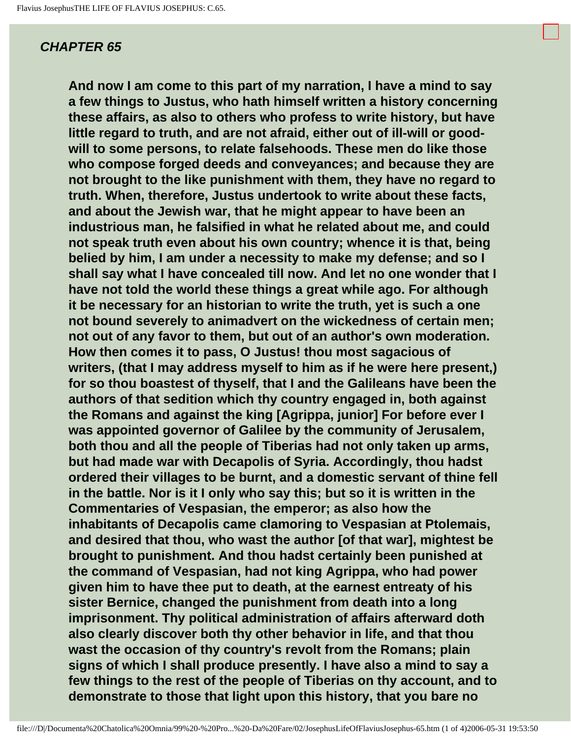**And now I am come to this part of my narration, I have a mind to say a few things to Justus, who hath himself written a history concerning these affairs, as also to others who profess to write history, but have little regard to truth, and are not afraid, either out of ill-will or goodwill to some persons, to relate falsehoods. These men do like those who compose forged deeds and conveyances; and because they are not brought to the like punishment with them, they have no regard to truth. When, therefore, Justus undertook to write about these facts, and about the Jewish war, that he might appear to have been an industrious man, he falsified in what he related about me, and could not speak truth even about his own country; whence it is that, being belied by him, I am under a necessity to make my defense; and so I shall say what I have concealed till now. And let no one wonder that I have not told the world these things a great while ago. For although it be necessary for an historian to write the truth, yet is such a one not bound severely to animadvert on the wickedness of certain men; not out of any favor to them, but out of an author's own moderation. How then comes it to pass, O Justus! thou most sagacious of writers, (that I may address myself to him as if he were here present,) for so thou boastest of thyself, that I and the Galileans have been the authors of that sedition which thy country engaged in, both against the Romans and against the king [Agrippa, junior] For before ever I was appointed governor of Galilee by the community of Jerusalem, both thou and all the people of Tiberias had not only taken up arms, but had made war with Decapolis of Syria. Accordingly, thou hadst ordered their villages to be burnt, and a domestic servant of thine fell in the battle. Nor is it I only who say this; but so it is written in the Commentaries of Vespasian, the emperor; as also how the inhabitants of Decapolis came clamoring to Vespasian at Ptolemais, and desired that thou, who wast the author [of that war], mightest be brought to punishment. And thou hadst certainly been punished at the command of Vespasian, had not king Agrippa, who had power given him to have thee put to death, at the earnest entreaty of his sister Bernice, changed the punishment from death into a long imprisonment. Thy political administration of affairs afterward doth also clearly discover both thy other behavior in life, and that thou wast the occasion of thy country's revolt from the Romans; plain signs of which I shall produce presently. I have also a mind to say a few things to the rest of the people of Tiberias on thy account, and to demonstrate to those that light upon this history, that you bare no**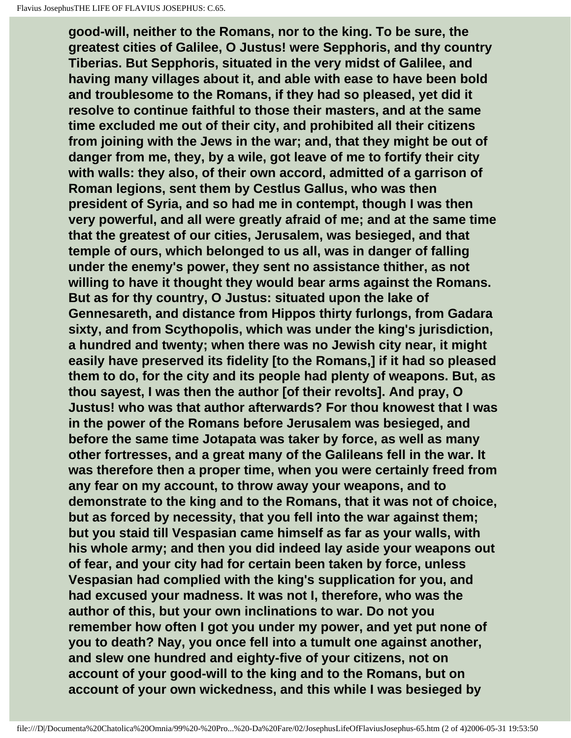**good-will, neither to the Romans, nor to the king. To be sure, the greatest cities of Galilee, O Justus! were Sepphoris, and thy country Tiberias. But Sepphoris, situated in the very midst of Galilee, and having many villages about it, and able with ease to have been bold and troublesome to the Romans, if they had so pleased, yet did it resolve to continue faithful to those their masters, and at the same time excluded me out of their city, and prohibited all their citizens from joining with the Jews in the war; and, that they might be out of danger from me, they, by a wile, got leave of me to fortify their city with walls: they also, of their own accord, admitted of a garrison of Roman legions, sent them by Cestlus Gallus, who was then president of Syria, and so had me in contempt, though I was then very powerful, and all were greatly afraid of me; and at the same time that the greatest of our cities, Jerusalem, was besieged, and that temple of ours, which belonged to us all, was in danger of falling under the enemy's power, they sent no assistance thither, as not willing to have it thought they would bear arms against the Romans. But as for thy country, O Justus: situated upon the lake of Gennesareth, and distance from Hippos thirty furlongs, from Gadara sixty, and from Scythopolis, which was under the king's jurisdiction, a hundred and twenty; when there was no Jewish city near, it might easily have preserved its fidelity [to the Romans,] if it had so pleased them to do, for the city and its people had plenty of weapons. But, as thou sayest, I was then the author [of their revolts]. And pray, O Justus! who was that author afterwards? For thou knowest that I was in the power of the Romans before Jerusalem was besieged, and before the same time Jotapata was taker by force, as well as many other fortresses, and a great many of the Galileans fell in the war. It was therefore then a proper time, when you were certainly freed from any fear on my account, to throw away your weapons, and to demonstrate to the king and to the Romans, that it was not of choice, but as forced by necessity, that you fell into the war against them; but you staid till Vespasian came himself as far as your walls, with his whole army; and then you did indeed lay aside your weapons out of fear, and your city had for certain been taken by force, unless Vespasian had complied with the king's supplication for you, and had excused your madness. It was not I, therefore, who was the author of this, but your own inclinations to war. Do not you remember how often I got you under my power, and yet put none of you to death? Nay, you once fell into a tumult one against another, and slew one hundred and eighty-five of your citizens, not on account of your good-will to the king and to the Romans, but on account of your own wickedness, and this while I was besieged by**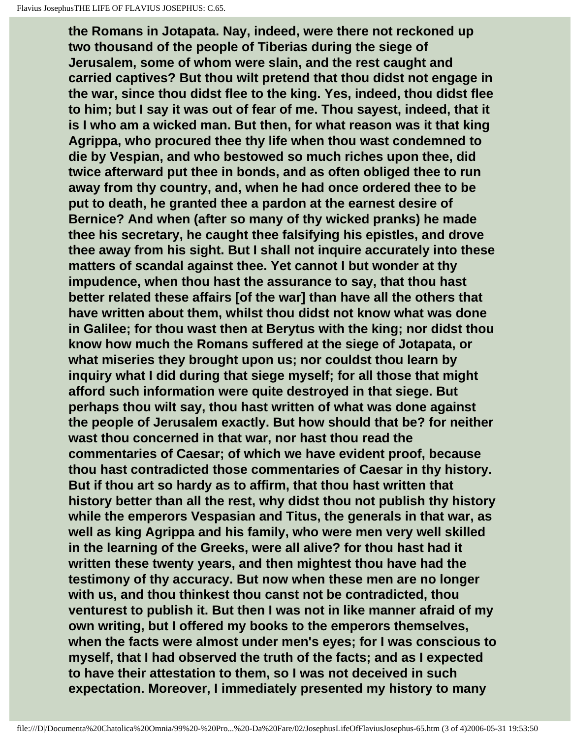**the Romans in Jotapata. Nay, indeed, were there not reckoned up two thousand of the people of Tiberias during the siege of Jerusalem, some of whom were slain, and the rest caught and carried captives? But thou wilt pretend that thou didst not engage in the war, since thou didst flee to the king. Yes, indeed, thou didst flee to him; but I say it was out of fear of me. Thou sayest, indeed, that it is I who am a wicked man. But then, for what reason was it that king Agrippa, who procured thee thy life when thou wast condemned to die by Vespian, and who bestowed so much riches upon thee, did twice afterward put thee in bonds, and as often obliged thee to run away from thy country, and, when he had once ordered thee to be put to death, he granted thee a pardon at the earnest desire of Bernice? And when (after so many of thy wicked pranks) he made thee his secretary, he caught thee falsifying his epistles, and drove thee away from his sight. But I shall not inquire accurately into these matters of scandal against thee. Yet cannot I but wonder at thy impudence, when thou hast the assurance to say, that thou hast better related these affairs [of the war] than have all the others that have written about them, whilst thou didst not know what was done in Galilee; for thou wast then at Berytus with the king; nor didst thou know how much the Romans suffered at the siege of Jotapata, or what miseries they brought upon us; nor couldst thou learn by inquiry what I did during that siege myself; for all those that might afford such information were quite destroyed in that siege. But perhaps thou wilt say, thou hast written of what was done against the people of Jerusalem exactly. But how should that be? for neither wast thou concerned in that war, nor hast thou read the commentaries of Caesar; of which we have evident proof, because thou hast contradicted those commentaries of Caesar in thy history. But if thou art so hardy as to affirm, that thou hast written that history better than all the rest, why didst thou not publish thy history while the emperors Vespasian and Titus, the generals in that war, as well as king Agrippa and his family, who were men very well skilled in the learning of the Greeks, were all alive? for thou hast had it written these twenty years, and then mightest thou have had the testimony of thy accuracy. But now when these men are no longer with us, and thou thinkest thou canst not be contradicted, thou venturest to publish it. But then I was not in like manner afraid of my own writing, but I offered my books to the emperors themselves, when the facts were almost under men's eyes; for I was conscious to myself, that I had observed the truth of the facts; and as I expected to have their attestation to them, so I was not deceived in such expectation. Moreover, I immediately presented my history to many**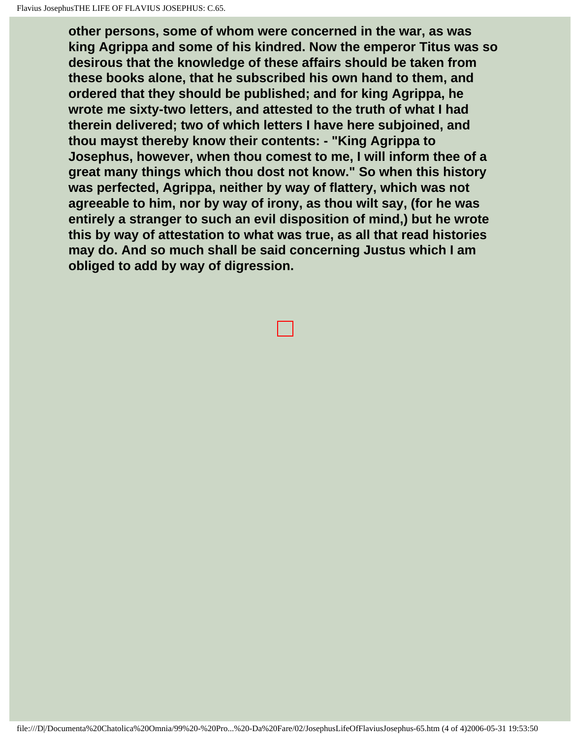**other persons, some of whom were concerned in the war, as was king Agrippa and some of his kindred. Now the emperor Titus was so desirous that the knowledge of these affairs should be taken from these books alone, that he subscribed his own hand to them, and ordered that they should be published; and for king Agrippa, he wrote me sixty-two letters, and attested to the truth of what I had therein delivered; two of which letters I have here subjoined, and thou mayst thereby know their contents: - "King Agrippa to Josephus, however, when thou comest to me, I will inform thee of a great many things which thou dost not know." So when this history was perfected, Agrippa, neither by way of flattery, which was not agreeable to him, nor by way of irony, as thou wilt say, (for he was entirely a stranger to such an evil disposition of mind,) but he wrote this by way of attestation to what was true, as all that read histories may do. And so much shall be said concerning Justus which I am obliged to add by way of digression.**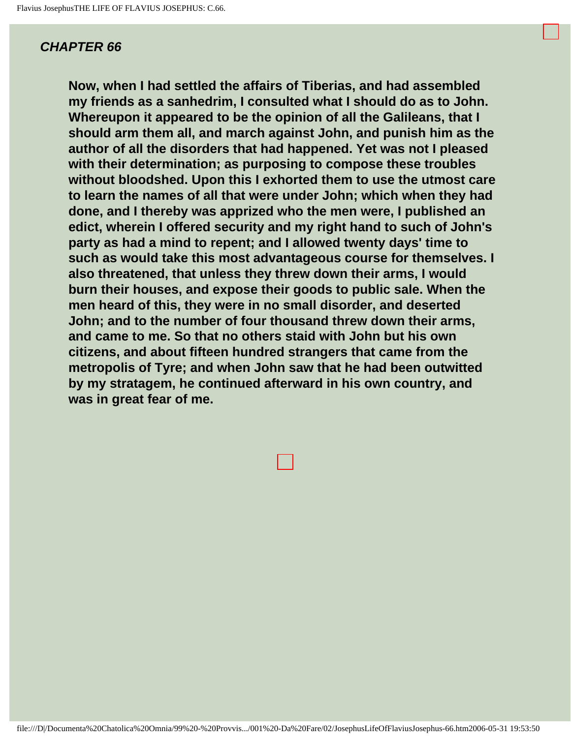**Now, when I had settled the affairs of Tiberias, and had assembled my friends as a sanhedrim, I consulted what I should do as to John. Whereupon it appeared to be the opinion of all the Galileans, that I should arm them all, and march against John, and punish him as the author of all the disorders that had happened. Yet was not I pleased with their determination; as purposing to compose these troubles without bloodshed. Upon this I exhorted them to use the utmost care to learn the names of all that were under John; which when they had done, and I thereby was apprized who the men were, I published an edict, wherein I offered security and my right hand to such of John's party as had a mind to repent; and I allowed twenty days' time to such as would take this most advantageous course for themselves. I also threatened, that unless they threw down their arms, I would burn their houses, and expose their goods to public sale. When the men heard of this, they were in no small disorder, and deserted John; and to the number of four thousand threw down their arms, and came to me. So that no others staid with John but his own citizens, and about fifteen hundred strangers that came from the metropolis of Tyre; and when John saw that he had been outwitted by my stratagem, he continued afterward in his own country, and was in great fear of me.** 

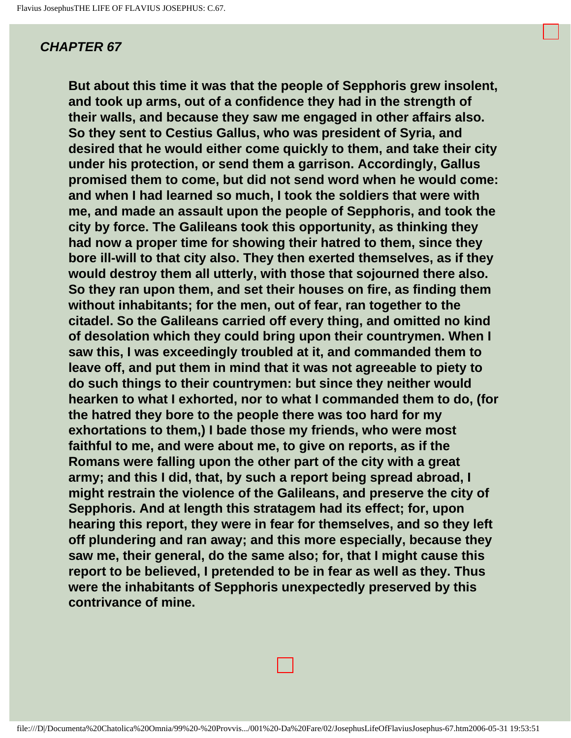**But about this time it was that the people of Sepphoris grew insolent, and took up arms, out of a confidence they had in the strength of their walls, and because they saw me engaged in other affairs also. So they sent to Cestius Gallus, who was president of Syria, and desired that he would either come quickly to them, and take their city under his protection, or send them a garrison. Accordingly, Gallus promised them to come, but did not send word when he would come: and when I had learned so much, I took the soldiers that were with me, and made an assault upon the people of Sepphoris, and took the city by force. The Galileans took this opportunity, as thinking they had now a proper time for showing their hatred to them, since they bore ill-will to that city also. They then exerted themselves, as if they would destroy them all utterly, with those that sojourned there also. So they ran upon them, and set their houses on fire, as finding them without inhabitants; for the men, out of fear, ran together to the citadel. So the Galileans carried off every thing, and omitted no kind of desolation which they could bring upon their countrymen. When I saw this, I was exceedingly troubled at it, and commanded them to leave off, and put them in mind that it was not agreeable to piety to do such things to their countrymen: but since they neither would hearken to what I exhorted, nor to what I commanded them to do, (for the hatred they bore to the people there was too hard for my exhortations to them,) I bade those my friends, who were most faithful to me, and were about me, to give on reports, as if the Romans were falling upon the other part of the city with a great army; and this I did, that, by such a report being spread abroad, I might restrain the violence of the Galileans, and preserve the city of Sepphoris. And at length this stratagem had its effect; for, upon hearing this report, they were in fear for themselves, and so they left off plundering and ran away; and this more especially, because they saw me, their general, do the same also; for, that I might cause this report to be believed, I pretended to be in fear as well as they. Thus were the inhabitants of Sepphoris unexpectedly preserved by this contrivance of mine.**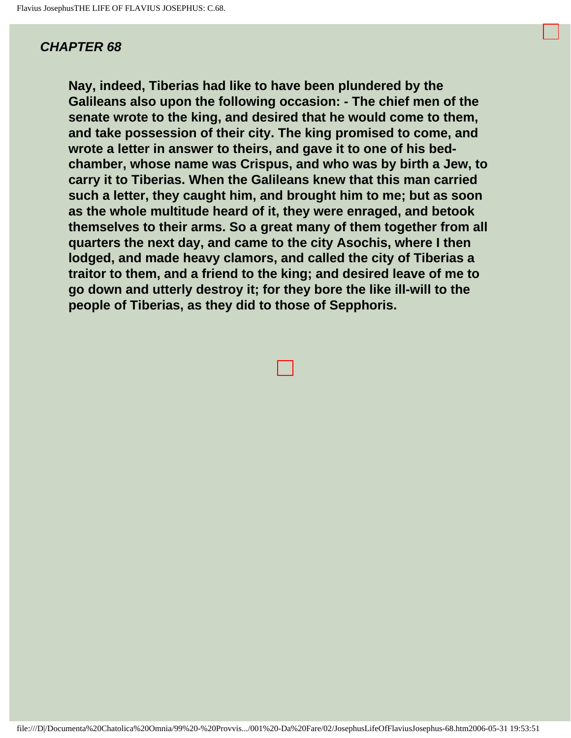**Nay, indeed, Tiberias had like to have been plundered by the Galileans also upon the following occasion: - The chief men of the senate wrote to the king, and desired that he would come to them, and take possession of their city. The king promised to come, and wrote a letter in answer to theirs, and gave it to one of his bedchamber, whose name was Crispus, and who was by birth a Jew, to carry it to Tiberias. When the Galileans knew that this man carried such a letter, they caught him, and brought him to me; but as soon as the whole multitude heard of it, they were enraged, and betook themselves to their arms. So a great many of them together from all quarters the next day, and came to the city Asochis, where I then lodged, and made heavy clamors, and called the city of Tiberias a traitor to them, and a friend to the king; and desired leave of me to go down and utterly destroy it; for they bore the like ill-will to the people of Tiberias, as they did to those of Sepphoris.**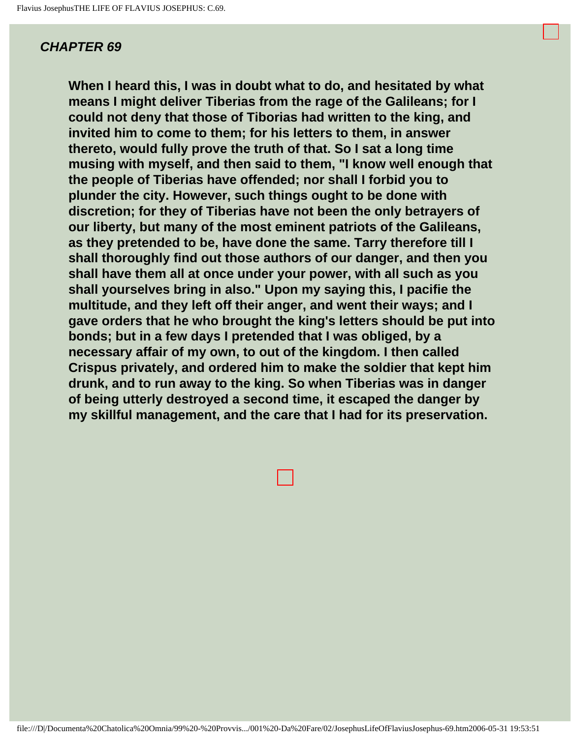**When I heard this, I was in doubt what to do, and hesitated by what means I might deliver Tiberias from the rage of the Galileans; for I could not deny that those of Tiborias had written to the king, and invited him to come to them; for his letters to them, in answer thereto, would fully prove the truth of that. So I sat a long time musing with myself, and then said to them, "I know well enough that the people of Tiberias have offended; nor shall I forbid you to plunder the city. However, such things ought to be done with discretion; for they of Tiberias have not been the only betrayers of our liberty, but many of the most eminent patriots of the Galileans, as they pretended to be, have done the same. Tarry therefore till I shall thoroughly find out those authors of our danger, and then you shall have them all at once under your power, with all such as you shall yourselves bring in also." Upon my saying this, I pacifie the multitude, and they left off their anger, and went their ways; and I gave orders that he who brought the king's letters should be put into bonds; but in a few days I pretended that I was obliged, by a necessary affair of my own, to out of the kingdom. I then called Crispus privately, and ordered him to make the soldier that kept him drunk, and to run away to the king. So when Tiberias was in danger of being utterly destroyed a second time, it escaped the danger by my skillful management, and the care that I had for its preservation.**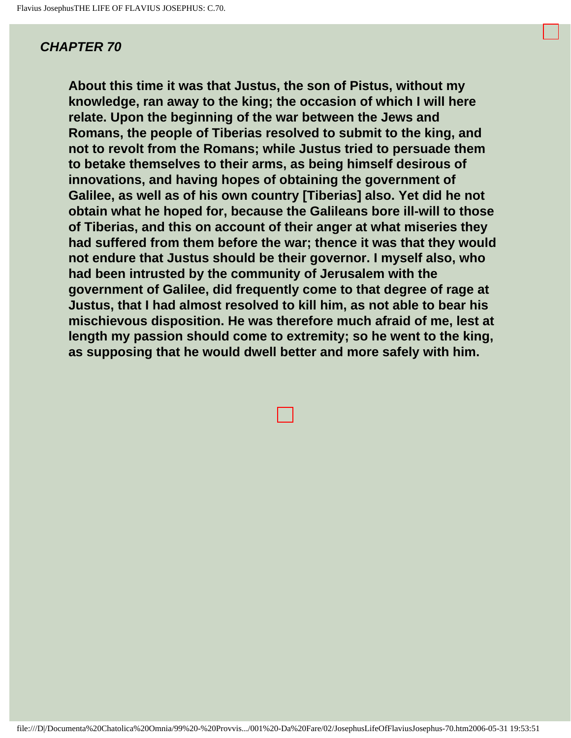**About this time it was that Justus, the son of Pistus, without my knowledge, ran away to the king; the occasion of which I will here relate. Upon the beginning of the war between the Jews and Romans, the people of Tiberias resolved to submit to the king, and not to revolt from the Romans; while Justus tried to persuade them to betake themselves to their arms, as being himself desirous of innovations, and having hopes of obtaining the government of Galilee, as well as of his own country [Tiberias] also. Yet did he not obtain what he hoped for, because the Galileans bore ill-will to those of Tiberias, and this on account of their anger at what miseries they had suffered from them before the war; thence it was that they would not endure that Justus should be their governor. I myself also, who had been intrusted by the community of Jerusalem with the government of Galilee, did frequently come to that degree of rage at Justus, that I had almost resolved to kill him, as not able to bear his mischievous disposition. He was therefore much afraid of me, lest at length my passion should come to extremity; so he went to the king, as supposing that he would dwell better and more safely with him.**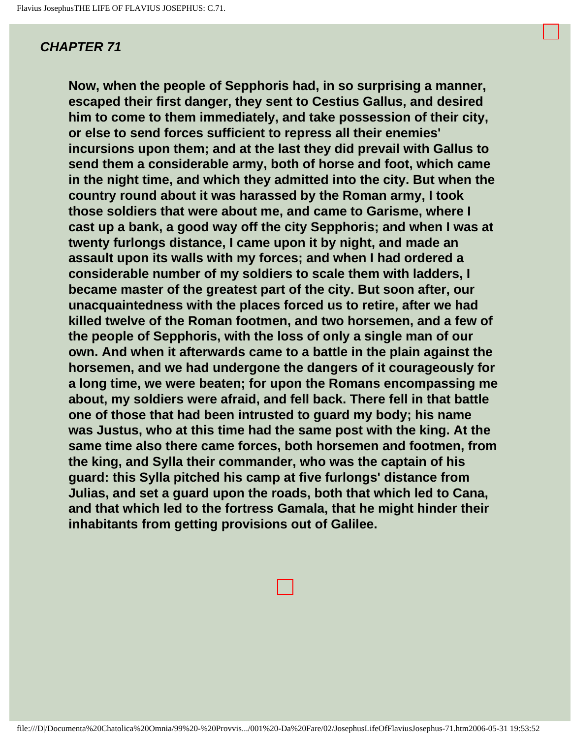**Now, when the people of Sepphoris had, in so surprising a manner, escaped their first danger, they sent to Cestius Gallus, and desired him to come to them immediately, and take possession of their city, or else to send forces sufficient to repress all their enemies' incursions upon them; and at the last they did prevail with Gallus to send them a considerable army, both of horse and foot, which came in the night time, and which they admitted into the city. But when the country round about it was harassed by the Roman army, I took those soldiers that were about me, and came to Garisme, where I cast up a bank, a good way off the city Sepphoris; and when I was at twenty furlongs distance, I came upon it by night, and made an assault upon its walls with my forces; and when I had ordered a considerable number of my soldiers to scale them with ladders, I became master of the greatest part of the city. But soon after, our unacquaintedness with the places forced us to retire, after we had killed twelve of the Roman footmen, and two horsemen, and a few of the people of Sepphoris, with the loss of only a single man of our own. And when it afterwards came to a battle in the plain against the horsemen, and we had undergone the dangers of it courageously for a long time, we were beaten; for upon the Romans encompassing me about, my soldiers were afraid, and fell back. There fell in that battle one of those that had been intrusted to guard my body; his name was Justus, who at this time had the same post with the king. At the same time also there came forces, both horsemen and footmen, from the king, and Sylla their commander, who was the captain of his guard: this Sylla pitched his camp at five furlongs' distance from Julias, and set a guard upon the roads, both that which led to Cana, and that which led to the fortress Gamala, that he might hinder their inhabitants from getting provisions out of Galilee.**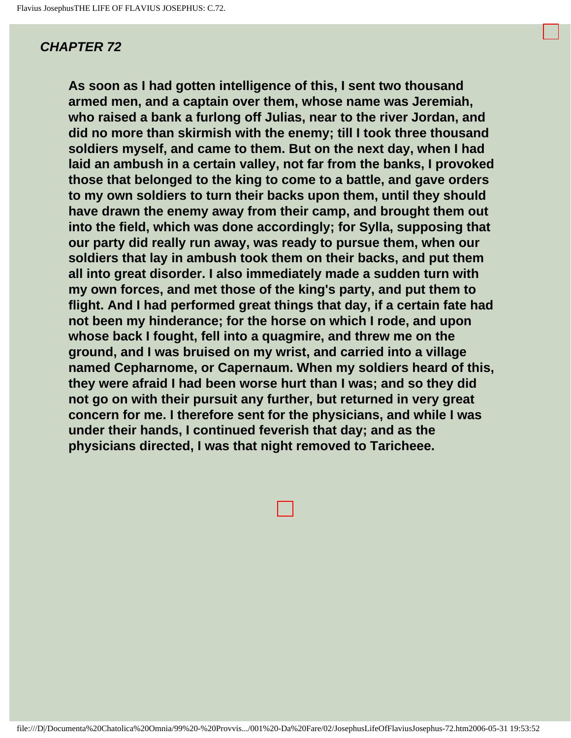**As soon as I had gotten intelligence of this, I sent two thousand armed men, and a captain over them, whose name was Jeremiah, who raised a bank a furlong off Julias, near to the river Jordan, and did no more than skirmish with the enemy; till I took three thousand soldiers myself, and came to them. But on the next day, when I had laid an ambush in a certain valley, not far from the banks, I provoked those that belonged to the king to come to a battle, and gave orders to my own soldiers to turn their backs upon them, until they should have drawn the enemy away from their camp, and brought them out into the field, which was done accordingly; for Sylla, supposing that our party did really run away, was ready to pursue them, when our soldiers that lay in ambush took them on their backs, and put them all into great disorder. I also immediately made a sudden turn with my own forces, and met those of the king's party, and put them to flight. And I had performed great things that day, if a certain fate had not been my hinderance; for the horse on which I rode, and upon whose back I fought, fell into a quagmire, and threw me on the ground, and I was bruised on my wrist, and carried into a village named Cepharnome, or Capernaum. When my soldiers heard of this, they were afraid I had been worse hurt than I was; and so they did not go on with their pursuit any further, but returned in very great concern for me. I therefore sent for the physicians, and while I was under their hands, I continued feverish that day; and as the physicians directed, I was that night removed to Taricheee.**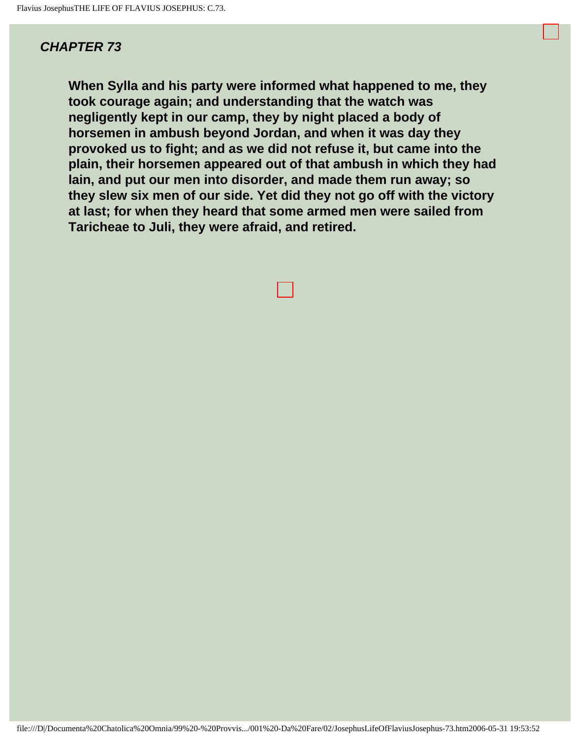**When Sylla and his party were informed what happened to me, they took courage again; and understanding that the watch was negligently kept in our camp, they by night placed a body of horsemen in ambush beyond Jordan, and when it was day they provoked us to fight; and as we did not refuse it, but came into the plain, their horsemen appeared out of that ambush in which they had lain, and put our men into disorder, and made them run away; so they slew six men of our side. Yet did they not go off with the victory at last; for when they heard that some armed men were sailed from Taricheae to Juli, they were afraid, and retired.**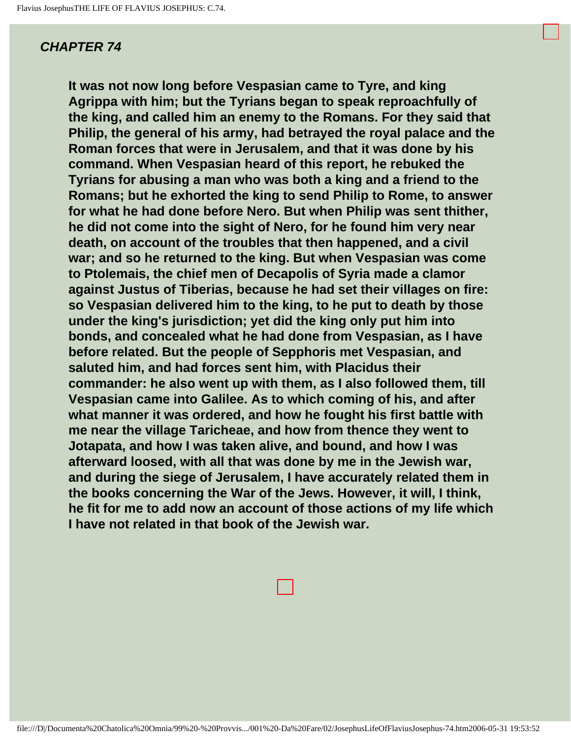**It was not now long before Vespasian came to Tyre, and king Agrippa with him; but the Tyrians began to speak reproachfully of the king, and called him an enemy to the Romans. For they said that Philip, the general of his army, had betrayed the royal palace and the Roman forces that were in Jerusalem, and that it was done by his command. When Vespasian heard of this report, he rebuked the Tyrians for abusing a man who was both a king and a friend to the Romans; but he exhorted the king to send Philip to Rome, to answer for what he had done before Nero. But when Philip was sent thither, he did not come into the sight of Nero, for he found him very near death, on account of the troubles that then happened, and a civil war; and so he returned to the king. But when Vespasian was come to Ptolemais, the chief men of Decapolis of Syria made a clamor against Justus of Tiberias, because he had set their villages on fire: so Vespasian delivered him to the king, to he put to death by those under the king's jurisdiction; yet did the king only put him into bonds, and concealed what he had done from Vespasian, as I have before related. But the people of Sepphoris met Vespasian, and saluted him, and had forces sent him, with Placidus their commander: he also went up with them, as I also followed them, till Vespasian came into Galilee. As to which coming of his, and after what manner it was ordered, and how he fought his first battle with me near the village Taricheae, and how from thence they went to Jotapata, and how I was taken alive, and bound, and how I was afterward loosed, with all that was done by me in the Jewish war, and during the siege of Jerusalem, I have accurately related them in the books concerning the War of the Jews. However, it will, I think, he fit for me to add now an account of those actions of my life which I have not related in that book of the Jewish war.**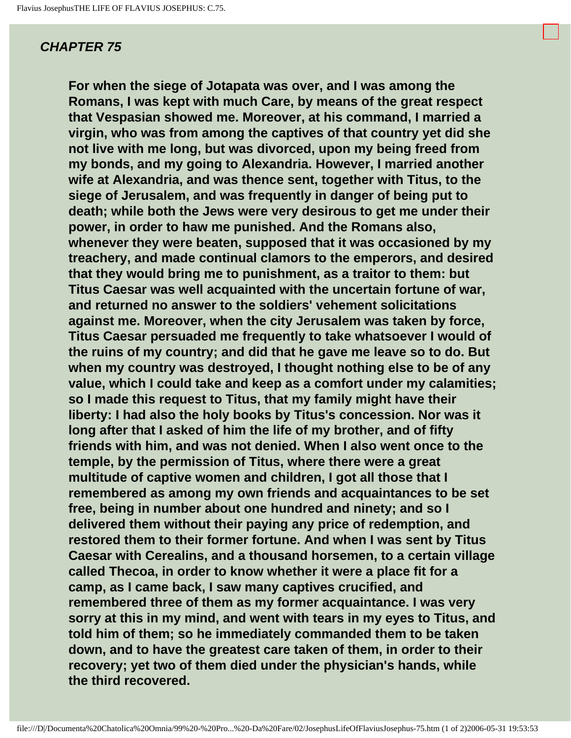**For when the siege of Jotapata was over, and I was among the Romans, I was kept with much Care, by means of the great respect that Vespasian showed me. Moreover, at his command, I married a virgin, who was from among the captives of that country yet did she not live with me long, but was divorced, upon my being freed from my bonds, and my going to Alexandria. However, I married another wife at Alexandria, and was thence sent, together with Titus, to the siege of Jerusalem, and was frequently in danger of being put to death; while both the Jews were very desirous to get me under their power, in order to haw me punished. And the Romans also, whenever they were beaten, supposed that it was occasioned by my treachery, and made continual clamors to the emperors, and desired that they would bring me to punishment, as a traitor to them: but Titus Caesar was well acquainted with the uncertain fortune of war, and returned no answer to the soldiers' vehement solicitations against me. Moreover, when the city Jerusalem was taken by force, Titus Caesar persuaded me frequently to take whatsoever I would of the ruins of my country; and did that he gave me leave so to do. But when my country was destroyed, I thought nothing else to be of any value, which I could take and keep as a comfort under my calamities; so I made this request to Titus, that my family might have their liberty: I had also the holy books by Titus's concession. Nor was it long after that I asked of him the life of my brother, and of fifty friends with him, and was not denied. When I also went once to the temple, by the permission of Titus, where there were a great multitude of captive women and children, I got all those that I remembered as among my own friends and acquaintances to be set free, being in number about one hundred and ninety; and so I delivered them without their paying any price of redemption, and restored them to their former fortune. And when I was sent by Titus Caesar with Cerealins, and a thousand horsemen, to a certain village called Thecoa, in order to know whether it were a place fit for a camp, as I came back, I saw many captives crucified, and remembered three of them as my former acquaintance. I was very sorry at this in my mind, and went with tears in my eyes to Titus, and told him of them; so he immediately commanded them to be taken down, and to have the greatest care taken of them, in order to their recovery; yet two of them died under the physician's hands, while the third recovered.**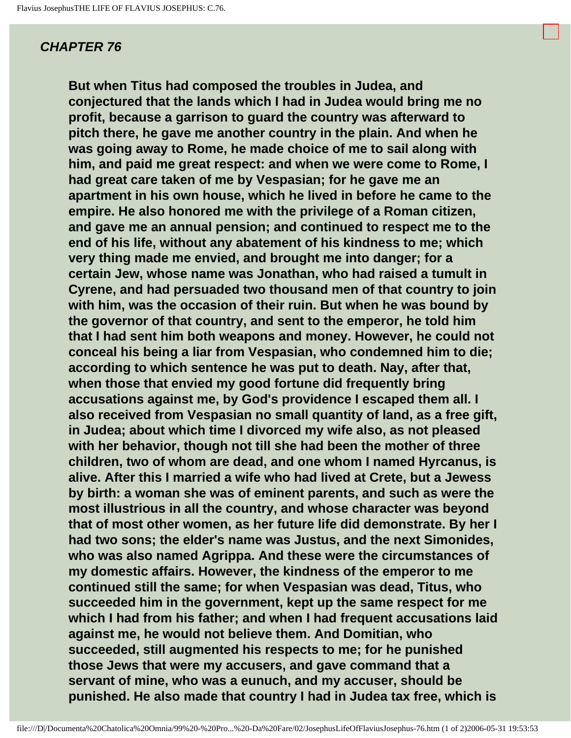**But when Titus had composed the troubles in Judea, and conjectured that the lands which I had in Judea would bring me no profit, because a garrison to guard the country was afterward to pitch there, he gave me another country in the plain. And when he was going away to Rome, he made choice of me to sail along with him, and paid me great respect: and when we were come to Rome, I had great care taken of me by Vespasian; for he gave me an apartment in his own house, which he lived in before he came to the empire. He also honored me with the privilege of a Roman citizen, and gave me an annual pension; and continued to respect me to the end of his life, without any abatement of his kindness to me; which very thing made me envied, and brought me into danger; for a certain Jew, whose name was Jonathan, who had raised a tumult in Cyrene, and had persuaded two thousand men of that country to join with him, was the occasion of their ruin. But when he was bound by the governor of that country, and sent to the emperor, he told him that I had sent him both weapons and money. However, he could not conceal his being a liar from Vespasian, who condemned him to die; according to which sentence he was put to death. Nay, after that, when those that envied my good fortune did frequently bring accusations against me, by God's providence I escaped them all. I also received from Vespasian no small quantity of land, as a free gift, in Judea; about which time I divorced my wife also, as not pleased with her behavior, though not till she had been the mother of three children, two of whom are dead, and one whom I named Hyrcanus, is alive. After this I married a wife who had lived at Crete, but a Jewess by birth: a woman she was of eminent parents, and such as were the most illustrious in all the country, and whose character was beyond that of most other women, as her future life did demonstrate. By her I had two sons; the elder's name was Justus, and the next Simonides, who was also named Agrippa. And these were the circumstances of my domestic affairs. However, the kindness of the emperor to me continued still the same; for when Vespasian was dead, Titus, who succeeded him in the government, kept up the same respect for me which I had from his father; and when I had frequent accusations laid against me, he would not believe them. And Domitian, who succeeded, still augmented his respects to me; for he punished those Jews that were my accusers, and gave command that a servant of mine, who was a eunuch, and my accuser, should be punished. He also made that country I had in Judea tax free, which is**